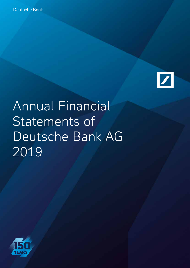

# Annual Financial Statements of Deutsche Bank AG 2019

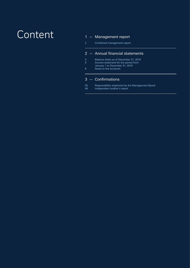## Content

#### 1 — Management report

2 Combined management report

#### 2   — Annual financial statements

- 3 Balance sheet as of December 31, 2019
- 5 Income statement for the period from January 1 to December 31, 2019
- 6 Notes to the accounts

#### 3   — Confirmations

55 Responsibility statement by the Management Board 56 Independent auditor's report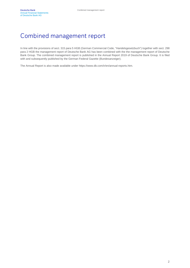### Combined management report

In line with the provisions of sect. 315 para 5 HGB (German Commercial Code, "Handelsgesetzbuch") together with sect. 298 para 2 HGB the management report of Deutsche Bank AG has been combined with the the management report of Deutsche Bank Group. The combined management report is published in the Annual Report 2019 of Deutsche Bank Group. It is filed with and subsequently published by the German Federal Gazette (Bundesanzeiger).

The Annual Report is also made available under https://www.db.com/ir/en/annual-reports.htm.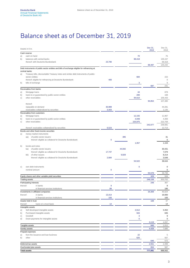### Balance sheet as of December 31, 2019

| Assets in €m.                                                                                                 |             |        |             | Dec 31,<br>2019 | Dec 31,<br>2018            |
|---------------------------------------------------------------------------------------------------------------|-------------|--------|-------------|-----------------|----------------------------|
| Cash reserve                                                                                                  |             |        |             |                 |                            |
| cash on hand<br>a)                                                                                            |             |        | 70          |                 | 75                         |
| balances with central banks<br>b)                                                                             |             |        | 88,418      |                 | 135,157                    |
| thereof: with Deutsche Bundesbank                                                                             | 23,790      |        |             |                 | 69,318                     |
|                                                                                                               |             |        |             | 88,487          | 135,232                    |
| Debt instruments of public-sector entities and bills of exchange eligible for refinancing at<br>central banks |             |        |             |                 |                            |
| a)<br>Treasury bills, discountable Treasury notes and similar debt instruments of public-                     |             |        |             |                 |                            |
| sector entities                                                                                               |             |        | 684         |                 | 222                        |
| thereof: eligible for refinancing at Deutsche Bundesbank                                                      | 400         |        |             |                 | $\mathbf 0$                |
| b)<br>bills of exchange                                                                                       |             |        | 3           |                 | $\mathsf g$                |
|                                                                                                               |             |        |             | 687             | 231                        |
| Receivables from banks                                                                                        |             |        |             |                 |                            |
| Mortgage loans<br>a)                                                                                          |             |        | 44          |                 | 878                        |
| loans to or guaranteed by public-sector entities<br>b)                                                        |             |        | 200         |                 | 168                        |
| c)<br>other receivables                                                                                       |             |        | 94,610      | 94,854          | 106,433<br>107,480         |
| thereof:                                                                                                      |             |        |             |                 |                            |
| repayable on demand                                                                                           | 30,989      |        |             |                 | 44,281                     |
| receivables collateralized by securities                                                                      | 3,403       |        |             |                 | 1,135                      |
| Receivables from customers                                                                                    |             |        |             |                 |                            |
| Mortgage loans<br>a)                                                                                          |             |        | 12,155      |                 | 11,967                     |
| loans to or guaranteed by public-sector entities<br>b)                                                        |             |        | 4,048       |                 | 4,356                      |
| c)<br>other receivables                                                                                       |             |        | 225,875     |                 | 222,759                    |
|                                                                                                               |             |        |             | 242,077         | 239,081                    |
| thereof: receivables collateralized by securities                                                             | 6,523       |        |             |                 | 12,713                     |
| Bonds and other fixed-income securities                                                                       |             |        |             |                 |                            |
| money market instruments<br>a)<br>of public-sector issuers<br>aa)                                             |             | 385    |             |                 | 31                         |
| thereof: eligible as collateral for Deutsche Bundesbank                                                       | $\mathbf 0$ |        |             |                 | $\mathbf 0$                |
|                                                                                                               |             |        | 1,057       |                 | 1,153                      |
| b)<br>bonds and notes                                                                                         |             |        |             |                 |                            |
| of public-sector issuers<br>ba)                                                                               |             | 44,692 |             |                 | 30,431                     |
| thereof: eligible as collateral for Deutsche Bundesbank                                                       | 17,747      |        |             |                 | 7,079                      |
| bb)<br>of other issuers                                                                                       |             | 9,829  |             |                 | 8,214                      |
| thereof: eligible as collateral for Deutsche Bundesbank                                                       | 2,684       |        |             |                 | 3,549                      |
|                                                                                                               |             |        | 54,522      |                 | 38,644                     |
|                                                                                                               |             |        |             |                 |                            |
| own debt instruments<br>c)<br>nominal amount                                                                  | $\mathbf 0$ |        | $\mathbf 0$ |                 | $\mathbf 0$<br>$\mathbf 0$ |
|                                                                                                               |             |        |             | 55,578          | 39,798                     |
| Equity shares and other variable-yield securities                                                             |             |        |             | 329             | 559                        |
| <b>Trading assets</b>                                                                                         |             |        |             | 248,158         | 303,702                    |
| Participating interests                                                                                       |             |        |             | 249             | 367                        |
| thereof:<br>in banks                                                                                          | 9           |        |             |                 | 9                          |
| in financial services institutions                                                                            | 89          |        |             |                 | 195                        |
| Investments in affiliated companies                                                                           |             |        |             | 34,309          | 45,624                     |
| in banks<br>thereof:                                                                                          | 13,414      |        |             |                 | 19,000                     |
| in financial services institutions                                                                            | 193         |        |             |                 | 193                        |
| Assets held in trust                                                                                          |             |        |             | 108             | 37                         |
| thereof:<br>loans on a trust basis                                                                            | 14          |        |             |                 | 14                         |
| Intangible assets                                                                                             |             |        | 2,612       |                 |                            |
| Self-developed intangible assets<br>a)<br>Purchased intangible assets<br>b)                                   |             |        | 504         |                 | 3,452<br>635               |
| Goodwill<br>C)                                                                                                |             |        | 3           |                 | 9                          |
| Down-payments for intangible assets<br>d)                                                                     |             |        | 0           |                 | 0                          |
|                                                                                                               |             |        |             | 3,119           | 4,097                      |
| Tangible assets                                                                                               |             |        |             | 846             | 1,012                      |
| Sundry assets                                                                                                 |             |        |             | 4,428           | 7,685                      |
| Prepaid expenses                                                                                              |             |        |             |                 |                            |
| from the issuance and loan business<br>a)                                                                     |             |        | 22          |                 | 5                          |
| b)<br>other                                                                                                   |             |        | 625         |                 | 567                        |
|                                                                                                               |             |        |             | 646             | 572                        |
| Deferred tax assets                                                                                           |             |        |             | 2,551           | 2,498                      |
| Overfunded plan assets                                                                                        |             |        |             | 654             | 587                        |
| <b>Total assets</b>                                                                                           |             |        |             | 777,081         | 888,562                    |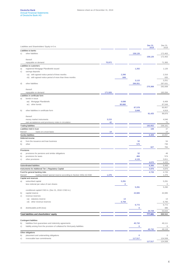|          | Liabilities and Shareholders' Equity in €m.                                    |         |             |             | Dec 31,<br>2019 | Dec 31,<br>2018 |
|----------|--------------------------------------------------------------------------------|---------|-------------|-------------|-----------------|-----------------|
|          | Liabilities to banks                                                           |         |             |             |                 |                 |
| C)       | other liabilities                                                              |         |             | 158,126     |                 | 172,463         |
|          |                                                                                |         |             |             | 158,126         | 172,463         |
|          | thereof:                                                                       |         |             |             |                 |                 |
|          | repayable on demand                                                            | 70,972  |             |             |                 | 71,383          |
|          | Liabilities to customers                                                       |         |             |             |                 |                 |
| a)       | registered Mortgage Pfandbriefe issued                                         |         |             | 1,202       |                 | 1,126           |
| C)       | savings deposits                                                               |         |             |             |                 |                 |
|          | ca) with agreed notice period of three months                                  |         | 2,266       |             |                 | 2,316           |
|          | cb) with agreed notice period of more than three months                        |         | 849         |             |                 | 935             |
|          |                                                                                |         |             | 3,115       |                 | 3,251           |
| d)       | other liabilities                                                              |         |             | 266,051     |                 | 287,631         |
|          |                                                                                |         |             |             | 270,368         | 292,008         |
|          | thereof:                                                                       |         |             |             |                 |                 |
|          | repayable on demand                                                            | 171,926 |             |             |                 | 183,284         |
|          | Liabilities in certificate form                                                |         |             |             |                 |                 |
| a)       | bonds in issue                                                                 |         |             |             |                 |                 |
|          | aa) Mortgage Pfandbriefe                                                       |         | 6,698       |             |                 | 6,408           |
|          | ac) other bonds                                                                |         | 80,880      |             |                 | 87,549          |
|          |                                                                                |         |             | 87,578      |                 | 93.957          |
| b)       | other liabilities in certificate form                                          |         |             | 3,848       |                 | 4,919           |
|          | thereof:                                                                       |         |             |             | 91,425          | 98,876          |
|          | money market instruments                                                       | 3,215   |             |             |                 | 4,046           |
|          | own acceptances and promissory notes in circulation                            | 42      |             |             |                 | 75              |
|          | <b>Trading liabilities</b>                                                     |         |             |             | 192,652         | 236,161         |
|          | Liabilities held in trust                                                      |         |             |             | 108             | 37              |
| thereof: | loans on a trust basis                                                         | 14      |             |             |                 | 14              |
|          | Sundry liabilities                                                             |         |             |             | 6,309           | 10,097          |
|          | Deferred income                                                                |         |             |             |                 |                 |
| a)       | from the issuance and loan business                                            |         |             | 52          |                 | 54              |
| b)       | other                                                                          |         |             | 575         |                 | 730             |
|          |                                                                                |         |             |             | 627             | 784             |
|          | Provisions                                                                     |         |             |             |                 |                 |
| a)       | provisions for pensions and similar obligations                                |         |             | 52          |                 | 48              |
| b)       | provisions for taxes                                                           |         |             | 484         |                 | 574             |
| C)       | other provisions                                                               |         |             | 4,133       |                 | 3,811           |
|          |                                                                                |         |             |             | 4,670           | 4,433           |
|          | Subordinated liabilities                                                       |         |             |             | 8,366           | 9,468           |
|          | Instruments for Additional Tier 1 Regulatory Capital                           |         |             |             | 4,976           | 4,876           |
|          | Fund for general banking risks                                                 |         |             |             | 4,726           | 4,726           |
| thereof: | trading-related special reserve according to Section 340e (4) HGB              | 1,476   |             |             |                 | 1,476           |
|          | Capital and reserves                                                           |         |             |             |                 |                 |
| a)       | subscribed capital                                                             |         | 5,291       |             |                 | 5,291           |
|          | less notional par value of own shares                                          |         | $\mathbf 0$ |             |                 | 0               |
|          |                                                                                |         |             | 5,291       |                 | 5,290           |
|          | conditional capital € 563 m. (Dec 31, 2018: € 563 m.)                          |         |             |             |                 |                 |
| b)       | capital reserve                                                                |         |             | 22,665      |                 | 42,085          |
| C)       | revenue reserves                                                               |         |             |             |                 |                 |
|          | ca) statutory reserve                                                          |         | 13          |             |                 | 13              |
|          | cd) other revenue reserves                                                     |         | 6,759       |             |                 | 6,760           |
|          |                                                                                |         |             | 6,772       |                 | 6,772           |
| d)       | distributable profit (loss)                                                    |         |             | 0           |                 | 486             |
|          |                                                                                |         |             |             | 34,728          | 54,634          |
|          | Total liabilities and shareholders' equity                                     |         |             |             | 777,081         | 888,562         |
|          |                                                                                |         |             |             |                 |                 |
|          | Contingent liabilities                                                         |         |             |             |                 |                 |
| b)       | liabilities from guarantees and indemnity agreements                           |         |             | 45,732      |                 | 49,111          |
| C)       | liability arising from the provision of collateral for third-party liabilities |         |             | 0           |                 | 6               |
|          |                                                                                |         |             |             | 45,732          | 49,118          |
|          | Other obligations                                                              |         |             |             |                 |                 |
| b)       | placement and underwriting obligations                                         |         |             | $\mathbf 0$ |                 | 0               |
| C)       | irrevocable loan commitments                                                   |         |             | 117,517     |                 | 124,508         |
|          |                                                                                |         |             |             | 117,517         | 124,508         |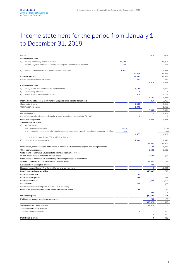### Income statement for the period from January 1 to December 31, 2019

| in $\notin$ m.                                                                                              |        |        | 2019         | 2018         |
|-------------------------------------------------------------------------------------------------------------|--------|--------|--------------|--------------|
| Interest income from                                                                                        |        |        |              |              |
| lending and money market business<br>a)                                                                     | 14,604 |        |              | 11,918       |
| thereof: negative interest income from lending and money market business                                    | 435    |        |              | 576          |
| fixed-income securities and government-inscribed debt<br>b)                                                 | 1,921  |        |              | 1,648        |
|                                                                                                             |        | 16,525 |              | 13,566       |
| Interest expenses                                                                                           |        | 12,852 |              | 11,503       |
| thereof: negative interest expenses                                                                         |        | 387    |              | 491          |
|                                                                                                             |        |        | 3,673        | 2.063        |
| Current income from                                                                                         |        |        |              |              |
| equity shares and other variable-yield securities<br>a)                                                     |        | 1,198  |              | 1,859        |
| participating interests<br>b)                                                                               |        | 10     |              | 9            |
| c)<br>investments in affiliated companies                                                                   |        | 573    |              | 2,178        |
|                                                                                                             |        |        | 1,781        | 4,047        |
| Income from profit-pooling, profit-transfer and partial profit-transfer agreements                          |        |        | 217          | 2,915        |
| Commission income                                                                                           |        | 7,538  |              | 7,411        |
| Commission expenses                                                                                         |        | 1,892  |              | 1,411        |
|                                                                                                             |        |        | 5,646        | 6,001        |
|                                                                                                             |        |        | 710          | 1,629        |
| Net trading result<br>thereof: release of trading-related special reserve according to section 340e (4) HGB |        | 0      |              | $\Omega$     |
|                                                                                                             |        |        |              |              |
| Other operating income                                                                                      |        |        | 1,069        | 1,924        |
| Administrative expenses                                                                                     |        |        |              |              |
| staff expenses<br>a)<br>aa)                                                                                 | 3,623  |        |              | 3,768        |
| wages and salaries                                                                                          | 949    |        |              | 860          |
| compulsory social security contributions and expenses for pensions and other employee benefits<br>ab)       |        |        |              |              |
|                                                                                                             |        | 4,572  |              | 4,629        |
| thereof: for pensions $\in$ 359 m. (2018: $\in$ 241 m.)                                                     |        |        |              |              |
| other administrative expenses<br>b)                                                                         |        | 7,388  |              | 7,342        |
|                                                                                                             |        |        | 11,961       | 11,971       |
| Depreciation, amortization and write-downs of and value adjustments to tangible and intangible assets       |        |        | 2,123        | 1,235        |
| Other operating expenses                                                                                    |        |        | 2,566        | 2,535        |
| Write-downs of and value adjustments to claims and certain securities                                       |        |        |              |              |
| as well as additions to provisions for loan losses                                                          |        |        | 3,684        | (91)         |
| Write-downs of and value adjustments to participating interests, investments in                             |        |        |              |              |
| affiliated companies and securities treated as fixed assets                                                 |        |        | 11,001       | 198          |
| Expenses from assumption of losses                                                                          |        |        | 444          | $\mathbf{1}$ |
| Releases from/Additions (-) to the fund for general banking risks                                           |        |        | $\Omega$     | (2,000)      |
| Result from ordinary activities                                                                             |        |        | (18, 682)    | 732          |
| Extraordinary income                                                                                        |        | 52     |              | 77           |
| Extraordinary expenses                                                                                      |        | 499    |              | 288          |
| <b>Extraordinary result</b>                                                                                 |        |        | (446)        | (211)        |
| Income taxes                                                                                                |        | 458    |              | (75)         |
| thereof: deferred taxes negative €34 m. (2018: €882 m.)                                                     |        |        |              |              |
| Other taxes, unless reported under "Other operating expenses"                                               |        | 99     |              | 81           |
|                                                                                                             |        |        | 556          | 6            |
| Net income (loss)                                                                                           |        |        | (19, 685)    | 514          |
| Profit carried forward from the previous year                                                               |        |        | 259          | 172          |
|                                                                                                             |        |        | (19, 426)    | 686          |
| Withdrawal from capital reserves                                                                            |        |        | 19,426       | $\mathbb O$  |
| Allocations to revenue reserves                                                                             |        |        |              |              |
| - to other revenue reserves                                                                                 |        | 0      |              | 200          |
|                                                                                                             |        |        | $\mathbf 0$  | 200          |
| Distributable profit                                                                                        |        |        | $\mathbf{0}$ | 486          |
|                                                                                                             |        |        |              |              |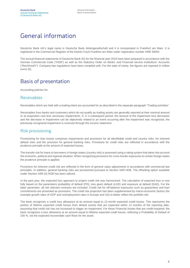### General information

Deutsche Bank AG's legal name is Deutsche Bank Aktiengesellschaft and it is incorporated in Frankfurt am Main. It is registered in the Commercial Register of the District Court Frankfurt am Main under registration number HRB 30000.

The annual financial statements of Deutsche Bank AG for the financial year 2019 have been prepared in accordance with the German Commercial Code ("HGB") as well as the Statutory Order on Banks' and Financial service institutions' Accounts ("RechKredV"). Company-law regulations have been complied with. For the sake of clarity, the figures are reported in million euros (€).

### Basis of presentation

Accounting policies for:

#### Receivables

Receivables which are held with a trading intent are accounted for as described in the separate paragraph "Trading activities".

Receivables from banks and customers which do not qualify as trading assets are generally reported at their nominal amount or at acquisition cost less necessary impairments. If, in a subsequent period, the amount of the impairment loss decreases and the decrease in impairment can be objectively related to an event occurring after the impairment was recognized, the previously recognized impairment is reversed through the income statement.

#### Risk provisioning

Provisioning for loan losses comprises impairments and provisions for all identifiable credit and country risks, for inherent default risks and the provision for general banking risks. Provisions for credit risks are reflected in accordance with the prudence principle at the amount of expected losses.

The transfer risk for loans to borrowers in foreign states (country risk) is assessed using a rating system that takes into account the economic, political and regional situation. When recognizing provisions for cross-border exposures to certain foreign states the prudence principle is applied.

Provisions for inherent credit risk are reflected in the form of general value adjustments in accordance with commercial law principles. In addition, general banking risks are provisioned pursuant to Section 340f HGB. The offsetting option available under Section 340f (3) HGB has been utilized.

In the past year, the expected loss approach to project credit risk was harmonized. The calculation of expected loss is now fully based on the parameters probability of default (PD), loss given default (LGD) and exposure at default (EAD). For the latter parameter, all risk relevant contracts are included. Credit risk for off-balance exposures such as guarantees and loan commitments are presented as provisions. The credit risk projection has been supplemented by macro-economic factors (for example growth rates of GDP and unemployment rates in Europe and US) to better reflect the portfolio risk.

The bank recognizes a credit loss allowance at an amount equal to 12-month expected credit losses. This represents the portion of lifetime expected credit losses from default events that are expected within 12 months of the reporting date, assuming that credit risk has not increased to trigger an impairment. For those Financial Assets that are credit-impaired, the bank recognizes a loss allowance at an amount equal to lifetime expected credit losses, reflecting a Probability of Default of 100 %, via the expected recoverable cash flows for the asset.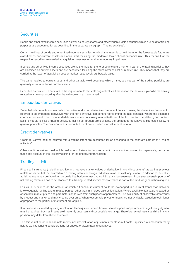#### **Securities**

Bonds and other fixed income securities as well as equity shares and other variable-vield securities which are held for trading purposes are accounted for as described in the separate paragraph "Trading activities".

Certain holdings of bonds and other fixed-income securities for which the intent is to hold them for the foreseeable future are classified as non-current assets and accounted for using the moderate lower-of-cost-or-market rule. This means that the respective securities are carried at acquisition cost less other than temporary impairment.

If bonds and other fixed-income securities are neither held for the foreseeable future nor form part of the trading portfolio, they are classified as current assets and are accounted for using the strict lower-of-cost-or-market rule. This means that they are carried at the lower of acquisition cost or market respectively attributable value.

The same applies to equity shares and other variable-yield securities which, if they are not part of the trading portfolio, are generally accounted for as current assets.

Securities are written up pursuant to the requirement to reinstate original values if the reason for the write-up can be objectively related to an event occurring after the write-down was recognized.

#### Embedded derivatives

Some hybrid contracts contain both a derivative and a non derivative component. In such cases, the derivative component is referred to as embedded derivative, with the non derivative component representing the host contract. Where the economic characteristics and risks of embedded derivatives are not closely related to those of the host contract, and the hybrid contract itself is not carried as a trading activity at fair value through profit or loss, the embedded derivative is bifurcated following general principles. The host contract is accounted for at amortized cost or settlement amount.

#### Credit derivatives

Credit derivatives held or incurred with a trading intent are accounted for as described in the separate paragraph "Trading activities".

Other credit derivatives held which qualify as collateral for incurred credit risk are not accounted for separately, but rather taken into account in the risk provisioning for the underlying transaction.

#### Trading activities

Financial instruments (including positive and negative market values of derivative financial instruments) as well as precious metals which are held or incurred with a trading intent are recognized at fair value less risk adjustment. In addition to the valueat-risk adjustment a de-facto limit on profit distribution for net trading P&L exists because each fiscal year a certain portion of net trading revenues has to be allocated to a trading-related special reserve which is part of the fund for general banking risk.

Fair value is defined as the amount at which a financial instrument could be exchanged in a current transaction between knowledgeable, willing and unrelated parties, other than in a forced sale or liquidation. Where available, fair value is based on observable market prices and parameters or derived from such prices or parameters. The availability of observable data varies by product and market and may change over time. Where observable prices or inputs are not available, valuation techniques appropriate to the particular instrument are applied.

If fair value is estimated by using a valuation technique or derived from observable prices or parameters, significant judgment may be required. Such estimates are inherently uncertain and susceptible to change. Therefore, actual results and the financial position may differ from these estimates.

The fair valuation of financial instruments includes valuation adjustments for close-out costs, liquidity risk and counterparty risk as well as funding considerations for uncollateralized trading derivatives.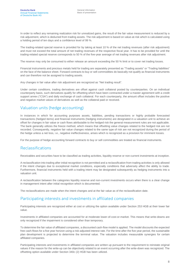In order to reflect any remaining realization risk for unrealized gains, the result of the fair value measurement is reduced by a risk adjustment, which is deducted from trading assets. The risk adjustment is based on value-at-risk which is calculated using a holding period of ten days and a confidence level of 99 %.

The trading-related special reserve is provided for by taking at least 10 % of the net trading revenues (after risk adjustment) and must not exceed the total amount of net trading revenues of the respective fiscal year. It has to be provided for until the trading-related special reserve corresponds to 50 % of the five-year average of net trading revenues after risk adjustment.

The reserve may only be consumed to either release an amount exceeding the 50 % limit or to cover net trading losses.

Financial instruments and precious metals held for trading are separately presented as "Trading assets" or "Trading liabilities" on the face of the balance sheet. Forward contracts to buy or sell commodities do basically not qualify as financial instruments and can therefore not be assigned to trading assets.

Any changes in fair value after risk adjustment are recognized as "Net trading result".

Under certain conditions, trading derivatives are offset against cash collateral posted by counterparties. On an individual counterparty basis, such derivatives qualify for offsetting which have been contracted under a master agreement with a credit support annex ("CSA") and daily exchange of cash collateral. For each counterparty, the amount offset includes the positive and negative market values of derivatives as well as the collateral paid or received.

#### Valuation units (hedge accounting)

In instances in which for accounting purposes assets, liabilities, pending transactions or highly probable forecasted transactions (hedged items) and financial instruments (hedging instruments) are designated in a valuation unit to achieve an offset for changes in fair value or cash flows attributable to the hedged risk the general measurement rules are not applicable. The bank generally utilizes the freeze method, which means that offsetting value changes related to the hedged risk are not recorded. Consequently, negative fair value changes related to the same type of risk are not recognized during the period of the hedge unless a net loss, i.e., negative ineffectiveness, arises which is recognized as a provision for imminent losses.

For the purpose of hedge accounting forward contracts to buy or sell commodities are treated as financial instruments.

#### Reclassifications

Receivables and securities have to be classified as trading activities, liquidity reserve or non-current investments at inception.

A reclassification into trading after initial recognition is not permitted and a reclassification from trading activities is only allowed if the intent changes due to exceptional market conditions, especially conditions that adversely affect the ability to trade. Furthermore, financial instruments held with a trading intent may be designated subsequently as hedging instruments into a valuation unit.

A reclassification between the categories liquidity reserve and non-current investments occurs when there is a clear change in management intent after initial recognition which is documented.

The reclassifications are made when the intent changes and at the fair value as of the reclassification date.

#### Participating interests and investments in affiliated companies

Participating interests are recognized either at cost or utilizing the option available under Section 253 HGB at their lower fair value.

Investments in affiliated companies are accounted for at moderate lower-of-cost-or-market. This means that write-downs are only recognized if the impairment is considered other than temporary.

To determine the fair value of affiliated companies, a discounted cash-flow model is applied. The model discounts the expected free cash-flows for a five year horizon using a risk-adjusted interest rate. For the time after the five year period, the sustainable plan development is projected to determine the terminal value. The valuation includes measurable synergies for certain affiliated companies.

Participating interests and investments in affiliated companies are written up pursuant to the requirement to reinstate original values if the reason for the write-up can be objectively related to an event occurring after the write-down was recognized. The offsetting option available under Section 340c (2) HGB has been utilized.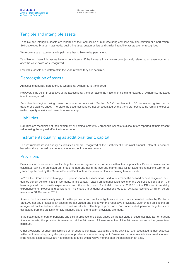### Tangible and intangible assets

Tangible and intangible assets are reported at their acquisition or manufacturing cost less any depreciation or amortization. Self-developed brands, mastheads, publishing titles, customer lists and similar intangible assets are not recognized.

Write-downs are made for any impairment that is likely to be permanent.

Tangible and intangible assets have to be written up if the increase in value can be objectively related to an event occurring after the write-down was recognized.

Low-value assets are written off in the year in which they are acquired.

#### Derecognition of assets

An asset is generally derecognized when legal ownership is transferred.

However, if the seller irrespective of the asset's legal transfer retains the majority of risks and rewards of ownership, the asset is not derecognized.

Securities lending/borrowing transactions in accordance with Section 246 (1) sentence 2 HGB remain recognized in the transferor's balance sheet. Therefore the securities lent are not derecognized by the transferor because he remains exposed to the majority of risks and rewards of ownership.

#### Liabilities

Liabilities are recognized at their settlement or nominal amounts. Zerobonds issued at a discount are reported at their present value, using the original effective interest rate.

#### Instruments qualifying as additional tier 1 capital

The instruments issued qualify as liabilities and are recognized at their settlement or nominal amount. Interest is accrued based on the expected payments to the investors in the instruments.

#### Provisions

Provisions for pensions and similar obligations are recognized in accordance with actuarial principles. Pension provisions are calculated using the projected unit credit method and using the average market rate for an assumed remaining term of 15 years as published by the German Federal Bank unless the pension plan's remaining term is shorter.

In 2019 the Group decided to apply DB specific mortality assumptions used to determine the defined benefit obligation for its defined benefit pension plans in Germany. In this context - based on actuarial calculations for the DB specific population - the bank adjusted the mortality expectations from the so far used "Richttafeln Heubeck 2018G" to the DB specific mortality experience of employees and pensioners. This change in actuarial assumptions led to an actuarial loss of €93 million before taxes as of 31 December 2019.

Assets which are exclusively used to settle pensions and similar obligations and which are controlled neither by Deutsche Bank AG nor any creditor (plan assets) are fair valued and offset with the respective provisions. Overfunded obligations are recognized on the balance sheet as a net asset after offsetting of provisions. For underfunded pension obligations and obligations from the bank's internally financed plans, the relevant provisions are made.

If the settlement amount of pensions and similar obligations is solely based on the fair value of securities held as non-current financial assets, the provision is measured at the fair value of these securities if the fair value exceeds the guaranteed minimum.

Other provisions for uncertain liabilities or for onerous contracts (excluding trading activities) are recognized at their expected settlement amount applying the principles of prudent commercial judgment. Provisions for uncertain liabilities are discounted if the related cash outflows are not expected to arise within twelve months after the balance sheet date.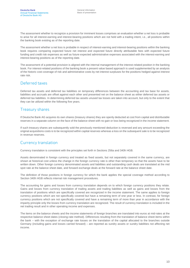The assessment whether to recognize a provision for imminent losses comprises an evaluation whether a net loss is probable to arise for all interest-earning and interest-bearing positions which are not held with a trading intent, i.e., all positions within the banking book existing as of the reporting date.

The assessment whether a net loss is probable in respect of interest-earning and interest-bearing positions within the banking book requires comparing expected future net interest and expected future directly attributable fees with expected future funding and credit risk expenses as well as future expected administrative expenses associated with the interest-earning and interest-bearing positions as of the reporting date.

The assessment of a potential provision is aligned with the internal management of the interest-related position in the banking book. For interest-related positions of the banking book a present value based approach is used supplemented by an analysis of the historic cost coverage of risk and administrative costs by net interest surpluses for the positions hedged against interest rate risk.

#### Deferred taxes

Deferred tax assets and deferred tax liabilities on temporary differences between the accounting and tax base for assets, liabilities and accruals are offset against each other and presented net on the balance sheet as either deferred tax assets or deferred tax liabilities. In determining deferred tax assets unused tax losses are taken into account, but only to the extent that they can be utilized within the following five years.

#### Treasury shares

If Deutsche Bank AG acquires its own shares (treasury shares) they are openly deducted at cost from capital and distributable reserves in a separate column on the face of the balance sheet with no gain or loss being recognized in the income statement.

If such treasury shares are subsequently sold the previously mentioned deduction is reversed and any amount exceeding the original acquisitions costs is to be recognized within capital reserves whereas a loss on the subsequent sale is to be recognized in revenue reserves.

#### Currency translation

Currency translation is consistent with the principles set forth in Sections 256a and 340h HGB.

Assets denominated in foreign currency and treated as fixed assets, but not separately covered in the same currency, are shown at historical cost unless the change in the foreign currency rate is other than temporary so that the assets have to be written down. Other foreign currency denominated assets and liabilities and outstanding cash deals are translated at the mid spot rate at the balance sheet date, and forward exchange deals at the forward rate at the balance sheet date.

The definition of those positions in foreign currency for which the bank applies the special coverage method according to Section 340h HGB reflects internal risk management procedures.

The accounting for gains and losses from currency translation depends on to which foreign currency positions they relate. Gains and losses from currency translation of trading assets and trading liabilities as well as gains and losses from the translation of positions which are specifically covered are recognized in the income statement. The same applies to foreign currency positions which are not specifically covered but have a remaining term of one year or less. In contrast, for foreign currency positions which are not specifically covered and have a remaining term of more than year in accordance with the imparity principle only the losses from currency translation are recognized. The result of currency translation is included in the net trading result and in other operating income and expenses.

The items on the balance sheets and the income statements of foreign branches are translated into euros at mid-rates at the respective balance sheet dates (closing-rate method). Differences resulting from the translation of balance sheet items within the bank – with the exception of exchange rate losses on the translation of the capital allocated to the branches outside Germany (including gains and losses carried forward) – are reported as sundry assets or sundry liabilities not affecting net income.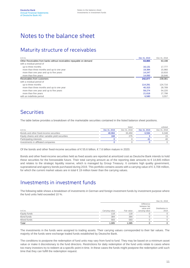### Notes to the balance sheet

### Maturity structure of receivables

| in $\epsilon$ m.                                                     | Dec 31, 2019 | Dec 31, 2018 |
|----------------------------------------------------------------------|--------------|--------------|
| Other Receivables from banks without receivables repayable on demand | 63,865       | 63,198       |
| with a residual period of                                            |              |              |
| up to three months                                                   | 16.131       | 17,777       |
| more than three months and up to one year                            | 19.394       | 15.960       |
| more than one year and up to five years                              | 14.247       | 10,816       |
| more than five years                                                 | 14,093       | 18,646       |
| Receivables from customers                                           | 242.077      | 239.081      |
| with a residual period of                                            |              |              |
| up to three months                                                   | 114.291      | 124,716      |
| more than three months and up to one year                            | 40.315       | 28.789       |
| more than one year and up to five years                              | 59.274       | 54,220       |
| more than five years                                                 | 21.618       | 27.798       |
| with an indefinite period                                            | 6,580        | 3,557        |

### **Securities**

The table below provides a breakdown of the marketable securities contained in the listed balance sheet positions.

|                                                   |              | listed       |                       | unlisted     |
|---------------------------------------------------|--------------|--------------|-----------------------|--------------|
| in $\notin$ m.                                    | Dec 31, 2019 | Dec 31, 2018 | Dec 31, 2019          | Dec 31, 2018 |
| Bonds and other fixed-income securities           | 48.984       | 33.450       | 6.594                 | 6.348        |
| Equity shares and other variable-yield securities | 168          | 275          |                       | 15           |
| Participating interests                           |              |              | $\mathbf{4}^{\prime}$ | 40           |
| Investments in affiliated companies               |              |              |                       |              |

Of the bonds and other fixed-income securities of  $\epsilon$  55.6 billion,  $\epsilon$  7.6 billion mature in 2020.

Bonds and other fixed-income securities held as fixed assets are reported at amortized cost as Deutsche Bank intends to hold these securities for the foreseeable future. Their total carrying amount as of the reporting date amounts to € 14,845 million and relates to the strategic liquidity reserve, which is managed by Group Treasury. It contains high quality government, supranational and agency bonds purchased during 2019. This portfolio contains assets with a carrying value of €3,708 million, for which the current market values are in total  $\epsilon$  19 million lower than the carrying values.

### Investments in investment funds

The following table shows a breakdown of investments in German and foreign investment funds by investment purpose where the fund units held exceeded 10 %.

|                |                |            |                                                           | Dec 31, 2019            |
|----------------|----------------|------------|-----------------------------------------------------------|-------------------------|
| in $\notin$ m. | Carrying value | Fair value | Difference<br>between fair<br>value and<br>carrying value | Distribution in<br>2019 |
| Equity funds   | 118            | 118        |                                                           |                         |
| Bond funds     | 384            | 384        |                                                           |                         |
| Mixed funds    | 583            | 583        |                                                           |                         |
| Total          | 1,085          | 1.085      |                                                           |                         |

The investments in the funds were assigned to trading assets. Their carrying values corresponded to their fair values. The majority of the funds were exchange traded funds established by Deutsche Bank.

The conditions to postpone the redemption of fund units may vary from fund to fund. They may be based on a minimum asset value or make it discretionary to the fund directors. Restrictions for daily redemption of the fund units relate to cases where too many investors try to redeem at a specific point in time. In these cases the funds might postpone the redemption until such time that they can fulfill the redemption request.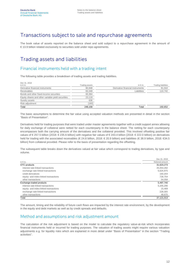### Transactions subject to sale and repurchase agreements

The book value of assets reported on the balance sheet and sold subject to a repurchase agreement in the amount of € 13.9 billion related exclusively to securities sold under repo agreements.

### Trading assets and liabilities

#### Financial instruments held with a trading intent

The following table provides a breakdown of trading assets and trading liabilities.

| Dec 31, 2019<br>in $\epsilon$ m.                  | <b>Trading assets</b> | in $\notin$ m.                   | <b>Trading liabilities</b> |
|---------------------------------------------------|-----------------------|----------------------------------|----------------------------|
| Derivative financial instruments                  | 80.848                | Derivative financial instruments | 81,910                     |
| Receivables                                       | 83.349                | Liabilities                      | 110.742                    |
| Bonds and other fixed-income securities           | 60.364                |                                  |                            |
| Equity shares and other variable-yield securities | 23.119                |                                  |                            |
| Sundry assets                                     | 636                   |                                  |                            |
| Risk adjustment                                   | (160)                 |                                  |                            |
| Total                                             | 248.158               | Total                            | 192.652                    |

The basic assumptions to determine the fair value using accepted valuation methods are presented in detail in the section "Basis of Presentation".

Derivatives held for trading purposes that were traded under master agreements together with a credit support annex allowing for daily exchange of collateral were netted for each counterparty in the balance sheet. The netting for each counterparty encompasses both the carrying amount of the derivatives and the collateral provided. This involved offsetting positive fair values of € 257.5 billion (2018: € 235.6 billion) with negative fair values of € 243.4 billion (2018: € 222.0 billion) on derivatives held for trading with the associated receivables (€ 24.8 billion, 2018: € 20.9 billion) and liabilities (€ 38.9 billion, 2018: €34.5 billion) from collateral provided. Please refer to the basis of presentation regarding the offsetting.

The subsequent table breaks down the derivatives valued at fair value which correspond to trading derivatives, by type and volume.

|                                       | Dec 31, 2019    |
|---------------------------------------|-----------------|
| in $\notin$ m.                        | Notional amount |
| OTC products                          | 31,623,273      |
| interest rate-linked transactions     | 25,054,282      |
| exchange rate-linked transactions     | 5,625,975       |
| credit derivatives                    | 160,204         |
| equity- and index-linked transactions | 728,754         |
| other transactions                    | 54,058          |
| Exchange-traded products              | 5,497,740       |
| interest rate-linked transactions     | 5,205,296       |
| equity- and index-linked transactions | 15,469          |
| exchange rate-linked transactions     | 228,305         |
| other transactions                    | 48,670          |
| Total                                 | 37.121.013      |

The amount, timing and the reliability of future cash flows are impacted by the interest rate environment, by the development in the equity and debt markets as well as by credit spreads and defaults.

#### Method and assumptions and risk adjustment amount

The calculation of the risk adjustment is based on the model to calculate the regulatory value-at-risk which incorporates financial instruments held or incurred for trading purposes. The valuation of trading assets might require various valuation adjustments e.g. for liquidity risks which are explained in more detail under "Basis of Presentation" in the section "Trading activities".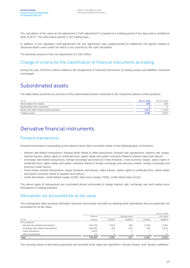The calculation of the value-at-risk adjustment ("VaR-adjustment") is based on a holding period of ten days and a confidence level of 99 %. The observation period is 261 trading days.

In addition to the regulatory VaR-adjustment the risk adjustment was supplemented by additional risk figures related to Deutsche Bank's own credit risk which is not covered by the VaR calculation.

The absolute amount of the risk adjustment is  $\epsilon$  160 million.

#### Change of criteria for the classification of financial instruments as trading

During the year 2019 the criteria related to the assignment of financial instruments to trading assets and liabilities remained unchanged.

### Subordinated assets

The table below presents an overview of the subordinated assets contained in the respective balance sheet positions.

| in $\notin$ m.                          | Dec 31, 2019 | Dec 31, 2018 |
|-----------------------------------------|--------------|--------------|
| Receivables from banks                  | 635          | 635          |
| Receivables from customers              |              |              |
| Bonds and other fixed-income securities | 1.221        | 1.228        |
| Trading assets                          | 2.035        | 4,875        |

### Derivative financial instruments

#### Forward transactions

Forward transactions outstanding at the balance sheet date consisted mainly of the following types of business:

- interest rate-linked transactions: forward deals linked to debt instruments, forward rate agreements, interest rate swaps, interest futures, option rights in certificate form, option deals and option contracts linked to interest rates and indices;
- exchange rate-linked transactions: foreign exchange and precious metal forwards, cross-currency swaps, option rights in certificate form, option deals and option contracts linked to foreign exchange and precious metals, foreign exchange and precious metal futures;
- share-/index-related transactions: equity forwards and futures, index futures, option rights in certificate form, option deals and option contracts linked to equities and indices;
- credit derivatives: credit default swaps (CDS), total return swaps (TRS), credit linked notes (CLN).

The above types of transactions are concluded almost exclusively to hedge interest rate, exchange rate and market price fluctuations in trading activities.

#### Derivatives not accounted for at fair value

The subsequent table presents derivative financial instruments recorded as banking book derivatives that are generally not accounted for at fair value.

|                                    |          |          |                |          | Dec 31, 2019 |
|------------------------------------|----------|----------|----------------|----------|--------------|
|                                    | Notional |          | Carrying value |          | Fair value   |
| in $\epsilon$ m.                   | amount   | positive | negative       | positive | negative     |
| OTC products                       |          |          |                |          |              |
| interest rate-related transactions | 615.479  | 2.502    | 408            | 6.239    | 3,363        |
| exchange rate-related transactions | 109.260  | 181      | 502            | 705      | 5,632        |
| credit derivatives                 | 3,622    |          |                |          |              |
| other transactions                 | 44       |          |                |          | 13           |
| Total                              | 728.405  | 2.691    | 917            | 6.951    | 9.015        |

The carrying values of derivatives generally not recorded at fair value are reported in "Sundry Assets" and "Sundry Liabilities".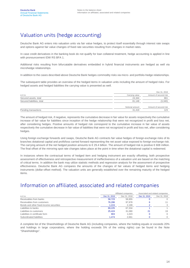### Valuation units (hedge accounting)

Deutsche Bank AG enters into valuation units via fair value hedges, to protect itself essentially through interest rate swaps and options against fair value changes of fixed rate securities resulting from changes in market rates.

In case credit derivatives in the banking book do not qualify for loan collateral treatment, hedge accounting is applied in line with pronouncement IDW RS BFA 1.

Additional risks resulting from bifurcatable derivatives embedded in hybrid financial instruments are hedged as well via microhedge relationships.

In addition to the cases described above Deutsche Bank hedges commodity risks via micro- and portfolio-hedge relationships.

The subsequent table provides an overview of the hedged items in valuation units including the amount of hedged risks. For hedged assets and hedged liabilities the carrying value is presented as well.

|                            |                 | Dec 31, 2019           |
|----------------------------|-----------------|------------------------|
| in $\in$ m.                | Carrying value  | Amount of secured risk |
| Secured assets, total      | 24,344          | 661                    |
| Secured liabilities, total | 81.148          | (3, 340)               |
|                            |                 |                        |
|                            | Notional amount | Amount of secured risk |
| Pending transactions       | 31.419          | 123                    |

The amount of hedged risk, if negative, represents the cumulative decrease in fair value for assets respectively the cumulative increase of fair value for liabilities since inception of the hedge relationship that were not recognized in profit and loss net. after considering hedges. Positive amounts of hedged risk correspond to the cumulative increase in fair value of assets respectively the cumulative decrease in fair value of liabilities that were not recognized in profit and loss net, after considering hedges.

Using foreign exchange forwards and swaps, Deutsche Bank AG contracts fair value hedges of foreign-exchange risks of its branches dotational capital and profit/loss carried forward representing the net asset value exposed to foreign exchange risk. The carrying amount of the net hedged position amounts to € 29.4 billion. The amount of hedged risk is positive € 608 million. The final offset of the mirroring spot rate changes takes place at the point in time when the dotational capital is redeemed.

In instances where the contractual terms of hedged item and hedging instrument are exactly offsetting, both prospective assessment of effectiveness and retrospective measurement of ineffectiveness of a valuation unit are based on the matching of critical terms. In addition the bank may utilize statistic methods and regression analysis for the assessment of prospective effectiveness. Deutsche Bank AG compares the amounts of the changes of fair values of hedged items and hedging instruments (dollar-offset method). The valuation units are generally established over the remaining maturity of the hedged items.

### Information on affiliated, associated and related companies

|                                         |              | Affiliated companies |              | Associated and related companies |  |
|-----------------------------------------|--------------|----------------------|--------------|----------------------------------|--|
| in $\epsilon$ m.                        | Dec 31, 2019 | Dec 31, 2018         | Dec 31, 2019 | Dec 31, 2018                     |  |
| Receivables from banks                  | 58.723       | 58.955               |              |                                  |  |
| Receivables from customers              | 76.286       | 97.978               | 6            | 11                               |  |
| Bonds and other fixed-income securities | 1.224        | 2.199                |              |                                  |  |
| Liabilities to banks                    | 69.225       | 67.334               |              |                                  |  |
| Liabilities to customers                | 25.424       | 31.080               | 21           | 19                               |  |
| Liabilities in certificate form         | 903          | 1.023                |              |                                  |  |
| Subordinated liabilities                | 1.474        | 2.661                |              |                                  |  |

A complete list of the Shareholdings of Deutsche Bank AG (including companies, where the holding equals or exceeds 20% and holdings in large corporations, where the holding exceeds 5% of the voting rights) can be found in the Note "Shareholdings".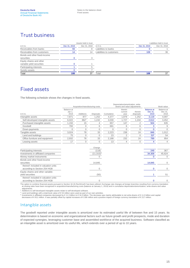### Trust business

|                                                      |              | Assets held in trust |                          |              | Liabilities held in trust |
|------------------------------------------------------|--------------|----------------------|--------------------------|--------------|---------------------------|
| in $\in$ m.                                          | Dec 31, 2019 | Dec 31, 2018         | in $\epsilon$ m.         | Dec 31, 2019 | Dec 31, 2018              |
| Receivables from banks                               | 93           |                      | Liabilities to banks     |              |                           |
| Receivables from customers                           | 14           | 14                   | Liabilities to customers | 108          | 36                        |
| Bonds and other fixed-income<br>securities           |              |                      |                          |              |                           |
| Equity shares and other<br>variable-yield securities |              |                      |                          |              |                           |
| Participating interests                              |              |                      |                          |              |                           |
| Sundry assets                                        |              |                      |                          |              |                           |
| Total                                                | 108          | 37                   | Гоtal                    | 108          | 37                        |

### Fixed assets

The following schedule shows the changes in fixed assets.

|                                                                      | Acquisition/manufacturing costs |              |                  | Depreciation/amortization, write-<br>downs and value adjustments |                            |                      | Book value                           |                               |
|----------------------------------------------------------------------|---------------------------------|--------------|------------------|------------------------------------------------------------------|----------------------------|----------------------|--------------------------------------|-------------------------------|
| in $\notin$ m.                                                       | Balance at<br>Jan 1,<br>2019    | Additions    | <b>Disposals</b> | Cumulative                                                       | therein<br>current<br>year | therein<br>disposals | <b>Balance</b> at<br>Dec 31,<br>2019 | Balance at<br>Dec 31,<br>2018 |
| Intangible assets                                                    | 7,871                           | 877          | 1.252            | 4,377                                                            | 1.879                      | 1,252                | 3,119                                | 4.097                         |
| Self-developed intangible assets                                     | 6,022                           | 8621         | 1,242            | 3,030                                                            | 1,727                      | 1,244                | 2,612                                | 3,452                         |
| Purchased intangible assets                                          | 1,150                           | 15           | 4                | 657                                                              | 147                        | 2                    | 504                                  | 635                           |
| Goodwill                                                             | 700                             | $\mathbf{0}$ | 6                | 691                                                              | 6                          | 6                    | 3                                    | 9                             |
| Down-payments                                                        | $\Omega$                        | $\Omega$     | $\Omega$         | $\Omega$                                                         | $\Omega$                   | $\Omega$             | $\Omega$                             | $\Omega$                      |
| Tangible assets                                                      | 3,024                           | 78           | 33               | 2,223                                                            | 238                        | 24                   | 846                                  | 1,012                         |
| Land and buildings                                                   | 75                              | $\mathbf{0}$ | $\Omega$         | 23                                                               | 2                          | $\Omega$             | 53 <sup>2</sup>                      | 54                            |
| Office furniture and equipment                                       | 2,932                           | 78           | 33               | 2,188                                                            | 232                        | 24                   | 789                                  | 954                           |
| Leasing assets                                                       | 17                              | $\mathbf{0}$ | $\mathbf{0}$     | 13                                                               | 4                          | 0                    | 4                                    | $\overline{4}$                |
|                                                                      |                                 |              | Change           |                                                                  |                            |                      |                                      |                               |
| Participating interests                                              |                                 |              | (118)            |                                                                  |                            |                      | 249                                  | 367                           |
| Investments in affiliated companies                                  |                                 |              | $(11, 315)^3$    |                                                                  |                            |                      | 34,309                               | 45.624                        |
| Money market instruments                                             |                                 |              |                  |                                                                  |                            |                      | $\Omega$                             | $\Omega$                      |
| Bonds and other fixed-income<br>securities                           |                                 |              | 14,845           |                                                                  |                            |                      | 14,845                               | $\mathbf{0}$                  |
| thereof: included in valuation units<br>according to Section 254 HGB |                                 |              | $\Omega$         |                                                                  |                            |                      | $\Omega$                             | $\mathbf{0}$                  |
| Equity shares and other variable-<br>vield securities                |                                 |              | (50)             |                                                                  |                            |                      |                                      | 51                            |
| thereof: included in valuation units<br>according to Section 254 HGB |                                 |              | $\Omega$         |                                                                  |                            |                      | $\Omega$                             | $\mathbf{0}$                  |

The option to combine financial assets pursuant to Section 34 (3) RechKredV has been utilized. Exchange rate changes at foreign branches resulting from currency translation at closing rates have been recognized in acquisition/manufacturing costs (balance at January 1, 2019) and in cumulative depreciation/amortization, write-downs and value

adjustments.<br><sup>1</sup> Additions to self-developed intangible assets relate to self-developed software.

<sup>2</sup> Land and buildings with a total book value of €53 million were used as part of our own activities.<br><sup>3</sup> Investments in affiliated companies decreased by €11.3 billion to €34.3 billion. The decrease was mainly attributa

#### Intangible assets

The goodwill reported under intangible assets is amortized over its estimated useful life of between five and 15 years. Its determination is based on economic and organizational factors such as future growth and profit prospects, mode and duration of expected synergies, leveraging customer base and assembled workforce of the acquired business. Software classified as an intangible asset is amortized over its useful life, which extends over a period of up to 10 years.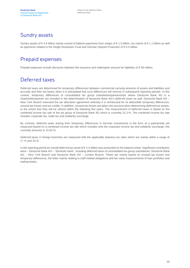### Sundry assets

Sundry assets of € 4.4 billion mainly consist of balloon-payments from swaps of € 1.5 billion, tax claims of € 1.1 billion as well as payments related to the Single Resolution Fund and German Deposit Protection of € 0.5 billion.

### Prepaid expenses

Prepaid expenses include discounts between the issuance and redemption amount for liabilities of € 59 million.

### Deferred taxes

Deferred taxes are determined for temporary differences between commercial carrying amounts of assets and liabilities and accruals and their tax bases when it is anticipated that such differences will reverse in subsequent reporting periods. In this context, temporary differences of consolidated tax group subsidiaries/partnerships where Deutsche Bank AG is a shareholder/partner are included in the determination of Deutsche Bank AG's deferred taxes as well. Deutsche Bank AG – New York Branch executed the tax allocation agreement whereby it is reimbursed for its deductible temporary differences, unused tax losses and tax credits. In addition, unused tax losses are taken into account when determining deferred tax assets, to the extent that they will be utilized within the following five years. The measurement of deferred taxes is based on the combined income tax rate of the tax group of Deutsche Bank AG which is currently 31.3 %. The combined income tax rate includes corporate tax, trade tax and solidarity surcharge.

By contrast, deferred taxes arising from temporary differences in German investments in the form of a partnership are measured based on a combined income tax rate which includes only the corporate income tax and solidarity surcharge; this currently amounts to 15.83 %.

Deferred taxes in foreign branches are measured with the applicable statutory tax rates which are mainly within a range of 17 % and 33 %.

In the reporting period an overall deferred tax asset of € 2.6 billion was presented on the balance sheet. Significant contributors were – Deutsche Bank AG – "domestic bank", including deferred taxes of consolidated tax group subsidiaries, Deutsche Bank AG – New York Branch and Deutsche Bank AG – London Branch. These are mainly based on unused tax losses and temporary differences, the latter mainly relating to staff related obligations and fair value measurements of loan portfolios and trading books.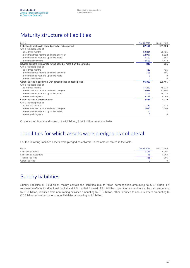### Maturity structure of liabilities

| in $\notin$ m.                                                       | Dec 31, 2019 | Dec 31, 2018 |
|----------------------------------------------------------------------|--------------|--------------|
| Liabilities to banks with agreed period or notice period             | 87,154       | 101,080      |
| with a residual period of                                            |              |              |
| up to three months                                                   | 62.894       | 79,421       |
| more than three months and up to one year                            | 13,997       | 9,628        |
| more than one year and up to five years                              | 5,710        | 7,557        |
| more than five years                                                 | 4,553        | 4,473        |
| Savings deposits with agreed notice period of more than three months | 849          | 935          |
| with a residual period of                                            |              |              |
| up to three months                                                   | 423          | 425          |
| more than three months and up to one year                            | 418          | 501          |
| more than one year and up to five years                              | 8            | 9            |
| more than five years                                                 | $\mathbf 0$  | $\Omega$     |
| Other liabilities to customers with agreed period or notice period   | 95,319       | 105,465      |
| with a residual period of                                            |              |              |
| up to three months                                                   | 47.299       | 48,024       |
| more than three months and up to one year                            | 32,061       | 31,602       |
| more than one year and up to five years                              | 7.704        | 16,772       |
| more than five years                                                 | 8,263        | 9,068        |
| Other liabilities in certificate form                                | 3,848        | 4,919        |
| with a residual period of                                            |              |              |
| up to three months                                                   | 1,159        | 1,912        |
| more than three months and up to one year                            | 2,680        | 3,006        |
| more than one year and up to five years                              | 10           |              |
| more than five years                                                 | $\mathbf 0$  | 0            |

Of the issued bonds and notes of € 87.6 billion, € 16.3 billion mature in 2020.

### Liabilities for which assets were pledged as collateral

For the following liabilities assets were pledged as collateral in the amount stated in the table.

| in $\in$ m.                | Dec 31, 2019    | Dec 31, 2018 |
|----------------------------|-----------------|--------------|
| Liabilities to banks       | /0.167          | 8,707        |
| Liabilities to customers   | 96              | 4.164        |
| <b>Trading liabilities</b> | 42 <sup>2</sup> | 395          |
| Other liabilities          |                 |              |

### Sundry liabilities

Sundry liabilities of €6.3 billion mainly contain the liabilities due to failed derecognition amounting to €1.6 billion, FX revaluation effects for dotational capital and P&L carried forward of € 1.5 billion, operating expenditure to be paid amounting to € 0.8 billion, liabilities from non-trading activities amounting to € 0.7 billion, other liabilities to non-customers amounting to € 0.6 billion as well as other sundry liabilities amounting to  $€1$  billion.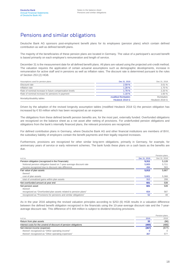### Pensions and similar obligations

Deutsche Bank AG sponsors post-employment benefit plans for its employees (pension plans) which contain defined contribution as well as defined benefit plans.

The majority of the beneficiaries of these pension plans are located in Germany. The value of a participant's accrued benefit is based primarily on each employee's remuneration and length of service.

December 31 is the measurement date for all defined benefit plans. All plans are valued using the projected unit-credit method. The valuation requires the application of certain actuarial assumptions such as demographic developments, increase in remuneration for active staff and in pensions as well as inflation rates. The discount rate is determined pursuant to the rules of Section 253 (2) HGB.

| Assumptions used for pension plans                     | Dec 31, 2019         | Dec 31, 2018   |
|--------------------------------------------------------|----------------------|----------------|
| Discount rate                                          | 2.59%                | 3.01%          |
| Inflation rate                                         | 1.28%                | 1.70 %         |
| Rate of nominal increase in future compensation levels | 1.78%                | 2.20 %         |
| Rate of nominal increase for pensions in payment       | 1.18%                | 1.60 %         |
| Mortality/disability tables                            | modified Richttafeln | Richttafeln    |
|                                                        | Heubeck 2018 G       | Heubeck 2018 G |

Driven by the adoption of the revised longevity assumption tables (modified Heubeck 2018 G) the pension obligation has increased by € 93 million which has been recognized as an expense.

The obligations from these defined benefit pension benefits are, for the most part, externally funded. Overfunded obligations are recognized on the balance sheet as a net asset after netting of provisions. For underfunded pension obligations and obligations from the bank's internally financed plans, the relevant provisions are recognized.

For defined contribution plans in Germany, where Deutsche Bank AG and other financial institutions are members of BVV, the subsidiary liability of employers contain the benefit payments and their legally required increases.

Furthermore, provisions are recognized for other similar long-term obligations, primarily in Germany, for example, for anniversary years of service or early retirement schemes. The bank funds these plans on a cash basis as the benefits are due.

|                                                                   |              | Pension plans |
|-------------------------------------------------------------------|--------------|---------------|
| in $\notin$ m.                                                    | Dec 31, 2019 | Dec 31, 2018  |
| Pension obligation (recognized in the Financials)                 | 5,311        | 5.128         |
| Notional pension obligation based on 7-year-average discount rate | 5.805        | 5,711         |
| Income recognized due to discount rate difference                 | 494          | 583           |
| Fair value of plan assets                                         | 5,913        | 5,667         |
| thereof:                                                          |              |               |
| cost of plan assets                                               | 5,601        | 5,368         |
| total of unrealized gains within plan assets                      | 312          | 299           |
| Net overfunded amount at year end                                 | 601          | 539           |
| Net pension asset                                                 | 601          | 539           |
| thereof:                                                          |              |               |
| recognized as "Overfunded plan assets related to pension plans"   | 654          | 587           |
| recognized as "Provisions for pensions and similar obligations"   | 52           | 48            |

As in the year 2016 adopting the revised valuation principles according to §253 (6) HGB results in a valuation difference between the defined benefit obligation recognized in the financials using the 10-year-average discount rate and the 7-yearaverage discount rate. This difference of € 494 million is subject to dividend blocking provisions.

|                                                                  |       | Pension plans |
|------------------------------------------------------------------|-------|---------------|
| in $\notin$ m.                                                   | 2019  | 2018          |
| Return from plan assets                                          | 33    | (96)          |
| Interest costs for the unwind of discount of pension obligations | (400) | (480)         |
| Net interest income (expense)                                    | (367) | (577)         |
| thereof: recognized as "Other operating income"                  |       |               |
| thereof: recognized as "Other operating expenses"                | 367   | 577           |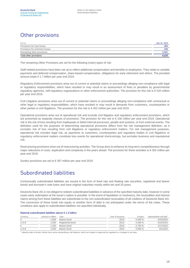### Other provisions

| in $\in$ m.                    | Dec 31, 2019 |
|--------------------------------|--------------|
| Provisions for loan losses     | 394          |
| Provisions for imminent losses | 248          |
| Remaining other provisions     | 3.491        |
| Total other provisions         | 4,133        |

The remaining Other Provisions are set for the following (main) types of risk:

Staff related provisions have been set up to reflect additional compensation and benefits to employees. They relate to variable payments and deferred compensation, share-based compensation, obligations for early retirement and others. The provided amount totals € 1.7 billion per year end 2019.

Regulatory Enforcement provisions arise out of current or potential claims or proceedings alleging non-compliance with legal or regulatory responsibilities, which have resulted or may result in an assessment of fines or penalties by governmental regulatory agencies, self-regulatory organizations or other enforcement authorities. The provision for this risk is € 520 million per year end 2019.

Civil Litigation provisions arise out of current or potential claims or proceedings alleging non-compliance with contractual or other legal or regulatory responsibilities, which have resulted or may result in demands from customers, counterparties or other parties in civil litigations. The provision for this risk is € 452 million per year end 2019.

Operational provisions arise out of operational risk and exclude civil litigation and regulatory enforcement provisions, which are presented as separate classes of provisions. The provision for this risk is € 106 million per year end 2019. Operational risk is the risk of loss resulting from inadequate or failed internal processes, people and systems, or from external events. The definition used for the purposes of determining operational provisions differs from the risk management definition, as it excludes risk of loss resulting from civil litigations or regulatory enforcement matters. For risk management purposes, operational risk includes legal risk, as payments to customers, counterparties and regulatory bodies in civil litigations or regulatory enforcement matters constitute loss events for operational shortcomings, but excludes business and reputational risk.

Restructuring provisions arise out of restructuring activities. The Group aims to enhance its long-term competitiveness through major reductions in costs, duplication and complexity in the years ahead. The provision for these activities is €302 million per year end 2019.

Sundry provisions are set to € 397 million per year end 2019.

### Subordinated liabilities

Contractually subordinated liabilities are issued in the form of fixed rate and floating rate securities, registered and bearer bonds and borrower's note loans and have original maturities mostly within ten and 20 years.

Deutsche Bank AG is not obliged to redeem subordinated liabilities in advance of the specified maturity date, however in some cases early redemption at the issuer's option is possible. In the event of liquidation or insolvency, the receivables and interest claims arising from these liabilities are subordinate to the non-subordinated receivables of all creditors of Deutsche Bank AG. The conversion of these funds into equity or another form of debt is not anticipated under the terms of the notes. These conditions also apply to subordinated liabilities not specified individually.

#### Material subordinated liabilities above € 1.0 billion

| Currency | Amount in million | Type            | Year of issuance | Coupon  | Maturity/Next call date <sup>1</sup> |
|----------|-------------------|-----------------|------------------|---------|--------------------------------------|
| €        | .084              | Bearer bond     | 2010             | 5.000 % | 6/24/2020                            |
| $U.S.\$  | .500              | Registered bond | 2013             | 4.296%  | 5/24/2023                            |
| €        | .250              | Bearer bond     | 2015             | 2.750 % | 2/17/2025                            |
| $U.S.\$  | .500              | Bearer bond     | 2015             | 4.500%  | 4/1/2025                             |

<sup>1</sup> Maturity date of bonds. Bonds have some extraordinary call features, which are subject to approval by regulators or changes in tax laws.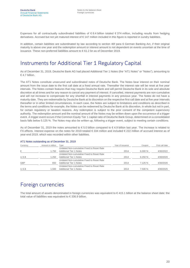Expenses for all contractually subordinated liabilities of € 8.4 billion totaled € 374 million, including results from hedging derivatives. Accrued but not yet matured interest of € 147 million included in this figure is reported in sundry liabilities.

In addition, certain liabilities are subordinated by law according to section 46f para 6 German Banking Act, if their original maturity is above one year and the redemption amount or interest amount is not dependent on events uncertain at the time of issuance. These non-preferred liabilities amount to € 61.2 bn as of December 2019.

### Instruments for Additional Tier 1 Regulatory Capital

As of December 31, 2019, Deutsche Bank AG had placed Additional Tier 1 Notes (the "AT1 Notes" or "Notes"), amounting to € 4.7 billion.

The AT1 Notes constitute unsecured and subordinated notes of Deutsche Bank. The Notes bear interest on their nominal amount from the issue date to the first call date at a fixed annual rate. Thereafter the interest rate will be reset at five year intervals. The Notes contain features that may require Deutsche Bank and will permit Deutsche Bank in its sole and absolute discretion at all times and for any reason to cancel any payment of interest. If cancelled, interest payments are non-cumulative and will not increase to compensate for any shortfall in interest payments in any previous year. The Notes do not have a maturity date. They are redeemable by Deutsche Bank at its discretion on the respective first call date and at five year intervals thereafter or in other limited circumstances. In each case, the Notes are subject to limitations and conditions as described in the terms and conditions for example, the Notes can be redeemed by Deutsche Bank at its discretion, in whole but not in part, for certain regulatory or taxation reasons. Any redemption is subject to the prior consent of the competent supervisory authority. The redemption amount and the nominal amount of the Notes may be written down upon the occurrence of a trigger event. A trigger event occurs if the Common Equity Tier 1 capital ratio of Deutsche Bank Group, determined on a consolidated basis falls below 5.125 %. The Notes may also be written up, following a trigger event, subject to meeting certain conditions.

As of December 31, 2019 the notes amounted to € 5.0 billion compared to € 4.9 billion last year. The increase is related to FX-effects. Interest expense on the notes for 2019 totaled € 334 million and included € 222 million of accrued interest as of year-end 2019, which was recorded within other liabilities.

| Currency   | Amount in million | Type                                       | Year of issuance | Coupon | First call date |
|------------|-------------------|--------------------------------------------|------------------|--------|-----------------|
|            |                   | Undated Non-cumulative Fixed to Reset Rate |                  |        |                 |
| €          | .750              | Additional Tier 1 Notes                    | 2014             | 6.000% | 4/30/2022       |
|            |                   | Undated Non-cumulative Fixed to Reset Rate |                  |        |                 |
| U.S.S      | .250              | Additional Tier 1 Notes                    | 2014             | 6.250% | 4/30/2020       |
|            |                   | Undated Non-cumulative Fixed to Reset Rate |                  |        |                 |
| <b>GBP</b> | 650               | <b>Additional Tier 1 Notes</b>             | 2014             | 7.125% | 4/30/2026       |
|            |                   | Undated Non-cumulative Fixed to Reset Rate |                  |        |                 |
| U.S.S      | .500              | Additional Tier 1 Notes                    | 2014             | 7.500% | 4/30/2025       |

#### AT1 Notes outstanding as of December 31, 2019

### Foreign currencies

The total amount of assets denominated in foreign currencies was equivalent to €415.1 billion at the balance sheet date; the total value of liabilities was equivalent to € 336.9 billion.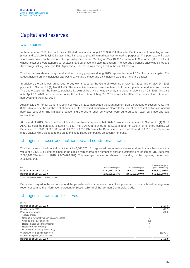### Capital and reserves

#### Own shares

In the course of 2019, the bank or its affiliated companies bought 170,366,154 Deutsche Bank shares at prevailing market prices and sold 170,538,840 Deutsche Bank shares at prevailing market prices for trading purposes. The purchase of its own shares was based on the authorization given by the General Meeting on May 18, 2017 pursuant to Section 71 (1) No. 7 AktG, whose limitations were adhered to for each share purchase and sale transaction. The average purchase price was €6.97 and the average selling price was € 6.98 per share. The result was recognized in the capital reserve.

The bank's own shares bought and sold for trading purposes during 2019 represented about 8 % of its share capital. The largest holding on any individual day was 0.03 % and the average daily holding 0.01 % of its share capital.

In addition, the bank was authorized to buy own shares by the General Meetings of May 23, 2019 and of May 24, 2018 pursuant to Section 71 (1) No. 8 AktG. The respective limitations were adhered to for each purchase and sale transaction. The authorization for the bank to purchase its own shares, which was given by the General Meeting on 24, 2018 and valid until April 30, 2023, was cancelled once the authorization of May 23, 2019 came into effect. The new authorization was approved until April 30, 2024.

Additionally the Annual General Meeting of May 23, 2019 authorized the Management Board pursuant to Section 71 (1) No. 8 AktG to execute the purchase of shares under the resolved authorization also with the use of put and call options or forward purchase contracts. The limitations concerning the use of such derivatives were adhered to for each purchase and sale transaction.

At the end of 2019, Deutsche Bank AG and its affiliated companies held 6.446 own shares pursuant to Section 71 (1) No. 7 AktG. Its holdings pursuant to Section 71 (1) No. 8 AktG amounted to 664,911 shares, or 0.03 % of its share capital. On December 31, 2019, 9,226,803 (end of 2018: 9,238,143) Deutsche Bank shares, i.e. 0.45 % (end of 2018: 0.45 %) of our share capital, were pledged to the bank and its affiliated companies as security for loans.

#### Changes in subscribed, authorized and conditional capital

The bank's subscribed capital is divided into 2,066,773,131 registered no-par-value shares and each share has a nominal value of € 2.56. Excluding holdings of the bank's own shares, the number of shares outstanding at December 31, 2019 was 2,066,101,774 (end of 2018: 2,065,428,987). The average number of shares outstanding in the reporting period was 2,061,692,935.

| in $\in$                   | Subscribed capital | Authorized capital | Conditional capital<br>(vet to be utilized) |
|----------------------------|--------------------|--------------------|---------------------------------------------|
| Balance as of Dec 31, 2018 | 5.290.939.215.36   | 2.560.000.000.00   | 563.200.000.00                              |
| Balance as of Dec 31, 2019 | 5.290.939.215.36   | 2.560.000.000.00   | 563.200.000.00                              |

<sup>1</sup> Includes nominal value of treasury shares.

Details with regard to the authorized and the yet to be utilized conditional capital are presented in the combined management report concerning the Information pursuant to Section 289 (4) of the German Commercial Code.

#### Changes in capital and reserves

| in $\epsilon$ m.                              |     |           |
|-----------------------------------------------|-----|-----------|
| Balance as of Dec 31, 2018                    |     | 54,634    |
| Distribution in 2019                          |     | (227)     |
| Profit carried forward                        |     | (259)     |
| Treasury shares                               |     |           |
| - Change in notional value in treasury shares | 0   |           |
| - Change of acquisition costs                 | (0) |           |
| - Realized net gains (non-trading)            | 4   |           |
| - Realized result (trading)                   | 3   |           |
| - Realized net losses (non-trading)           |     |           |
| Withdrawal from capital reserves              |     | (19, 426) |
| Distributable profit (loss) for 2019          |     |           |
| Balance as of Dec 31, 2019                    |     | 34,728    |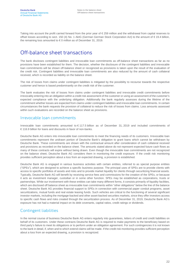Taking into account the profit carried forward from the prior year of € 259 million and the withdrawal from capital reserves to offset losses according to sect. 150 (4) No. 1 AktG (German German Stock Corporation Act) to the amount of € 19.4 billion, the remaining loss amounted to € 0 million as of December 31, 2019.

### Off-balance sheet transactions

The bank discloses contingent liabilities and irrevocable loan commitments as off-balance sheet transactions as far as no provisions have been established for them. The decision, whether the disclosure of the contingent liabilities and irrevocable loan commitments will be shown off-balance sheet or recognized as provisions is taken upon the result of the evaluation of the credit risk. Contingent liabilities and irrevocable loan commitments are also reduced by the amount of cash collateral received, which is recorded as liability on the balance sheet.

The risk of losses from claims under contingent liabilities is mitigated by the possibility to recourse towards the respective customer and hence is based predominantly on the credit risk of the customer.

The bank evaluates the risk of losses from claims under contingent liabilities and irrevocable credit commitments before irrevocably entering into an obligation within a credit risk assessment of the customer or using an assessment of the customer's expected compliance with the underlying obligation. Additionally the bank regularly assesses during the lifetime of the commitment whether losses are expected from claims under contingent liabilities and irrevocable loan commitments. In certain circumstances the bank requests the provision of collateral to reduce the risk of losses from claims. Loss amounts assessed within such evaluations are recorded on the balance sheet as provisions.

#### Irrevocable loan commitments

Irrevocable loan commitments amounted to € 117.5 billion as of December 31, 2019 and included commitments of € 116.9 billion for loans and discounts in favor of non-banks.

Deutsche Bank AG enters into irrevocable loan commitments to meet the financing needs of its customers. Irrevocable loan commitments represent the undrawn portion of Deutsche Bank's obligation to grant loans which cannot be withdrawn by Deutsche Bank. These commitments are shown with the contractual amount after consideration of cash collateral received and provisions as recorded on the balance sheet. The amounts stated above do not represent expected future cash flows as many of these contracts will expire without being drawn. Even though the irrevocable loan commitments are not recognized on the balance sheet, Deutsche Bank AG considers them in monitoring the credit exposure. If the credit risk monitoring provides sufficient perception about a loss from an expected drawing, a provision is established.

Deutsche Bank AG is engaged in various business activities with certain entities, referred to as special purpose entities ("SPEs"), which are designed to achieve a specific business purpose. The principal uses of SPEs are to provide clients with access to specific portfolios of assets and risks and to provide market liquidity for clients through securitizing financial assets. Typically, Deutsche Bank AG will benefit by receiving service fees and commissions for the creation of the SPEs, or because it acts as investment manager, custodian or in some other function. SPEs may be established as corporations, trusts or partnerships. While our involvement with these entities can take many different forms, it consists primarily of liquidity facilities, which are disclosed off balance sheet as irrevocable loan commitments within "other obligations" below the line of the balance sheet. Deutsche Bank AG provides financial support to SPEs in connection with commercial paper conduit programs, asset securitizations, mutual funds and real estate leasing funds. Such vehicles are critical to the functioning of several significant investor markets, including the mortgage-backed and other asset-backed securities markets, since they offer investors access to specific cash flows and risks created through the securitization process. As of December 31, 2019, Deutsche Bank AG's exposure has not had a material impact on its debt covenants, capital ratios, credit ratings or dividends.

#### Contingent liabilities

In the normal course of business Deutsche Bank AG enters regularly into guarantees, letters of credit and credit liabilities on behalf of its customers. Under these contracts Deutsche Bank AG is required to make payments to the beneficiary based on third party's failure to meet its obligations or to perform under an obligation agreement. For such contingencies it is not known to the bank in detail, if, when and to which extend claims will be made. If the credit risk monitoring provides sufficient perception about a loss from an expected drawing, a provision is recognized.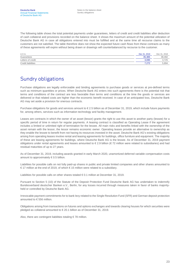The following table shows the total potential payments under guarantees, letters of credit and credit liabilities after deduction of cash collateral and provisions recorded on the balance sheet. It shows the maximum amount of the potential utilization of Deutsche Bank AG in case all obligations entered into must be fulfilled and at the same time all recourse claims to the customers are not satisfied. The table therefore does not show the expected future cash flows from these contracts as many of these agreements will expire without being drawn or drawings will counterbalanced by recourse to the customer.

| in $\epsilon$ m.          | Dec 31, 2019 | Dec 31, 2018 |
|---------------------------|--------------|--------------|
| Guarantees                | 35.365       | 39,492       |
| Letters of credit         | 3.095        | 3,725        |
| <b>Credit liabilities</b> | 7.272        | 5,894        |

### Sundry obligations

Purchase obligations are legally enforceable and binding agreements to purchase goods or services at pre-defined terms such as minimum quantities or prices. When Deutsche Bank AG enters into such agreements there is the potential risk that terms and conditions of the contract are less favorable than terms and conditions at the time the goods or services are delivered or that related costs are higher than the economic benefit received. In case of an anticipated loss, Deutsche Bank AG may set aside a provision for onerous contracts.

Purchase obligations for goods and services amount to € 2.5 billion as of December 31, 2019, which include future payments for, among others, services such as information technology and facility management.

Leases are contracts in which the owner of an asset (lessor) grants the right to use this asset to another party (lessee) for a specific period of time in return for regular payments. A leasing contract is classified as Operating Lease if the agreement includes a limited or unlimited right of termination for the lessee. All main risks and benefits linked with the ownership of the asset remain with the lessor, the lessor remains economic owner. Operating leases provide an alternative to ownership as they enable the lessee to benefit from not having its resources invested in the asset. Deutsche Bank AG's existing obligations arising from operating leases involve rental and leasing agreements for buildings, office furniture and equipment. The majority of these are leasing agreements for buildings, where Deutsche Bank AG is the lessee. As of December 31, 2019 payment obligations under rental agreements and leases amounted to € 2.9 billion (€ 72 million were related to subsidiaries) and had residual maturities of up to 27 years.

As of December 31, 2019, including awards granted in early March 2020, unamortized deferred variable compensation costs amount to approximately € 0.5 billion.

Liabilities for possible calls on not fully paid-up shares in public and private limited companies and other shares amounted to € 17 million at the end of 2019, of which € 15 million were related to a subsidiary.

Liabilities for possible calls on other shares totaled € 0.1 million at December 31, 2019.

Pursuant to Section 5 (10) of the Statute of the Deposit Protection Fund Deutsche Bank AG has undertaken to indemnify Bundesverband deutscher Banken e.V., Berlin, for any losses incurred through measures taken in favor of banks majorityheld or controlled by Deutsche Bank AG.

Irrevocable payment commitments for to bank levy related to the Single Resolution Fund (SFR) and German deposit protection amounted to € 556 million.

Obligations arising from transactions on futures and options exchanges and towards clearing houses for which securities were pledged as collateral amounted to € 20.1 billion as of December 31, 2019.

Also, there are contingent liabilities totaling  $\epsilon$  78 million.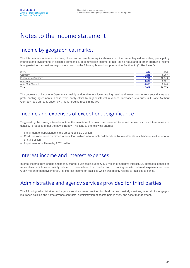### Notes to the income statement

### Income by geographical market

The total amount of interest income, of current income from equity shares and other variable-yield securities, participating interests and investments in affiliated companies, of commission income, of net trading result and of other operating income is originated across various regions as shown by the following breakdown pursuant to Section 34 (2) RechKredV.

| in $\notin$ m.        | 2019   | 2018   |
|-----------------------|--------|--------|
| Germany               | 5.241  | 8.297  |
| Europe excl. Germany  | 12.261 | 10.846 |
| Americas              | 6.064  | 5,691  |
| Africa/Asia/Australia | 4.056  | 3.744  |
| Total                 | 27.622 | 28,579 |

The decrease of income in Germany is mainly attributable to a lower trading result and lower income from subsidiaries and profit pooling agreements. These were partly offset by higher interest revenues. Increased revenues in Europe (without Germany) are primarily driven by a higher trading result in the UK.

### Income and expenses of exceptional significance

Triggered by the strategic transformation, the valuation of certain assets needed to be reassessed as their future value and usability is reduced under the new strategy. This lead to the following charges:

- Impairment of subsidiaries in the amount of € 11.0 billion
- Credit loss allowance on Group internal loans which were mainly collateralized by investments in subsidiaries in the amount of € 3.5 billion
- Impairment of software by  $\in$  781 million

### Interest income and interest expenses

Interest income from lending and money market business included € 435 million of negative interest, i.e. interest expenses on receivables which were mainly related to receivables from banks and to trading assets. Interest expenses included € 387 million of negative interest, i.e. interest income on liabilities which was mainly related to liabilities to banks.

### Administrative and agency services provided for third parties

The following administrative and agency services were provided for third parties: custody services, referral of mortgages, insurance policies and home savings contracts, administration of assets held in trust, and asset management.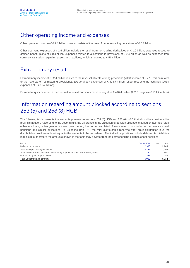### Other operating income and expenses

Other operating income of  $\epsilon$  1.1 billion mainly consists of the result from non-trading derivatives of  $\epsilon$  0.7 billion.

Other operating expenses of € 2.6 billion include the result from non-trading derivatives of € 1.0 billion, expenses related to defined benefit plans of € 0.4 billion, expenses related to allocations to provisions of € 0.4 billion as well as expenses from currency translation regarding assets and liabilities, which amounted to € 51 million.

### Extraordinary result

Extraordinary income of € 52.4 million relates to the reversal of restructuring provisions (2018: income of € 77.2 million related to the reversal of restructuring provisions). Extraordinary expenses of € 498.7 million reflect restructuring activities (2018: expenses of € 288.4 million).

Extraordinary income and expenses net to an extraordinary result of negative € 446.4 million (2018: negative € 211.2 million).

### Information regarding amount blocked according to sections 253 (6) and 268 (8) HGB

The following table presents the amounts pursuant to sections 268 (8) HGB and 253 (6) HGB that should be considered for profit distribution. According to the second rule, the difference in the valuation of pension obligations based on average rates, either employing a ten year or a seven year period, has to be calculated. Please refer to our notes to the balance sheet, pensions and similar obligations. At Deutsche Bank AG the total distributable reserves after profit distribution plus the distributable profit are at least equal to the amounts to be considered. The individual positions include deferred tax liabilities, if applicable; therefore the amounts shown in the table may deviate from the corresponding balance sheet positions.

| in $\notin$ m.                                                                    | Dec 31, 2019 | Dec 31, 2018    |
|-----------------------------------------------------------------------------------|--------------|-----------------|
| Deferred tax assets                                                               | 2.988        | 2,945           |
| Self-developed intangible assets                                                  | 2.355        | 3,206           |
| Valuation difference related to discounting of provisions for pension obligations | 340          | 40 <sup>°</sup> |
| Unrealized gains of plan assets                                                   | 287          | 280             |
| Total undistributable amount                                                      | 5.969        | 6.832           |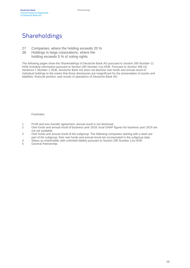### Shareholdings

- 27 Companies, where the holding exceeds 20 %
- 38 Holdings in large corporations, where the holding exceeds 5 % of voting rights

The following pages show the Shareholdings of Deutsche Bank AG pursuant to Section 285 Number 11 HGB including information pursuant to Section 285 Number 11a HGB. Pursuant to Section 286 (3) Sentence 1 Number 1 HGB, Deutsche Bank AG does not disclose own funds and annual result of individual holdings to the extent that those disclosures are insignificant for the presentation of assets and liabilities, financial position, and results of operations of Deutsche Bank AG.

Footnotes:

- 1 Profit and loss transfer agreement, annual result is not disclosed.
- $\overline{2}$ Own funds and annual result of business year 2018; local GAAP figures for business year 2019 are not yet available.
- 3 Own funds and annual result of the subgroup. The following companies starting with a dash are part of the subgroup; their own funds and annual result are incorporated in the subgroup data.
- 4 Status as shareholder with unlimited liability pursuant to Section 285 Number 11a HGB.
- 5 General Partnership.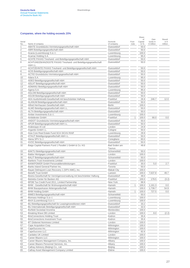#### Companies, where the holding exceeds 20%

|                 |                                                                                |                        |               | Share                 |                                       |                               |
|-----------------|--------------------------------------------------------------------------------|------------------------|---------------|-----------------------|---------------------------------------|-------------------------------|
| Serial<br>No.   | Name of company                                                                | Domicile<br>of company | Foot-<br>note | of<br>Capital<br>in % | Own<br>funds in<br>$\epsilon$ million | Result<br>in $\in$<br>million |
| 1               | ABATE Grundstücks-Vermietungsgesellschaft mbH                                  | Duesseldorf            |               | 50.0                  |                                       |                               |
| $\overline{c}$  | ABRI Beteiligungsgesellschaft mbH                                              | Duesseldorf            |               | 50.0                  |                                       |                               |
| 3               | Acacia (Luxembourg) S.à r.l.                                                   | Luxembourg             |               | 100.0                 |                                       |                               |
| 4               | Acamar Holding S.A.                                                            | Luxembourg             |               | 95.0                  |                                       |                               |
| $\overline{5}$  | ACHTE PAXAS Treuhand- und Beteiligungsgesellschaft mbH                         | Duesseldorf            |               | 50.0                  |                                       |                               |
| 6               | ACHTUNDZWANZIGSTE PAXAS Treuhand- und Beteiligungsgesellschaft                 | Duesseldorf            |               | 50.0                  |                                       |                               |
| 7               | mbH i.L.<br>ACHTZEHNTE PAXAS Treuhand- und Beteiligungsgesellschaft mbH        | Duesseldorf            |               | 50.0                  |                                       |                               |
| 8               | ACIS Beteiligungsgesellschaft mbH                                              | Duesseldorf            |               | 50.0                  |                                       |                               |
| 9               | ACTIO Grundstücks-Vermietungsgesellschaft mbH                                  | Duesseldorf            |               | 50.0                  |                                       |                               |
| 10              | Adara S.A.                                                                     | Luxembourg             |               | 95.0                  |                                       |                               |
| 11              | ADEO Beteiligungsgesellschaft mbH                                              | Duesseldorf            |               | 50.0                  |                                       |                               |
| 12              | ADLAT Beteiligungsgesellschaft mbH                                             | Duesseldorf            |               | 50.0                  |                                       |                               |
| 13              | ADMANU Beteiligungsgesellschaft mbH                                            | Duesseldorf            |               | 50.0                  |                                       |                               |
| 14              | Agena S.A.                                                                     | Luxembourg             |               | 95.0                  |                                       |                               |
| 15              | AGLOM Beteiligungsgesellschaft mbH                                             | Duesseldorf            |               | 50.0                  |                                       |                               |
| 16              | AGUM Beteiligungsgesellschaft mbH                                              | Duesseldorf            |               | 50.0                  |                                       |                               |
| 17              | AKA Ausfuhrkredit-Gesellschaft mit beschränkter Haftung                        | Frankfurt              |               | 26.9                  | 246.7                                 | 12.0                          |
| 18              | ALANUM Beteiligungsgesellschaft mbH                                            | Duesseldorf            |               | 50.0                  |                                       |                               |
| 19              | Alfred Herrhausen Gesellschaft mbH                                             | <b>Berlin</b>          |               | 100.0                 |                                       |                               |
| 20              | ALMO Beteiligungsgesellschaft mbH i.L.                                         | Duesseldorf            |               | 50.0                  |                                       |                               |
| 21              | ALTA Beteiligungsgesellschaft mbH                                              | Duesseldorf            |               | 50.0                  |                                       |                               |
| $\overline{22}$ | Amber Investments S.à r.l.                                                     | Luxembourg             |               | 100.0                 |                                       |                               |
| 23              | Ambidexter GmbH                                                                | Frankfurt              | 1             | 100.0                 | 66.0                                  | 0.0                           |
| 24              | ANDOT Grundstücks-Vermietungsgesellschaft mbH                                  | Duesseldorf            |               | 50.0                  |                                       |                               |
| 25              | APUR Beteiligungsgesellschaft mbH i.L.                                         | Duesseldorf            |               | 50.0                  |                                       |                               |
| 26              | Arabesque AI Ltd                                                               | London                 |               | 24.9                  |                                       |                               |
| 27              | Argantis GmbH i.L.                                                             | Cologne                |               | 50.0                  |                                       |                               |
| 28              | Asia Core Real Estate Fund SCA SICAV-RAIF                                      | Luxembourg             |               | 29.9                  |                                       |                               |
| 29              | ATAUT Beteiligungsgesellschaft mbH i.L.                                        | Duesseldorf            |               | 50.0                  |                                       |                               |
| 30              | Atena SPV S.r.I                                                                | Conegliano             |               | 60.0                  |                                       |                               |
| 31              | AVOC Beteiligungsgesellschaft mbH                                              | Duesseldorf            |               | 50.0                  |                                       |                               |
| 32              | Baigo Capital Partners Fund 1 Parallel 1 GmbH & Co. KG                         | Bad Soden am           |               | 49.8                  |                                       |                               |
|                 |                                                                                | Taunus                 |               |                       |                                       |                               |
| 33<br>34        | BAKTU Beteiligungsgesellschaft mbH                                             | Schoenefeld<br>London  |               | 50.0                  |                                       |                               |
|                 | <b>Baldur Mortgages Limited</b>                                                | Schoenefeld            |               | 100.0<br>50.0         |                                       |                               |
| 35              | BALIT Beteiligungsgesellschaft mbH<br><b>Bankers Trust Investments Limited</b> | London                 |               | 100.0                 |                                       |                               |
| 36<br>37        | BANKPOWER GmbH Personaldienstleistungen                                        | Frankfurt              |               | 30.0                  | 5.0                                   | 2.7                           |
| 38              | Banks Island General Partner Inc.                                              | Toronto                |               | 50.0                  |                                       |                               |
| 39              | Bayan Delinquent Loan Recovery 1 (SPV-AMC), Inc.                               | Makati City            |               | 100.0                 |                                       |                               |
| 40              | <b>Benefit Trust GmbH</b>                                                      | Luetzen                |               | 100.0                 | 7,637.8                               | 49.7                          |
| 41              | Bestra Gesellschaft für Vermögensverwaltung mit beschränkter Haftung           | Duesseldorf            |               | 49.0                  |                                       |                               |
| 42              | Betriebs-Center für Banken AG                                                  | Frankfurt              |               | 100.0                 | 179.5                                 | (3.2)                         |
| 43              | BFDB Tax Credit Fund 2011, Limited Partnership                                 | New York               |               | 99.9                  |                                       |                               |
| 44              | BHW - Gesellschaft für Wohnungswirtschaft mbH                                  | Hameln                 | 1             | 100.0                 | 1,161.3                               | 0.0                           |
| 45              | <b>BHW Bausparkasse Aktiengesellschaft</b>                                     | Hameln                 |               | 100.0                 | 1,739.7                               | 54.9                          |
| 46              | <b>BHW Holding GmbH</b>                                                        | Hameln                 | 1             | 100.0                 | 727.5                                 | 0.0                           |
| 47              | BIMES Beteiligungsgesellschaft mbH                                             | Schoenefeld            |               | 50.0                  |                                       |                               |
| 48              | Biomass Holdings S.à r.l.                                                      | Luxembourg             |               | 100.0                 |                                       |                               |
| 49              | Birch (Luxembourg) S.à r.l.                                                    | Luxembourg             |               | 100.0                 |                                       |                               |
| 50              | BLI Beteiligungsgesellschaft für Leasinginvestitionen mbH                      | Duesseldorf            |               | 33.2                  |                                       |                               |
| 51              | BLI Internationale Beteiligungsgesellschaft mbH                                | Duesseldorf            |               | 32.0                  |                                       |                               |
| 52              | Borfield Sociedad Anonima                                                      | Montevideo             |               | 100.0                 |                                       |                               |
| 53              | <b>Breaking Wave DB Limited</b>                                                | London                 |               | 100.0                 | 8.0                                   | (2.2)                         |
| 54              | <b>BrisConnections Holding Trust</b>                                           | Kedron                 |               | 35.6                  |                                       |                               |
| 55              | <b>BrisConnections Investment Trust</b>                                        | Kedron                 |               | 35.6                  |                                       |                               |
| 56              | <b>BT Globenet Nominees Limited</b>                                            | London                 |               | 100.0                 |                                       |                               |
| 57              | Cape Acquisition Corp.                                                         | Wilmington             |               | 100.0                 |                                       |                               |
| 58              | CapeSuccess Inc.                                                               | Wilmington             |               | 100.0                 |                                       |                               |
| 59              | CapeSuccess LLC                                                                | Wilmington             |               | 82.6                  |                                       |                               |
| 60              | Cardales UK Limited                                                            | London                 |               | 100.0                 |                                       |                               |
| 61              | Career Blazers LLC                                                             | Wilmington             |               | 100.0                 |                                       |                               |
| 62              | Career Blazers Management Company, Inc.                                        | Albany                 |               | 100.0                 |                                       |                               |
| 63              | Career Blazers Personnel Services, Inc.                                        | Albany                 |               | 100.0                 |                                       |                               |
| 64              | Cathay Advisory (Beijing) Co., Ltd.                                            | Beijing                |               | 100.0                 |                                       |                               |
| 65              | Cathay Asset Management Company Limited                                        | Ebène                  |               | 100.0                 |                                       |                               |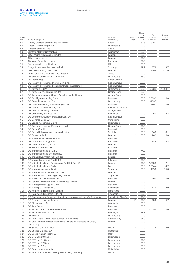|               |                                                                         |                         |                | Share                 |                                       |                                    |
|---------------|-------------------------------------------------------------------------|-------------------------|----------------|-----------------------|---------------------------------------|------------------------------------|
| Serial<br>No. | Name of company                                                         | Domicile<br>of company  | Foot-<br>note  | of<br>Capital<br>in % | Own<br>funds in<br>$\epsilon$ million | Result<br>in $\epsilon$<br>million |
| 66            | Cathay Capital Company (No 2) Limited                                   | Ebène                   |                | 67.6                  | 308.2                                 | 21.7                               |
| 67            | Cedar (Luxembourg) S.à r.l.                                             | Luxembourg              |                | 100.0                 |                                       |                                    |
| 68            | Centennial River 2 Inc.                                                 | Austin                  |                | 100.0                 |                                       |                                    |
| 69            | <b>Centennial River Corporation</b>                                     | Wilmington              |                | 100.0                 |                                       |                                    |
| 70            | City Leasing (Thameside) Limited                                        | London                  |                | 100.0                 |                                       |                                    |
| 71            | City Leasing Limited                                                    | London                  |                | 100.0                 |                                       |                                    |
| 72            | <b>Comfund Consulting Limited</b>                                       | Bangalore               |                | 30.0                  |                                       |                                    |
| 73            | Consumo Srl in Liquidazione                                             | Milan                   |                | 100.0                 |                                       |                                    |
| 74            | Craigs Investment Partners Limited                                      | Tauranga                |                | 49.9                  | 37.8                                  | 13.7                               |
| 75            | D B Investments (GB) Limited                                            | London                  | 2              | 100.0                 | 720.9                                 | 121.6                              |
| 76            | D&M Turnaround Partners Godo Kaisha                                     | Tokyo                   |                | 100.0                 |                                       |                                    |
| 77            | Danube Properties S.à r.l., en faillite                                 | Luxembourg              |                | 25.0                  |                                       |                                    |
| 78            | DB (Barbados) SRL                                                       | Christ Church           |                | 100.0                 |                                       |                                    |
| 79            | DB (Malaysia) Nominee (Asing) Sdn. Bhd.                                 | Kuala Lumpur            |                | 100.0                 |                                       |                                    |
| 80            | DB (Malaysia) Nominee (Tempatan) Sendirian Berhad                       | Kuala Lumpur            |                | 100.0                 |                                       |                                    |
| 81            | <b>DB Advisors SICAV</b>                                                | Luxembourg              |                | 95.6                  | 8,823.3                               | (1,008.1)                          |
| 82            | DB Aotearoa Investments Limited                                         | George Town             |                | 100.0                 |                                       |                                    |
| 83            | DB Apex Management Limited (in voluntary liquidation)                   | George Town             |                | 100.0                 |                                       |                                    |
| 84            | DB Beteiligungs-Holding GmbH                                            | Frankfurt               | 1              | 100.0                 | 6,303.9                               | 0.0                                |
| 85            | DB Capital Investments Sàrl                                             | Luxembourg              |                | 100.0                 | (183.5)                               | (91.2)                             |
| 86            | DB Capital Markets (Deutschland) GmbH                                   | Frankfurt               | 1              | 100.0                 | 580.2                                 | 0.0                                |
| 87            | DB Cartera de Inmuebles 1, S.A.U.                                       | Pozuelo de Alarcón      |                | 100.0                 |                                       |                                    |
| 88            | DB Chestnut Holdings Limited                                            | George Town             |                | 100.0                 |                                       |                                    |
| 89            | DB Commodity Services LLC                                               | Wilmington              |                | 100.0                 | 15.0                                  | 15.2                               |
| 90            | DB Corporate Advisory (Malaysia) Sdn. Bhd.                              | Kuala Lumpur            |                | 100.0                 |                                       |                                    |
| 91            | DB Covered Bond S.r.l.                                                  | Conegliano              |                | 90.0                  |                                       |                                    |
| 92            | DB Credit Investments S.à r.l.                                          | Luxembourg              |                | 100.0                 |                                       |                                    |
| 93            | DB Delaware Holdings (Europe) Limited                                   | George Town             |                | 100.0                 |                                       |                                    |
| 94            | <b>DB Direkt GmbH</b>                                                   | Frankfurt               | $\mathbf{1}$   | 100.0                 |                                       |                                    |
| 95            | DB Enfield Infrastructure Holdings Limited                              | St. Helier              |                | 100.0                 | 34.0                                  | (0.1)                              |
| 96            | <b>DB Equity Limited</b>                                                | London                  | $\overline{2}$ | 100.0                 | 26.9                                  | 0.0                                |
| 97            | DB Finance International GmbH                                           | Frankfurt               |                | 100.0                 |                                       |                                    |
| 98            | DB Global Technology SRL                                                | <b>Bucharest</b>        |                | 100.0                 | 48.4                                  | 9.2                                |
| 99            | DB Group Services (UK) Limited                                          | London                  |                | 100.0                 |                                       |                                    |
| 100           | <b>DB HR Solutions GmbH</b>                                             | Eschborn                |                | 100.0                 |                                       |                                    |
| 101           | DB Immobilienfonds 2 KG i.L.                                            | Frankfurt               |                | 74.0                  |                                       |                                    |
| 102           | DB Immobilienfonds 5 Wieland KG                                         | Frankfurt               |                | 92.0                  |                                       |                                    |
| 103           | DB Impact Investment (GP) Limited                                       | London                  |                | 100.0                 |                                       |                                    |
| 104           | DB Impact Investment Fund I, L.P.                                       | Edinburgh               |                | 100.0                 |                                       |                                    |
| 105           | DB Industrial Holdings Beteiligungs GmbH & Co. KG                       | Luetzen                 |                | 100.0                 | 1,655.9                               | 2.1                                |
| 106           | DB Industrial Holdings GmbH                                             | Luetzen                 |                | 100.0                 | 1,584.4                               | 4.2                                |
| 107           | DB International (Asia) Limited                                         | Singapore               |                | 100.0                 | 475.6                                 | 25.0                               |
| 108           | DB International Investments Limited                                    | London                  |                | 100.0                 |                                       |                                    |
| 109           | DB International Trust (Singapore) Limited                              | Singapore               |                | 100.0                 |                                       |                                    |
| 110           | DB Investment Services GmbH                                             | Frankfurt               | 1              | 100.0                 | 46.0                                  | 0.0                                |
| 111           | DB London (Investor Services) Nominees Limited                          | London                  |                | 100.0                 |                                       |                                    |
| 112           | DB Management Support GmbH                                              | Frankfurt               |                | 100.0                 |                                       |                                    |
| 113           | DB Municipal Holdings LLC                                               | Wilmington              |                | 100.0                 | 44.4                                  | 12.0                               |
| 114           | DB Nominees (Hong Kong) Limited                                         | Hong Kong               |                | 100.0                 |                                       |                                    |
| 115           | DB Nominees (Singapore) Pte Ltd                                         | Singapore               |                | 100.0                 |                                       |                                    |
| 116           | DB Operaciones y Servicios Interactivos Agrupación de Interés Económico | Pozuelo de Alarcón      |                | 99.9                  |                                       |                                    |
| 117           | DB Overseas Holdings Limited                                            | London                  | 2              | 100.0                 | 55.6                                  | 5.7                                |
|               | DB Placement, LLC                                                       | Wilmington              |                | 100.0                 |                                       |                                    |
| 118           | <b>DB Print GmbH</b>                                                    | Frankfurt               | $\mathbf{1}$   | 100.0                 |                                       |                                    |
| 119           | DB Privat- und Firmenkundenbank AG                                      |                         |                |                       |                                       |                                    |
| 120           | DB RC Investments II, LLC                                               | Frankfurt<br>Wilmington | 1              | 100.0<br>99.9         | 8,619.6                               | 0.0                                |
| 121<br>122    | DB Re S.A.                                                              | Luxembourg              |                | 100.0                 |                                       |                                    |
| 123           | DB Real Estate Global Opportunities IB (Offshore), L.P.                 | Camana Bay              |                | 34.3                  |                                       |                                    |
| 124           | DB Safe Harbour Investment Projects Limited (in members' voluntary      | London                  |                | 100.0                 |                                       |                                    |
|               |                                                                         |                         |                |                       |                                       |                                    |

125 DB Service Centre Limited<br>
126 DB Service Uruguay S.A.<br>
Montevideo 2 100.0 17.8 2.0

127 DB Servizi Amministrativi S.r.l.<br>
128 DB STG Lux 10 S.à r.l. Milan 100.0

129 DB STG Lux 11 S.à r.l.<br>
130 DB STG Lux 12 S.à r.l.<br>
Luxembourg 100.0

131 DB STG Lux 9 S.à r.l.<br>
132 DB Strategic Advisors, Inc.<br>
100.0 DB Strategic Advisors, Inc. <br>
DB Structured Finance 1 Designated Activity Company<br>
Makati City 100.0

DB Safe Harbour Investment Projects Limited (in members' voluntary

liquidation)

DB Service Uruguay S.A.

DB STG Lux 10 S.à r.l.

133 DB Structured Finance 1 Designated Activity Company

 $\overline{\frac{130}{131}}$  DB STG Lux 12 S.à r.l.<br>
DB STG Lux 9 S.à r.l.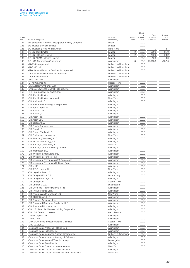Share

Own

Result

| Serial<br>No. | Name of company                                     | Domicile<br>of company | Foot-<br>note  | of<br>Capital<br>in % | Own<br>funds in<br>€ million | Result<br>in $\in$<br>million |
|---------------|-----------------------------------------------------|------------------------|----------------|-----------------------|------------------------------|-------------------------------|
| 134           | DB Structured Finance 2 Designated Activity Company | Dublin                 |                | 100.0                 |                              |                               |
| 135           | <b>DB Trustee Services Limited</b>                  | London                 |                | 100.0                 |                              |                               |
| 136           | DB Trustees (Hong Kong) Limited                     | Hong Kong              |                | 100.0                 | 4.2                          | 2.7                           |
| 137           | <b>DB UK Bank Limited</b>                           | London                 | 2              | 100.0                 | 709.3                        | 81.0                          |
| 138           | <b>DB UK Holdings Limited</b>                       | London                 | $\overline{2}$ | 100.0                 | 432.2                        | 23.2                          |
| 139           | DB UK PCAM Holdings Limited                         | London                 |                | 100.0                 | 10.8                         | 0.0                           |
| 140           | DB USA Corporation (Sub-group)                      | Wilmington             | 3              | 100.0                 | 12,405.9                     | (552.6)                       |
| 141           | -ABFS I Incorporated                                | Lutherville-Timonium   |                | 100.0                 |                              |                               |
| 142           | -ABS MB Ltd.                                        | Lutherville-Timonium   |                | 100.0                 |                              |                               |
| 143           | -Alex. Brown Financial Services Incorporated        | Lutherville-Timonium   |                | 100.0                 |                              |                               |
| 144           | -Alex. Brown Investments Incorporated               | Lutherville-Timonium   |                | 100.0                 |                              |                               |
| 145           | -Argent Incorporated                                | Lutherville-Timonium   |                | 100.0                 |                              |                               |
| 146           | -Blue Cork, Inc.                                    | Wilmington             |                | 100.0                 |                              |                               |
| 147           | -BTAS Cayman GP                                     | George Town            |                | 100.0                 |                              |                               |
| 148           | -China Recovery Fund, LLC                           | Wilmington             |                | 85.0                  |                              |                               |
| 149           | -Cyrus J. Lawrence Capital Holdings, Inc.           | Wilmington             |                | 100.0                 |                              |                               |
| 150           | -D.B. International Delaware, Inc.                  | Wilmington             |                | 100.0                 |                              |                               |
| 151           | -DB (Pacific) Limited                               | Wilmington             |                | 100.0                 |                              |                               |
| 152           | -DB (Pacific) Limited, New York                     | New York               |                | 100.0                 |                              |                               |
| 153           | -DB Abalone LLC                                     | Wilmington             |                | 100.0                 |                              |                               |
| 154           | -DB Alex. Brown Holdings Incorporated               | Wilmington             |                | 100.0                 |                              |                               |
| 155           | -DB Alps Corporation                                | Wilmington             |                | 100.0                 |                              |                               |
| 156           | -DB Aster II, LLC                                   | Wilmington             |                | 100.0                 |                              |                               |
| 157           | -DB Aster III, LLC                                  | Wilmington             |                | 100.0                 |                              |                               |
| 158           | -DB Aster, Inc.                                     | Wilmington             |                | 100.0                 |                              |                               |
| 159           | -DB Aster, LLC                                      | Wilmington             |                | 100.0                 |                              |                               |
| 160           | -DB Boracay LLC                                     | Wilmington             |                | 100.0                 |                              |                               |
| 161           | -DB Capital Partners, Inc.                          | Wilmington             |                | 100.0                 |                              |                               |
| 162           | -DB Elara LLC                                       | Wilmington             |                | 100.0                 |                              |                               |
| 163           | -DB Energy Trading LLC                              | Wilmington             |                | 100.0                 |                              |                               |
| 164           | -DB Equipment Leasing, Inc.                         | New York               |                | 100.0                 |                              |                               |
| 165           | -DB Finance (Delaware), LLC                         | Wilmington             |                | 100.0                 |                              |                               |
| 166           | -DB Global Technology, Inc.                         | Wilmington             |                | 100.0                 |                              |                               |
| 167           | -DB Holdings (New York), Inc.                       | New York               |                | 100.0                 |                              |                               |
| 168           | -DB Holdings (South America) Limited                | Wilmington             |                | 100.0                 |                              |                               |
| 169           | -DB Intermezzo LLC                                  | Wilmington             |                | 100.0                 |                              |                               |
| 170           | -DB Investment Managers, Inc.                       | Wilmington             |                | 100.0                 |                              |                               |
| 171           | -DB Investment Partners, Inc.                       | Wilmington             |                | 100.0                 |                              |                               |
| 172           | -DB Investment Resources (US) Corporation           | Wilmington             |                | 100.0                 |                              |                               |
| 173           | -DB Investment Resources Holdings Corp.             | Wilmington             |                | 100.0                 |                              |                               |
| 174           | -DB Io LP                                           | Wilmington             |                | 100.0                 |                              |                               |
| 175           | -DB IROC Leasing Corp.                              | New York               |                | 100.0                 |                              |                               |
| 176           | -DB Litigation Fee LLC                              | Wilmington             |                | 100.0                 |                              |                               |
| 177           | -DB Omega BTV S.C.S.                                | Luxembourg             |                | 100.0                 |                              |                               |
| 178           | -DB Omega Holdings LLC                              | Wilmington             |                | 100.0                 |                              |                               |
| 179           | -DB Omega Ltd.                                      | George Town            |                | 100.0                 |                              |                               |
| 180           | -DB Omega S.C.S.                                    | Luxembourg             |                | 100.0                 |                              |                               |
| 181           | -DB Overseas Finance Delaware, Inc.                 | Wilmington             |                | 100.0                 |                              |                               |
| 182           | -DB Private Clients Corp.                           | Wilmington             |                | 100.0                 |                              |                               |
| 183           | -DB Private Wealth Mortgage Ltd.                    | New York               |                | 100.0                 |                              |                               |
| 184           | -DB RC Holdings, LLC                                | Wilmington             |                | 100.0                 |                              |                               |
| 185           | -DB Services Americas, Inc.                         | Wilmington             |                | 100.0                 |                              |                               |
| 186           | -DB Structured Derivative Products, LLC             | Wilmington             |                | 100.0                 |                              |                               |
| 187           | -DB Structured Products, Inc.                       | Wilmington             |                | 100.0                 |                              |                               |
| 188           | -DB U.S. Financial Markets Holding Corporation      | Wilmington             |                | 100.0                 |                              |                               |
| 189           | -DB USA Core Corporation                            | West Trenton           |                | 100.0                 |                              |                               |
| 190           | -DBAH Capital, LLC                                  | Wilmington             |                | 100.0                 |                              |                               |
| 191           | -DBFIC, Inc.                                        | Wilmington             |                | 100.0                 |                              |                               |
| 192           | -DBNZ Overseas Investments (No.1) Limited           | George Town            |                | 100.0                 |                              |                               |
| 193           | -DBUSBZ1, LLC                                       | Wilmington             |                | 100.0                 |                              |                               |
| 194           | -Deutsche Bank Americas Holding Corp.               | Wilmington             |                | 100.0                 |                              |                               |
| 195           | -Deutsche Bank Holdings, Inc.                       | Wilmington             |                | 100.0                 |                              |                               |
| 196           | -Deutsche Bank Insurance Agency Incorporated        | Lutherville-Timonium   |                | 100.0                 |                              |                               |

197 -Deutsche Bank Insurance Agency of Delaware Wilmington 100.0 198 -Deutsche Bank National Trust Company Los Angeles Los Angeles - 100.0<br>199 -Deutsche Bank Securities Inc.

 -Deutsche Bank Trust Company Americas New York 100.0 -Deutsche Bank Trust Company Delaware Wilmington 100.0 202 -Deutsche Bank Trust Company, National Association New York New York 100.0

199 -Deutsche Bank Securities Inc.<br>200 -Deutsche Bank Trust Compan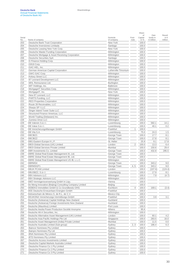|        |                                                         |                      |                | of             | Own                | Result        |
|--------|---------------------------------------------------------|----------------------|----------------|----------------|--------------------|---------------|
| Serial |                                                         | Domicile             | Foot-          | Capital        | funds in           | in $\epsilon$ |
| No.    | Name of company                                         | of company           | note           | in $%$         | $\epsilon$ million | million       |
| 203    | -Deutsche Bank Trust Corporation                        | New York             |                | 100.0          |                    |               |
| 204    | -Deutsche Inversiones Limitada                          | Santiago             |                | 100.0          |                    |               |
| 205    | -Deutsche Leasing New York Corp.                        | New York             |                | 100.0          |                    |               |
| 206    | -Deutsche Master Funding Corporation                    | Wilmington           |                | 100.0          |                    |               |
| 207    | -Deutsche Mortgage & Asset Receiving Corporation        | Wilmington           |                | 100.0          |                    |               |
| 208    | -Deutsche Securities SpA                                | Santiago             |                | 100.0          |                    |               |
| 209    | -G Finance Holding Corp.                                | Wilmington           |                | 100.0          |                    |               |
| 210    | -G918 Corp.                                             | Wilmington           |                | 100.0          |                    |               |
| 211    | -GAC-HEL, Inc.                                          | Wilmington           |                | 100.0          |                    |               |
| 212    | -German American Capital Corporation                    | Lutherville-Timonium |                | 100.0          |                    |               |
| 213    | -GWC-GAC Corp.                                          | Wilmington           |                | 100.0          |                    |               |
| 214    | -Kelsey Street LLC                                      | Wilmington           |                | 100.0          |                    |               |
| 215    | -87 Leonard Development LLC                             | Wilmington           |                | 100.0          |                    |               |
| 216    | -MHL Reinsurance Ltd.                                   | Burlington           |                | 100.0          |                    |               |
| 217    | -MIT Holdings, Inc.                                     | <b>Baltimore</b>     |                | 100.0          |                    |               |
| 218    | -MortgageIT Securities Corp.                            | Wilmington           |                | 100.0          |                    |               |
| 219    | -MortgageIT, Inc.                                       | New York             |                | 100.0          |                    |               |
| 220    | -New 87 Leonard, LLC                                    | Wilmington           |                | 100.0          |                    |               |
| 221    | -PARTS Funding, LLC                                     | Wilmington           |                | 100.0          |                    |               |
| 222    | -REO Properties Corporation                             | Wilmington           |                | 100.0          |                    |               |
| 223    | -Route 28 Receivables, LLC                              | Wilmington           |                | 100.0          |                    |               |
| 224    | -Sharps SP I LLC                                        | Wilmington           |                | 100.0          |                    |               |
| 225    | -Singer Island Tower Suite LLC                          | Wilmington           |                | 100.0          |                    |               |
| 226    | -Structured Finance Americas, LLC                       | Wilmington           |                | 100.0          |                    |               |
| 227    | -World Trading (Delaware) Inc.                          | Wilmington           |                | 100.0          |                    |               |
|        | -Zumirez Drive LLC                                      |                      |                |                |                    |               |
| 228    | DB Valoren S.à r.l.                                     | Wilmington           |                | 100.0<br>100.0 | 582.1              |               |
| 229    |                                                         | Luxembourg           |                |                |                    | 14.1          |
| 230    | DB Value S.à r.l.                                       | Luxembourg           |                | 100.0          | 40.1               | 0.2           |
| 231    | DB VersicherungsManager GmbH                            | Frankfurt            | 1              | 100.0          |                    |               |
| 232    | DB Vita S.A.                                            | Luxembourg           |                | 75.0           | 24.3               | 1.5           |
| 233    | DBCIBZ1                                                 | George Town          |                | 100.0          | 17.7               | 8.1           |
| 234    | DBCIBZ2                                                 | George Town          |                | 100.0          | 17.8               | 8.1           |
| 235    | DBG Eastern Europe II L.P.                              | St. Helier           |                | 25.9           | 9.1                | 17.8          |
| 236    | DBOI Global Services (UK) Limited                       | London               | $\overline{2}$ | 100.0          | 13.3               | 6.4           |
| 237    | <b>DBOI Global Services Private Limited</b>             | Mumbai               |                | 100.0          | 150.6              | 29.4          |
| 238    | DBR Investments Co. Limited                             | George Town          |                | 100.0          | 432.8              | 295.5         |
| 239    | DBRE Global Real Estate Management IA, Ltd.             | George Town          |                | 100.0          |                    |               |
| 240    | DBRE Global Real Estate Management IB, Ltd.             | George Town          |                | 100.0          |                    |               |
| 241    | DBRE Global Real Estate Management US IB, L.L.C.        | Wilmington           |                | 100.0          |                    |               |
| 242    | DBRMS4                                                  | George Town          |                | 100.0          | 343.2              | 9.0           |
| 243    | DBRMSGP1                                                | George Town          | 4, 5           | 100.0          | 343.2              | 9.0           |
| 244    | <b>DBUK PCAM Limited</b>                                | London               |                | 100.0          | (107.6)            | (124.4)       |
| 245    | DBUSBZ2, S.à r.l.                                       | Luxembourg           |                | 100.0          | 17.9               | 8.1           |
| 246    | <b>DBX Advisors LLC</b>                                 | Wilmington           |                | 100.0          | 7.9                | (4.7)         |
| 247    | <b>DBX Strategic Advisors LLC</b>                       | Wilmington           |                | 100.0          |                    |               |
| 248    | DBÖ Vermögensverwertung GmbH in Liqu.                   | Vienna               |                | 100.0          |                    |               |
| 249    | De Meng Innovative (Beijing) Consulting Company Limited | Beijing              |                | 100.0          |                    |               |
| 250    | DEBEKO Immobilien GmbH & Co Grundbesitz OHG             | Eschborn             | 4              | 100.0          | 169.1              | (3.4)         |
| 251    | DEE Deutsche Erneuerbare Energien GmbH                  | Frankfurt            |                | 100.0          |                    |               |
| 252    | Delowrezham de México S. de R.L. de C.V.                | Mexico City          |                | 100.0          |                    |               |
| 253    | DEUKONA Versicherungs-Vermittlungs-GmbH                 | Frankfurt            |                | 100.0          | 3.9                | 3.1           |
| 254    | Deutsche (Aotearoa) Capital Holdings New Zealand        | Auckland             |                | 100.0          |                    |               |
|        |                                                         | Auckland             |                | 100.0          |                    |               |
| 255    | Deutsche (Aotearoa) Foreign Investments New Zealand     |                      |                |                |                    |               |
| 256    | Deutsche (Mauritius) Limited                            | Port Louis           |                | 100.0          |                    |               |
| 257    | Deutsche Aeolia Power Production Société Anonyme        | Athens               |                | 95.6           |                    |               |
| 258    | Deutsche Alt-A Securities, Inc.                         | Wilmington           |                | 100.0          |                    |               |
| 259    | Deutsche Alternative Asset Management (UK) Limited      | London               |                | 100.0          | 60.1               | 4.2           |
| 260    | Deutsche Asia Pacific Holdings Pte Ltd                  | Singapore            |                | 100.0          | 283.5              | 16.0          |
| 261    | Deutsche Asset Management (India) Private Limited       | Mumbai               |                | 100.0          | 11.5               | 0.0           |
| 262    | Deutsche Australia Limited (Sub-group)                  | Sydney               | 2, 3           | 100.0          | 186.4              | 6.3           |
| 263    | -Baincor Nominees Pty Limited                           | Sydney               |                | 100.0          |                    |               |
| 264    | -Bainpro Nominees Pty Ltd                               | Sydney               |                | 100.0          |                    |               |

 $\frac{265}{266}$  -BNA Nominees Pty Limited<br>  $\frac{266}{266}$  -BTD Nominees Pty Limited<br>  $\frac{100.0}{266}$ -BTD Nominees Pty Limited Sydney 100.0 -Deutsche Access Investments Limited Sydney 100.0

 $\frac{269}{270}$  -Deutsche Finance Co 1 Pty Limited  $\frac{100.0}{270}$  -Deutsche Finance Co 2 Pty Limited  $\frac{100.0}{270}$ -Deutsche Finance Co 2 Pty Limited Sydney 100.0

268 -Deutsche Capital Markets Australia Limited<br>269 -Deutsche Finance Co 1 Pty Limited

-Deutsche Finance Co 3 Pty Limited

# Share of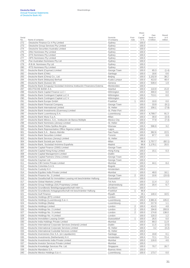Share

| Serial<br>No. | Name of company                                                         | Domicile<br>of company | Foot-<br>note  | of<br>Capital<br>in % | Own<br>funds in<br>€ million | Result<br>in $\in$<br>million |
|---------------|-------------------------------------------------------------------------|------------------------|----------------|-----------------------|------------------------------|-------------------------------|
| 272           | -Deutsche Finance Co 4 Pty Limited                                      | Sydney                 |                | 100.0                 |                              |                               |
| 273           | -Deutsche Group Services Pty Limited                                    | Sydney                 |                | 100.0                 |                              |                               |
| 274           | -Deutsche Securities Australia Limited                                  | Sydney                 |                | 100.0                 |                              |                               |
| 275           | -DNU Nominees Pty Limited                                               | Sydney                 |                | 100.0                 |                              |                               |
| 276           | -DTS Nominees Pty Limited                                               | Sydney                 |                | 100.0                 |                              |                               |
| 277           | -OPS Nominees Pty Limited                                               | Sydney                 |                | 100.0                 |                              |                               |
| 278           | -Pan Australian Nominees Pty Ltd                                        | Sydney                 |                | 100.0                 |                              |                               |
| 279           | -R.B.M. Nominees Pty Ltd                                                | Sydney                 |                | 100.0                 |                              |                               |
| 280           | -RTS Nominees Pty Limited                                               | Sydney                 |                | 100.0                 |                              |                               |
| 281           | Deutsche Bank (Cayman) Limited                                          | George Town            |                | 100.0                 | 65.3                         | (1.4)                         |
| 282           | Deutsche Bank (Chile)                                                   | Santiago               |                | 100.0                 | 18.6                         | 0.6                           |
| 283           | Deutsche Bank (China) Co., Ltd.                                         | Beijing                |                | 100.0                 | 1,152.9                      | 38.2                          |
| 284           | Deutsche Bank (Malaysia) Berhad                                         | Kuala Lumpur           |                | 100.0                 | 413.0                        | 48.4                          |
| 285           | Deutsche Bank (Suisse) SA                                               | Geneva                 |                | 100.0                 | 539.4                        | 1.9                           |
| 286           | Deutsche Bank (Uruguay) Sociedad Anónima Institución Financiera Externa | Montevideo             |                | 100.0                 |                              |                               |
| 287           | DEUTSCHE BANK A.S.                                                      | Istanbul               |                | 100.0                 | 110.9                        | 21.8                          |
| 288           | Deutsche Bank Capital Finance LLC I                                     | Wilmington             |                | 100.0                 | 300.0                        | 0.0                           |
| 289           | Deutsche Bank Contingent Capital LLC II                                 | Wilmington             |                | 100.0                 | 713.1                        | 0.0                           |
| 290           | Deutsche Bank Contingent Capital LLC V                                  | Wilmington             |                | 100.0                 |                              |                               |
| 291           | Deutsche Bank Europe GmbH                                               | Frankfurt              | 1              | 100.0                 | 10.0                         | 0.0                           |
| 292           | Deutsche Bank Financial Company                                         | George Town            |                | 100.0                 | 33.9                         | (9.1)                         |
| 293           | Deutsche Bank International Limited                                     | St. Helier             |                | 100.0                 | 156.1                        | (7.9)                         |
| 294           | Deutsche Bank Investments (Guernsey) Limited                            | St. Peter Port         |                | 100.0                 |                              |                               |
| 295           | Deutsche Bank Luxembourg S.A.                                           | Luxembourg             |                | 100.0                 | 4,789.7                      | 91.3                          |
| 296           | Deutsche Bank Mutui S.p.A.                                              | Milan                  |                | 100.0                 | 30.0                         | (3.4)                         |
| 297           | Deutsche Bank México, S.A., Institución de Banca Múltiple               | Mexico City            |                | 100.0                 | 77.9                         | (7.4)                         |
| 298           | Deutsche Bank Nominees (Jersey) Limited                                 | St. Helier             |                | 100.0                 |                              |                               |
| 299           | Deutsche Bank Polska Spólka Akcyjna                                     | Warsaw                 |                | 100.0                 | 596.9                        | 3.2                           |
| 300           | Deutsche Bank Representative Office Nigeria Limited                     | _agos                  |                | 100.0                 |                              |                               |
| 301           | Deutsche Bank S.A. - Banco Alemão                                       | Sao Paulo              |                | 100.0                 | 362.6                        | 22.5                          |
| 302           | Deutsche Bank Securities Limited                                        | Toronto                |                | 100.0                 | 97.7                         | 0.9                           |
| 303           | Deutsche Bank Services (Jersey) Limited                                 | St. Helier             |                | 100.0                 |                              |                               |
| 304           | Deutsche Bank Società per Azioni                                        | Milan                  |                | 99.9                  | 1,757.7                      | (82.1)                        |
| 305           | Deutsche Bank, Sociedad Anónima Española                                | Madrid                 |                | 99.8                  | 1,176.1                      | 20.5                          |
| 306           | Deutsche Capital Finance (2000) Limited                                 | George Town            |                | 100.0                 |                              |                               |
| 307           | Deutsche Capital Hong Kong Limited                                      | Hong Kong              |                | 100.0                 | 15.1                         | 0.3                           |
| 308           | Deutsche Capital Management Limited                                     | Dublin                 |                | 100.0                 |                              |                               |
| 309           | Deutsche Capital Partners China Limited                                 | George Town            |                | 100.0                 |                              |                               |
| 310           | Deutsche Cayman Ltd.                                                    | George Town            |                | 100.0                 |                              |                               |
| 311           | Deutsche CIB Centre Private Limited                                     | Mumbai                 |                | 100.0                 | 44.1                         | 8.4                           |
| 312           | Deutsche Colombia S.A.S.                                                | Bogotá                 |                | 100.0                 |                              |                               |
| 313           | Deutsche Custody N.V.                                                   | Amsterdam              |                | 100.0                 |                              |                               |
| 314           | Deutsche Equities India Private Limited                                 | Mumbai                 |                | 100.0                 | 48.0                         | 16.1                          |
| 315           | Deutsche Finance No. 2 Limited                                          | George Town            | $\overline{2}$ | 100.0                 | 10.6                         | (15.0)                        |
| 316           | Deutsche Gesellschaft für Immobilien-Leasing mit beschränkter Haftung   | Duesseldorf            |                | 100.0                 |                              |                               |
| 317           | Deutsche Global Markets Limited                                         | <b>Tel Aviv</b>        |                | 100.0                 | 11.4                         | 2.2                           |
| 318           | Deutsche Group Holdings (SA) Proprietary Limited                        | Johannesburg           |                | 100.0                 | 20.4                         | 6.7                           |
| 319           | Deutsche Grundbesitz Beteiligungsgesellschaft mbH i.L.                  | Eschborn               |                | 100.0                 |                              |                               |
| 320           | Deutsche Grundbesitz-Anlagegesellschaft mit beschränkter Haftung        | Frankfurt              | 1              | 99.8                  |                              |                               |
| 321           | Deutsche Gulf Finance                                                   | Riyadh                 |                | 29.1                  | 140.4                        | 10.5                          |
| 322           | Deutsche Holdings (BTI) Limited                                         | London                 |                | 100.0                 |                              |                               |
| 323           | Deutsche Holdings (Luxembourg) S.à r.l.                                 | Luxembourg             |                | 100.0                 | 2,981.6                      | 105.0                         |
| 324           | Deutsche Holdings (Malta)                                               | Luxembourg             |                | 100.0                 | 217.9                        | 1.1                           |
| 325           | Deutsche Holdings Limited                                               | London                 | 2              | 100.0                 | 414.5                        | 4.8                           |
| 326           | Deutsche Holdings No. 2 Limited                                         | London                 | $\overline{c}$ | 100.0                 | 194.8                        | 293.9                         |
| 327           | Deutsche Holdings No. 3 Limited                                         | London                 | 2              | 100.0                 | 174.8                        | 138.0                         |
| 328           | Deutsche Holdings No. 4 Limited                                         | London                 |                | 100.0                 | 120.3                        | 1.2                           |
| 329           | Deutsche Immobilien Leasing GmbH                                        | Duesseldorf            | 1              | 100.0                 | 26.5                         | 0.0                           |
| 330           | Deutsche India Holdings Private Limited                                 | Mumbai                 |                | 100.0                 | 89.3                         | 11.9                          |
| 331           | Deutsche International Corporate Services (Ireland) Limited             | Dublin                 |                | 100.0                 | 11.5                         | (2.5)                         |
| 332           | Deutsche International Corporate Services Limited                       | St. Helier             |                | 100.0                 | 3.2                          | (3.2)                         |
| 333           | Deutsche International Custodial Services Limited                       | St. Helier             |                | 100.0                 |                              |                               |

<u>334 Deutsche Inversiones Dos S.A. (en Liquidación)</u><br>335 Deutsche Inversiones Dos S.A. (en Liquidación) Santiago 100.0 19.8 19.8 Deutsche Investments (Netherlands) N.V. **Deutsche Investments (Netherlands) N.V.** Amsterdam 100.0 72.1 336 Deutsche Investments India Private Limited<br>337 Deutsche Investor Services Private Limited Mumbai 100.0 116.0 116.0 116.0 116.0 116.0 116.0 116.0 116.0 11

 $\frac{338}{339}$  Deutsche Knowledge Services Pte. Ltd.<br> $\frac{338}{339}$  Deutsche Mandatos S.A.<br> $\frac{339}{8}$  Deutsche Mandatos S.A.

**Deutsche Mexico Holdings S.à r.l.** Luxembourg 100.0 173.7 0.0

339 Deutsche Mandatos S.A. Buenos Aires 100.0 Deutsche Mandatos S.A. Buenos Aires 100.0 Deutsche Mexico Holdings S.à r.l.

 $\overline{\frac{337}{338}}$  Deutsche Investor Services Private Limited  $\overline{\frac{338}{308}}$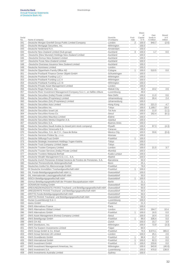#### Serial<br>No Name of company Domicile of company Footnote Capital  $in %$ funds in € million in € million 341 Deutsche Morgan Grenfell Group Public Limited Company London 2 100.0 940.7 (2.6)  $\overline{342}$  Deutsche Mortgage Securities, Inc. Wilmington 2011 Wilmington 200.0 **Example 343** Deutsche Nederland N.V. **Contract Contract Amsterdam 100.0**  $\overline{344}$  Deutsche New Zealand Limited (Sub-group)  $\overline{344}$   $\overline{3}$   $\overline{100.0}$   $\overline{1.7}$   $\overline{0.0}$  0.0 345 -Deutsche (New Munster) Holdings New Zealand Limited Auckland 100.0 346 -Deutsche Domus New Zealand Limited 100.0 and 100.0 and 100.0 and 100.0 and 100.0 and 100.0 and 100.0 and 100.0 and 100.0 and 100.0 and 100.0 and 100.0 and 100.0 and 100.0 and 100.0 and 100.0 and 100.0 and 100.0 and 10 347 -Deutsche Foras New Zealand Limited **Auckland 100.0** Auckland 100.0 348 -Deutsche Overseas Issuance New Zealand Limited Auckland 100.0 349 Deutsche Nominees Limited London 100.0 350 Deutsche Oppenheim Family Office AG Cologne Cologne 2012 1 100.0 510.5 0.0 351 Deutsche Postbank Finance Center Objekt GmbH Schuettringen Churchingen 100.0 352 Deutsche Postbank Funding LLC I Wilmington 100.0 353 Deutsche Postbank Funding LLC II Wilmington Wilmington 200.0 354 Deutsche Postbank Funding LLC III Wilmington 100.0 355 Deutsche Private Asset Management Limited London London 200.0 356 Deutsche Regis Partners, Inc. 2.6 2.6 2.7 Makati City 2.6 2.6 2.6 2.6 2.7 2.6 2.6 2.7 2.6 2.7 2.6 2.7 2.6 357 Deutsche River Investment Management Company S.à r.l., en faillite clôture Luxembourg 49.0 358 Deutsche Securities (India) Private Limited New Delhi New Delhi 100.0 11.0 0.6 359 Deutsche Securities (Proprietary) Limited Johannesburg Johannesburg 100.0 26.4 2.4 360 Deutsche Securities (SA) (Proprietary) Limited Johannesburg 100.0 361 Deutsche Securities Asia Limited **Hong Kong 100.0** 221.3 4.7 362 Deutsche Securities Inc. **Tokyo** 100.0 1,189.7 18.4  $\overline{363}$  Deutsche Securities Israel Ltd.  $\overline{7}$  Tel Aviv  $\overline{100.0}$   $\overline{11.0}$   $\overline{11.0}$  (1.1) 364 Deutsche Securities Korea Co. Seoul 364 Deutsche Securities Korea Co. 365 Deutsche Securities Mauritius Limited **Ebène** 100.0 366 Deutsche Securities Menkul Degerler A.S. Istanbul 100.0 367 Deutsche Securities S.A. Buenos Aires 100.0 368 Deutsche Securities Saudi Arabia (a closed joint stock company) Riyadh 100.0 97.3 (4.3) 369 Deutsche Securities Venezuela S.A. Caracas 100.0  $\overline{370}$  Deutsche Securities, S.A. de C.V., Casa de Bolsa Mexico City  $\overline{370}$   $\overline{100.0}$   $\overline{33.6}$  (0.4)  $\overline{371}$  Deutsche Services Polska Sp. z o.o. Warsaw  $\overline{371}$  Warsaw 100.0 372 Deutsche StiftungsTrust GmbH<br>373 Deutsche Strategic Investment Holdings Yugen Kaisha<br>100.0 373 Deutsche Strategic Investment Holdings Yugen Kaisha Tokyo 374 Deutsche Trust Company Limited Japan<br>375 Deutsche Trustee Company Limited<br>100.0 375 Deutsche Trustee Company Limited **London** 21.5 21.5 3.7 376 Deutsche Trustee Services (India) Private Limited Mumbai Mumbai 100.0 377 Deutsche Trustees Malaysia Berhad Kuala Lumpur 100.0 378 Deutsche Wealth Management S.G.I.I.C., S.A. Madrid 100.0 379 Deutsche Zurich Pensiones Entidad Gestora de Fondos de Pensiones, S.A. Barcelona 50.0 380 Deutscher Pensionsfonds Aktiengesellschaft **Bonn 25.1** Bonn 25.1 381 Deutsches Institut für Altersvorsorge GmbH Frankfurt Frankfurt 78.0 382 DI Deutsche Immobilien Treuhandgesellschaft mbH Frankfurt Frankfurt 1 100.0 383 DIL Fonds-Beteiligungsgesellschaft mbH i.L. Duesseldorf Duesseldorf 100.0 384 DIL Internationale Leasinggesellschaft mbH Duesseldorf Duesseldorf 2000 Duesseldorf 50.0 385 DISCA Beteiligungsgesellschaft mbH<br>
Duesseldorf 1 100.0 386 Domus Beteiligungsgesellschaft der Privaten Bausparkassen mbH<br>
Berlin Berlin 21.1 **DONARUM Holding GmbH Duesseldorf 50.0** 388 DREIUNDZWANZIGSTE PAXAS Treuhand- und Beteiligungsgesellschaft mbH Duesseldorf **1988** DREIUNDZWANZIGSTE PAXAS Treuhand- und Beteiligungsgesellschaft mbH 389 DREIZEHNTE PAXAS Treuhand- und Beteiligungsgesellschaft mbH Duesseldorf 50.0 390 DRITTE Fonds-Beteiligungsgesellschaft mbH Duesseldorf Duesseldorf 50.0 391 DRITTE PAXAS Treuhand- und Beteiligungsgesellschaft mbH Duesseldorf 50.0 392 Durian (Luxembourg) S.à r.l. **Luxembourg 100.0** Luxembourg 100.0 393 dwins GmbH **Frankfurt 21.3** 394 DWS Alternatives France Paris 100.0 395 DWS Alternatives Global Limited **London** 2008 London 100.0 184.7 10.4 396 DWS Alternatives GmbH **Frankfurt** 1 100.0 16.5 0.0 397 DWS Asset Management (Korea) Company Limited Seoul Seoul 100.0 16.4 0.4 398 DWS Beteiligungs GmbH **Frankfurt** 1 99.0 336.4 0.0 399 DWS CH AG  $\,$  2.99  $\,$  2016  $\,$  2.99  $\,$  2.99  $\,$  2.99  $\,$  2.99  $\,$  2.99  $\,$  2.99  $\,$  2.99  $\,$  2.99  $\,$  2.99  $\,$  2.99  $\,$  2.99  $\,$  2.99  $\,$  2.99  $\,$  2.99  $\,$  2.99  $\,$  2.99  $\,$  2.99  $\,$  2.99  $\,$  2.9 400 DWS Distributors, Inc. 2.3) Wilmington 2.5 Wilmington 2.9 (3.3) 401 DWS Far Eastern Investments Limited **Taipei Taipei 1** Taipei **1** Taipei **1** Taipei **1** Taipei **1** Taipei **1** Taipei **1** Taipei **1** Taipei **1** Taipei **1** Taipei **1** Taipei **1** Taipei **1** Taipei **1** Taipei **1** Taipei 402 DWS Group GmbH & Co. KGaA Frankfurt 79.5 8,074.1 365.0

403 DWS Group Services UK Limited London 100.0 25.1 2.6

Share of

Own

Result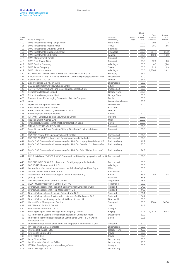Share

| Serial     |                                                                                | Domicile                  | Foot- | of              | Own<br>funds in    | Result<br>in $\in$ |
|------------|--------------------------------------------------------------------------------|---------------------------|-------|-----------------|--------------------|--------------------|
| No.        | Name of company                                                                | of company                | note  | Capital<br>in % | $\epsilon$ million | million            |
| 410        | DWS Investments Hong Kong Limited                                              | Hong Kong                 |       | 100.0           | 19.5               | 1.3                |
| 411        | DWS Investments Japan Limited                                                  | Tokyo                     |       | 100.0           | 38.1               | (2.5)              |
| 412        | DWS Investments Shanghai Limited                                               | Shanghai                  |       | 100.0           |                    |                    |
| 413        | DWS Investments Singapore Limited                                              | Singapore                 |       | 100.0           | 284.7              | 31.2               |
| 414        | DWS Investments UK Limited                                                     | London                    |       | 100.0           | 182.0              | 16.9               |
| 415        | DWS Management GmbH                                                            | Frankfurt                 |       | 100.0           |                    |                    |
| 416        | DWS Real Estate GmbH                                                           | Frankfurt                 | 1     | 99.9            | 52.5               | 0.0                |
| 417        | <b>DWS Service Company</b>                                                     | Wilmington                |       | 100.0           | 8.5                | (5.4)              |
| 418        | <b>DWS Trust Company</b>                                                       | Salem                     |       | 100.0           | 22.9               | 0.9                |
| 419        | DWS USA Corporation                                                            | Wilmington                |       | 100.0           | 1,370.9            | 28.2               |
| 420        | EC EUROPA IMMOBILIEN FONDS NR. 3 GmbH & CO. KG i.l.                            | Hamburg                   |       | 65.2            |                    |                    |
| 421        | EINUNDZWANZIGSTE PAXAS Treuhand- und Beteiligungsgesellschaft mbH              | Duesseldorf               |       | 50.0            |                    |                    |
| 422        | Eisler Capital (TA) Ltd                                                        | London                    |       | 34.7            |                    |                    |
|            | Elbe Properties S.à r.l., en faillite                                          |                           |       | 25.0            |                    |                    |
| 423        |                                                                                | Luxembourg<br>Erfurt      |       | 50.0            |                    |                    |
| 424        | ELC Logistik-Centrum Verwaltungs-GmbH                                          |                           |       |                 |                    |                    |
| 425        | ELFTE PAXAS Treuhand- und Beteiligungsgesellschaft mbH                         | Duesseldorf               |       | 50.0            |                    |                    |
| 426        | Elizabethan Holdings Limited                                                   | George Town               |       | 100.0           |                    |                    |
| 427        | Elizabethan Management Limited                                                 | George Town               |       | 100.0           |                    |                    |
| 428        | Emerald Asset Repackaging Designated Activity Company                          | Dublin                    |       | 100.0           |                    |                    |
| 429        | eolec                                                                          | Issy-les-Moulineaux       |       | 33.3            |                    |                    |
| 430        | equiNotes Management GmbH i.L.                                                 | Duesseldorf               |       | 50.0            |                    |                    |
| 431        | Erste Frankfurter Hoist GmbH                                                   | Eschborn                  |       | 100.0           |                    |                    |
| 432        | European Value Added I (Alternate G.P.) LLP                                    | London                    |       | 100.0           |                    |                    |
| 433        | Evroenergeiaki Anonymi Etaireia                                                | Athens                    |       | 40.0            |                    |                    |
| 434        | FARAMIR Beteiligungs- und Verwaltungs GmbH                                     | Cologne                   |       | 100.0           |                    |                    |
| 435        | Fiduciaria Sant' Andrea S.r.L.                                                 | Milan                     |       | 100.0           |                    |                    |
| 436        | Finanzberatungsgesellschaft mbH der Deutschen Bank                             | <b>Berlin</b>             |       | 100.0           |                    |                    |
| 437        | FRANKFURT CONSULT GmbH                                                         | Frankfurt                 | 1     | 100.0           |                    |                    |
| 438        | Franz Urbig- und Oscar Schlitter-Stiftung Gesellschaft mit beschränkter        | Frankfurt                 |       | 100.0           |                    |                    |
|            | Haftung                                                                        |                           |       |                 |                    |                    |
| 439        | FÜNFTE Fonds-Beteiligungsgesellschaft mbH i.L.                                 | Duesseldorf               |       | 50.0            |                    |                    |
| 440        | FÜNFTE PAXAS Treuhand- und Beteiligungsgesellschaft mbH                        | Duesseldorf               |       | 50.0            |                    |                    |
| 441        | Fünfte SAB Treuhand und Verwaltung GmbH & Co. "Leipzig-Magdeburg" KG           | <b>Bad Homburg</b>        |       | 41.2            |                    |                    |
| 442        | Fünfte SAB Treuhand und Verwaltung GmbH & Co. Dresden "Louisenstraße"          | <b>Bad Homburg</b>        |       | 30.6            |                    |                    |
|            | КG                                                                             |                           |       |                 |                    |                    |
| 443        | Fünfte SAB Treuhand und Verwaltung GmbH & Co. Suhl "Rimbachzentrum"            | <b>Bad Homburg</b>        |       | 74.9            |                    |                    |
|            | ΚG                                                                             |                           |       |                 |                    |                    |
| 444        | FÜNFUNDZWANZIGSTE PAXAS Treuhand- und Beteiligungsgesellschaft mbH Duesseldorf |                           |       | 50.0            |                    |                    |
|            | i.L.                                                                           |                           |       |                 |                    |                    |
| 445        | FÜNFZEHNTE PAXAS Treuhand- und Beteiligungsgesellschaft mbH                    | Duesseldorf               |       | 50.0            |                    |                    |
| 446        | G.O. IB-US Management, L.L.C.                                                  | Wilmington                |       | 100.0           |                    |                    |
| 447        | Generations - Società di Investimento per Azioni a Capitale Fisso S.p.A.       | Milan                     |       | 100.0           |                    |                    |
| 448        | German Public Sector Finance B.V.                                              | Amsterdam                 |       | 50.0            |                    |                    |
| 449        | Gesellschaft für Kreditsicherung mit beschränkter Haftung                      | Berlin                    |       | 36.7            | 5.9                | 3.8                |
| 450        | giropay GmbH                                                                   | Frankfurt                 |       | 33.3            |                    |                    |
| 451        | Glor Music Production GmbH & Co. KG                                            | Tegernsee                 |       | 28.1            |                    |                    |
| 452        | GLOR Music Production II GmbH & Co. KG                                         | Tegernsee                 |       | 28.2            |                    |                    |
| 453        | Grundstücksgesellschaft Frankfurt Bockenheimer Landstraße GbR                  | Troisdorf                 |       | 94.9            |                    |                    |
| 454        | Grundstücksgesellschaft Köln-Ossendorf VI GbR                                  | Troisdorf                 |       | 44.9            |                    |                    |
| 455        | Grundstücksgesellschaft Leipzig Petersstraße GbR                               | Troisdorf                 |       | 36.1            |                    |                    |
| 456        | Grundstücksgesellschaft Wiesbaden Luisenstraße/Kirchgasse GbR                  | Troisdorf                 |       | 64.7            |                    |                    |
| 457        | Grundstücksvermietungsgesellschaft Wilhelmstr. mbH i.L.                        | Gruenwald                 |       | 100.0           |                    |                    |
| 458        | Harvest Fund Management Co., Ltd.                                              | Shanghai                  |       | 30.0            | 706.4              | 147.4              |
| 459        | HR "Simone" GmbH & Co. KG i.l.                                                 | Jork                      |       | 24.3            |                    |                    |
| 460        | HTB Spezial GmbH & Co. KG                                                      | Cologne                   |       | 100.0           |                    |                    |
| 461        | Huarong Rongde Asset Management Company Limited                                | Beijing                   |       | 40.7            | 1,051.4            | 68.2               |
| 462        | ILV Immobilien-Leasing Verwaltungsgesellschaft Düsseldorf mbH                  | Duesseldorf               |       | 50.0            |                    |                    |
| 463        | Immobilien-Vermietungsgesellschaft Schumacher GmbH & Co. Objekt                | <b>Berlin</b>             |       | 20.5            |                    |                    |
|            | Rolandufer KG i.L.                                                             |                           |       |                 |                    |                    |
| 464        | Immobilienfonds Büro-Center Erfurt am Flughafen Bindersleben II GbR            | Troisdorf                 |       | 50.0            |                    |                    |
|            | Inn Properties S.à r.l., en faillite                                           |                           |       | 25.0            |                    |                    |
| 465        | Intermodal Finance I Ltd.                                                      | Luxembourg<br>George Town |       |                 |                    |                    |
| 466<br>467 | IOG Denali Upton, LLC                                                          | Dover                     |       | 49.0<br>23.0    |                    |                    |
|            |                                                                                |                           |       |                 |                    |                    |

**468 OG NOD I, LLC** 22.5 469 Isaac Newton S.A. Luxembourg Isaac Newton S.A. Luxembourg Island S.A. Luxembourg Island Properties S.à r.l., en faillite 25.0 470 Isar Properties S.à r.l., en faillite<br>
471 ISTRON Beteiligungs- und Verwaltungs-GmbH<br>
Cologne<br>
25.0

472 IVAF I Manager, S.à r.l. **Luxembourg 100.0** Luxembourg 100.0

18TRON Beteiligungs- und Verwaltungs-GmbH<br>
1VAF I Manager, S.à r.l.<br>
Luxembourg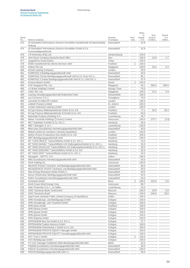|               |                                                                                         |                        |               | Share                 |                                       |                                    |
|---------------|-----------------------------------------------------------------------------------------|------------------------|---------------|-----------------------|---------------------------------------|------------------------------------|
| Serial<br>No. | Name of company                                                                         | Domicile<br>of company | Foot-<br>note | of<br>Capital<br>in % | Own<br>funds in<br>$\epsilon$ million | Result<br>in $\epsilon$<br>million |
| 473           | IZI Düsseldorf Informations-Zentrum Immobilien Gesellschaft mit beschränkter<br>Haftung | Duesseldorf            |               | 22.9                  |                                       |                                    |
| 474           | IZI Düsseldorf Informations-Zentrum Immobilien GmbH & Co.<br>Kommanditgesellschaft      | Duesseldorf            |               | 22.9                  |                                       |                                    |
| 475           | J R Nominees (Pty) Ltd                                                                  | Johannesburg           |               | 100.0                 |                                       |                                    |
| 476           | Joint Stock Company Deutsche Bank DBU                                                   | Kiev                   |               | 100.0                 | 13.9                                  | 1.7                                |
| 477           | Jyogashima Godo Kaisha                                                                  | Tokyo                  |               | 100.0                 |                                       |                                    |
| 478           | KEBA Gesellschaft für interne Services mbH                                              | Frankfurt              | 1             | 100.0                 |                                       |                                    |
| 479           | Kidson Pte Ltd                                                                          | Singapore              |               | 100.0                 | 33.4                                  | 0.3                                |
| 480           | Kinneil Leasing Company                                                                 | London                 |               | 35.0                  |                                       |                                    |
| 481           | KOMPASS 3 Beteiligungsgesellschaft mbH                                                  | Duesseldorf            |               | 50.0                  |                                       |                                    |
| 482           | KOMPASS 3 Erste Beteiligungsgesellschaft mbH & Co. Euro KG i.L.                         | Duesseldorf            |               | 96.1                  |                                       |                                    |
| 483           | KOMPASS 3 Zweite Beteiligungsgesellschaft mbH & Co. USD KG i.L.                         | Duesseldorf            |               | 97.0                  |                                       |                                    |
| 484           | Konsul Inkasso GmbH                                                                     | Essen                  | 1             | 100.0                 |                                       |                                    |
| 485           | KVD Singapore Pte. Ltd.                                                                 | Singapore              |               | 30.1                  | 596.2                                 | 268.5                              |
| 486           | LA Water Holdings Limited                                                               | George Town            |               | 75.0                  |                                       |                                    |
| 487           | LAWL Pte. Ltd.                                                                          | Singapore              |               | 100.0                 | 21.2                                  | 0.3                                |
| 488           | Leasing Verwaltungsgesellschaft Waltersdorf mbH                                         | Schoenefeld            |               | 100.0                 |                                       |                                    |
| 489           | Leo Consumo 2 S.r.l.                                                                    | Conegliano             |               | 70.0                  |                                       |                                    |
| 490           | Leonardo III Initial GP Limited                                                         | London                 |               | 100.0                 |                                       |                                    |
| 491           | <b>Lindsell Finance Limited</b>                                                         | St. Julian's           |               | 100.0                 |                                       |                                    |
| 492           | London Industrial Leasing Limited                                                       | London                 |               | 100.0                 |                                       |                                    |
| 493           | M Cap Finance Mittelstandsfonds GmbH & Co. KG                                           | Frankfurt              |               | 77.1                  | 36.2                                  | 26.3                               |
| 494           | M Cap Finance Mittelstandsfonds III GmbH & Co. KG                                       | Frankfurt              |               | 50.0                  |                                       |                                    |
| 495           | Maestrale Projects (Holding) S.A.                                                       | Luxembourg             |               | 49.7                  |                                       |                                    |
| 496           | Maher Terminals Holdings (Toronto) Limited                                              | Vancouver              |               | 100.0                 | 275.7                                 | (2.8)                              |
| 497           | MCT Südafrika 3 GmbH & Co. KG i.l.                                                      | Hamburg                |               | 38.5                  |                                       |                                    |
| 498           | MEF I Manager, S. à r.l.                                                                | Luxembourg             |               | 100.0                 |                                       |                                    |
| 499           | Metro plus Grundstücks-Vermietungsgesellschaft mbH                                      | Duesseldorf            |               | 40.0                  |                                       |                                    |
| 500           | Midsel Limited (in members' voluntary liquidation)                                      | London                 |               | 100.0                 |                                       |                                    |
| 501           | Motion Picture Productions One GmbH & Co. KG                                            | Frankfurt              |               | 100.0                 |                                       |                                    |
| 502           | MPP Beteiligungsgesellschaft mbH                                                        | Frankfurt              |               | 100.0                 |                                       |                                    |
| 503           | MT "CAPE BEALE" Tankschiffahrts GmbH & Co. KG i.l.                                      | Hamburg                |               | 34.0                  |                                       |                                    |
| 504           | MT "KING DANIEL" Tankschiffahrts UG (haftungsbeschränkt) & Co. KG i.L.                  | Hamburg                |               | 33.0                  |                                       |                                    |
| 505           | MT "KING DOUGLAS" Tankschiffahrts UG (haftungsbeschränkt) & Co. KG i.L.                 | Hamburg                |               | 33.0                  |                                       |                                    |
| 506           | MT "KING EDWARD" Tankschiffahrts GmbH & Co. KG                                          | Hamburg                |               | 35.3                  |                                       |                                    |
| 507           | MT "KING ERIC" Tankschiffahrts GmbH & Co. KG i.l.                                       | Hamburg                |               | 34.5                  |                                       |                                    |
| 508           | Navegator - SGFTC, S.A.                                                                 | Lisbon                 |               | 100.0                 |                                       |                                    |
| 509           | NBG Grundstücks-Vermietungsgesellschaft mbH                                             | Duesseldorf            |               | 50.0                  |                                       |                                    |
| 510           | NCW Holding Inc.                                                                        | Vancouver              |               | 100.0                 |                                       |                                    |
| 511           | NEUNTE PAXAS Treuhand- und Beteiligungsgesellschaft mbH                                 | Duesseldorf            |               | 50.0                  |                                       |                                    |
| 512           | NEUNZEHNTE PAXAS Treuhand- und Beteiligungsgesellschaft mbH                             | Duesseldorf            |               | 50.0                  |                                       |                                    |
| 513           | New Energy Biomasse Hellas GmbH i.L.                                                    | Duesseldorf            |               | 50.0                  |                                       |                                    |
| 514           | Nexus Infrastruktur Beteiligungsgesellschaft mbH                                        | Duesseldorf            |               | 50.0                  |                                       |                                    |
| 515           | NOFA Grundstücks-Vermietungsgesellschaft mbH                                            | Duesseldorf            |               | 50.0                  |                                       |                                    |
| 516           | norisbank GmbH                                                                          | Bonn                   | 1             | 100.0                 | 433.9                                 | 0.0                                |
| 517           | North Coast Wind Energy Corp.                                                           | Vancouver              |               | 96.7                  |                                       |                                    |
| 518           | Oder Properties S.à r.l., en faillite                                                   | Luxembourg             |               | 25.0                  |                                       |                                    |
| 519           | <b>OOO</b> "Deutsche Bank TechCentre"                                                   | Moscow                 |               | 100.0                 | 18.9                                  | 6.9                                |
| 520           | OOO "Deutsche Bank"                                                                     | Moscow                 |               | 100.0                 | 248.8                                 | 18.6                               |
| 521           | Opal Funds (Ireland) Public Limited Company (in liquidation)                            | Dublin                 |               | 100.0                 |                                       |                                    |
| 522           | OPB Verwaltungs- und Beteiligungs-GmbH                                                  | Cologne                |               | 100.0                 |                                       |                                    |
| 523           | OPB Verwaltungs- und Treuhand GmbH                                                      | Cologne                |               | 100.0                 |                                       |                                    |
| 524           | OPB-Nona GmbH                                                                           | Frankfurt              |               | 100.0                 |                                       |                                    |
| 525           | OPB-Oktava GmbH                                                                         | Cologne                |               | 100.0                 |                                       |                                    |
| 526           | OPB-Quarta GmbH                                                                         | Cologne                |               | 100.0                 |                                       |                                    |
| 527           | OPB-Quinta GmbH                                                                         | Cologne                |               | 100.0                 |                                       |                                    |
| 528           | OPB-Septima GmbH                                                                        | Cologne                |               | 100.0                 |                                       |                                    |
| 529           | OPPENHEIM Buy Out GmbH & Co. KG i.L.                                                    | Cologne                |               | 27.7                  |                                       |                                    |

 $\overline{530}$  OPPENHEIM Capital Advisory GmbH<br>  $\overline{531}$  OPPENHEIM Flottenfonds V GmbH & Co. KG<br>
Cologne 100.0 OPPENHEIM Flottenfonds V GmbH & Co. KG Cologne  $\overline{532}$  OPPENHEIM PRIVATE EQUITY Manager GmbH<br>  $\overline{533}$  OPPENHEIM PRIVATE EQUITY Verwaltungsgesellschaft mbH<br>
Cologne 100.0 SHEIM PRIVATE EQUITY Verwaltungsgesellschaft mbH<br>
Cologne 100.0

 $\overline{534}$  OVT Trust 1 GmbH<br>  $\overline{535}$  OVV Beteiligungs GmbH<br>  $\overline{535}$  OVV Beteiligungs GmbH<br>  $\overline{535}$  Cologne 100.0

536 P.F.A.B. Passage Frankfurter Allee Betriebsgesellschaft mbH<br>537 PADEM Grundstücks-Vermietungsgesellschaft mbH<br>50.0

538 PADUS Grundstücks-Vermietungsgesellschaft mbH<br>539 PAGUS Beteiligungsgesellschaft mbH i.L.<br>50.0 Duesseldorf 100.0

535 OVV Beteiligungs GmbH<br>536 P.F.A.B. Passage Frankfr

PADEM Grundstücks-Vermietungsgesellschaft mbH

PAGUS Beteiligungsgesellschaft mbH i.L.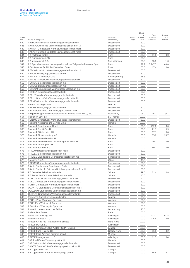|            |                                                                       |                            |              | Share         |                              |                               |
|------------|-----------------------------------------------------------------------|----------------------------|--------------|---------------|------------------------------|-------------------------------|
| Serial     | Name of company                                                       | Domicile                   | Foot-        | of<br>Capital | Own<br>funds in<br>€ million | Result<br>in $\in$<br>million |
| No.<br>540 | PALDO Grundstücks-Vermietungsgesellschaft mbH                         | of company<br>Duesseldorf  | note         | in %<br>50.0  |                              |                               |
| 541        | PANIS Grundstücks-Vermietungsgesellschaft mbH i.l.                    | Duesseldorf                |              | 50.0          |                              |                               |
| 542        | PANTUR Grundstücks-Vermietungsgesellschaft mbH                        | Duesseldorf                |              | 50.0          |                              |                               |
| 543        | PAXAS Treuhand- und Beteiligungsgesellschaft mbH                      | Duesseldorf                |              | 50.0          |                              |                               |
| 544        | PB Factoring GmbH                                                     | Bonn                       | 1            | 100.0         | 31.5                         | 0.0                           |
| 545        | PB Firmenkunden AG                                                    | Bonn                       | 1            | 100.0         |                              |                               |
| 546        | PB International S.A.                                                 | Schuettringen              |              | 100.0         | 55.3                         | (1.0)                         |
| 547        | PB Spezial-Investmentaktiengesellschaft mit Teilgesellschaftsvermögen |                            |              | 97.9          | 3,747.7                      | 48.8                          |
|            |                                                                       | Bonn                       |              |               | 17.4                         |                               |
| 548        | PCC Services GmbH der Deutschen Bank                                  | Essen                      | 1            | 100.0         |                              | 0.0                           |
| 549        | PEDIS Grundstücks-Vermietungsgesellschaft mbH i.L.                    | Duesseldorf<br>Duesseldorf |              | 50.0          |                              |                               |
| 550        | PEDUM Beteiligungsgesellschaft mbH                                    |                            |              | 50.0          |                              |                               |
| 551        | PEIF III SLP Feeder, SCSp                                             | Senningerberg              |              | 58.5          |                              |                               |
| 552        | PENDIS Grundstücks-Vermietungsgesellschaft mbH                        | Duesseldorf                |              | 50.0          |                              |                               |
| 553        | PENTUM Beteiligungsgesellschaft mbH                                   | Duesseldorf                |              | 50.0          |                              |                               |
| 554        | PERGOS Beteiligungsgesellschaft mbH                                   | Duesseldorf                |              | 50.0          |                              |                               |
| 555        | PERGUM Grundstücks-Vermietungsgesellschaft mbH                        | Duesseldorf                |              | 50.0          |                              |                               |
| 556        | PERILLA Beteiligungsgesellschaft mbH                                  | Duesseldorf                |              | 50.0          |                              |                               |
| 557        | PERLIT Mobilien-Vermietungsgesellschaft mbH                           | Duesseldorf                |              | 50.0          |                              |                               |
| 558        | PERLU Grundstücks-Vermietungsgesellschaft mbH                         | Duesseldorf                |              | 50.0          |                              |                               |
| 559        | PERNIO Grundstücks-Vermietungsgesellschaft mbH                        | Duesseldorf                |              | 50.0          |                              |                               |
| 560        | Peruda Leasing Limited                                                | London                     |              | 100.0         |                              |                               |
| 561        | PERXIS Beteiligungsgesellschaft mbH                                   | Duesseldorf                |              | 50.0          |                              |                               |
| 562        | PETA Grundstücks-Vermietungsgesellschaft mbH                          | Duesseldorf                |              | 50.0          |                              |                               |
| 563        | Philippine Opportunities for Growth and Income (SPV-AMC), INC.        | Makati City                |              | 95.0          | 15.3                         | (0.1)                         |
| 564        | Plantation Bay, Inc.                                                  | St. Thomas                 |              | 100.0         |                              |                               |
| 565        | PONTUS Grundstücks-Vermietungsgesellschaft mbH                        | Duesseldorf                |              | 50.0          |                              |                               |
| 566        | Postbank Akademie und Service GmbH                                    | Hameln                     |              | 100.0         |                              |                               |
| 567        | Postbank Beteiligungen GmbH                                           | Bonn                       | 1            | 100.0         | 782.0                        | 0.0                           |
| 568        | Postbank Direkt GmbH                                                  | Bonn                       |              | 100.0         | 21.7                         | 5.9                           |
| 569        | Postbank Filialvertrieb AG                                            | Bonn                       | 1            | 100.0         | 37.1                         | 0.0                           |
| 570        | Postbank Finanzberatung AG                                            | Hameln                     |              | 100.0         | 85.8                         | 23.7                          |
| 571        | Postbank Immobilien GmbH                                              | Hameln                     | $\mathbf{1}$ | 100.0         |                              |                               |
| 572        | Postbank Immobilien und Baumanagement GmbH                            | Bonn                       | 1            | 100.0         | 20.2                         | 0.0                           |
| 573        | Postbank Leasing GmbH                                                 | Bonn                       | 1            | 100.0         |                              |                               |
| 574        | Postbank Systems AG                                                   | Bonn                       | 1            | 100.0         | 60.2                         | 0.0                           |
| 575        | PRADUM Beteiligungsgesellschaft mbH                                   | Duesseldorf                |              | 50.0          |                              |                               |
| 576        | PRASEM Beteiligungsgesellschaft mbH                                   | Duesseldorf                |              | 50.0          |                              |                               |
| 577        | PRATES Grundstücks-Vermietungsgesellschaft mbH                        | Schoenefeld                |              | 50.0          |                              |                               |
| 578        | Prestipay S.p.A.                                                      | Udine                      |              | 40.0          |                              |                               |
| 579        | PRISON Grundstücks-Vermietungsgesellschaft mbH                        | Schoenefeld                |              | 50.0          |                              |                               |
| 580        | Private Equity Invest Beteiligungs GmbH                               | Duesseldorf                |              | 50.0          |                              |                               |
| 581        | Private Equity Life Sciences Beteiligungsgesellschaft mbH             | Duesseldorf                |              | 50.0          |                              |                               |
| 582        | PT Deutsche Sekuritas Indonesia                                       | Jakarta                    |              | 99.0          | 22.4                         | 0.8                           |
| 583        | PT. Deutsche Verdhana Sekuritas Indonesia                             | Jakarta                    |              | 40.0          |                              |                               |
| 584        | PUDU Grundstücks-Vermietungsgesellschaft mbH                          | Duesseldorf                |              | 50.0          |                              |                               |
| 585        | PUKU Grundstücks-Vermietungsgesellschaft mbH i.L.                     | Duesseldorf                |              | 50.0          |                              |                               |
| 586        | PURIM Grundstücks-Vermietungsgesellschaft mbH                         | Duesseldorf                |              | 50.0          |                              |                               |
| 587        | QUANTIS Grundstücks-Vermietungsgesellschaft mbH                       | Schoenefeld                |              | 50.0          |                              |                               |
| 588        | QUELLUM Grundstücks-Vermietungsgesellschaft mbH                       | Duesseldorf                |              | 50.0          |                              |                               |
| 589        | QUOTAS Grundstücks-Vermietungsgesellschaft mbH                        | Duesseldorf                |              | 50.0          |                              |                               |
|            |                                                                       | London                     |              |               |                              |                               |
| 590        | Reference Capital Investments Limited                                 |                            |              | 99.9          |                              |                               |
| 591        | REON - Park Wiatrowy I Sp. z o.o.                                     | Warsaw                     |              | 50.0          |                              |                               |
| 592        | REON-Park Wiatrowy II Sp. z o.o.                                      | Warsaw                     |              | 50.0          |                              |                               |
| 593        | REON-Park Wiatrowy IV Sp. z o.o.                                      | Warsaw                     |              | 50.0          |                              |                               |
| 594        | Rhine Properties S.à r.l., en faillite                                | Luxembourg                 |              | 25.0          |                              |                               |
| 595        | Riviera Real Estate                                                   | Paris                      |              | 100.0         |                              |                               |
| 596        | RoPro U.S. Holding, Inc.                                              | Wilmington                 |              | 100.0         | 273.7                        | 61.8                          |

 $\frac{1}{27}$  The U.S. Holding, Inc. Wilmington  $\frac{1}{273.7}$   $\frac{1}{273.7}$   $\frac{1}{273.7}$  61.8  $\frac{1}{598}$  RREEF America L.L.C.<br> $\frac{1}{598}$  RREEF China REIT Management Limited  $\frac{1}{598}$  Milmington  $\frac{1}{100.0}$   $\frac{1}{100.0}$   $\frac{225.6}{100.0}$   $\frac{1}{100.0}$   $\frac{1}{100.0}$   $\frac{1}{100.0}$   $\frac{1}{100.0}$   $\frac{1}{100.0}$ 

RREEF Fund Holding Co. George Town 100.0 36.5 4.2

RREEF Management L.L.C. **Example 11.7** C.4 Wilmington 2012 11.7 C.4 4 Milmington 2012 11.7 C.4

608 Sal. Oppenheim jr. & Cie. Beteiligungs GmbH Cologne 1000 Cologne 1000 45.6 5.1

RREEF China REIT Management Limited Hong Kong 100.000

SABIS Grundstücks-Vermietungsgesellschaft mbH

 $\overline{599}$  RREEF DCH, L.L.C.<br>
RREEF European Value Added I (G.P.) Limited<br>
Condon 100.0 RREEF European Value Added I (G.P.) Limited London 2000 London 2000 London 2000 London 2000 London 100.0

602 RREEF India Advisors Private Limited Mumbai 100.0

 $\frac{604}{605}$  SAB Real Estate Verwaltungs GmbH<br>605 SABIS Grundstücks-Vermietungsgesellschaft mbH<br>605 SABIS Grundstücks-Vermietungsgesellschaft mbH

606 SAGITA Grundstücks-Vermietungsgesellschaft mbH<br>607 Sal. Oppenheim AG<br>100.0 Fal. Oppenheim AG Cologne 1 1

of Deutsche Bank AG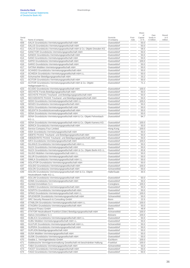Share

|        |                                                                                 |                |       | סווטו<br>of | Own                | Result        |
|--------|---------------------------------------------------------------------------------|----------------|-------|-------------|--------------------|---------------|
| Serial |                                                                                 | Domicile       | Foot- | Capital     | funds in           | in $\epsilon$ |
| No.    | Name of company                                                                 | of company     | note  | in %        | $\epsilon$ million | million       |
| 609    | SALIX Grundstücks-Vermietungsgesellschaft mbH                                   | Duesseldorf    |       | 50.0        |                    |               |
| 610    | SALUS Grundstücks-Vermietungsgesellschaft mbH                                   | Duesseldorf    |       | 50.0        |                    |               |
| 611    | SALUS Grundstücks-Vermietungsgesellschaft mbH & Co. Objekt Dresden KG           | Duesseldorf    |       | 58.5        |                    |               |
| 612    | SANCTOR Grundstücks-Vermietungsgesellschaft mbH                                 | Duesseldorf    |       | 50.0        |                    |               |
| 613    | SANDIX Grundstücks-Vermietungsgesellschaft mbH                                  | Duesseldorf    |       | 50.0        |                    |               |
| 614    | SANO Grundstücks-Vermietungsgesellschaft mbH                                    | Duesseldorf    |       | 50.0        |                    |               |
| 615    | SAPIO Grundstücks-Vermietungsgesellschaft mbH                                   | Duesseldorf    |       | 100.0       |                    |               |
| 616    | SARIO Grundstücks-Vermietungsgesellschaft mbH                                   | Duesseldorf    |       | 50.0        |                    |               |
| 617    | SATINA Mobilien-Vermietungsgesellschaft mbH                                     | Duesseldorf    |       | 50.0        |                    |               |
| 618    | SCANDO Grundstücks-Vermietungsgesellschaft mbH                                  | Duesseldorf    |       | 50.0        |                    |               |
| 619    | SCHEDA Grundstücks-Vermietungsgesellschaft mbH i.L.                             | Duesseldorf    |       | 50.0        |                    |               |
| 620    | Schumacher Beteiligungsgesellschaft mbH                                         | Duesseldorf    |       | 33.2        |                    |               |
| 621    | SCITOR Grundstücks-Vermietungsgesellschaft mbH                                  | Duesseldorf    |       | 50.0        |                    |               |
| 622    | SCITOR Grundstücks-Vermietungsgesellschaft mbH & Co. Objekt                     | Duesseldorf    |       | 71.1        |                    |               |
|        | Heiligenstadt KG i.L.                                                           |                |       |             |                    |               |
| 623    | SCUDO Grundstücks-Vermietungsgesellschaft mbH                                   | Duesseldorf    |       | 100.0       |                    |               |
| 624    | SECHSTE Fonds-Beteiligungsgesellschaft mbH                                      | Duesseldorf    |       | 50.0        |                    |               |
| 625    | SECHSTE PAXAS Treuhand- und Beteiligungsgesellschaft mbH                        | Duesseldorf    |       | 50.0        |                    |               |
| 626    | SECHZEHNTE PAXAS Treuhand- und Beteiligungsgesellschaft mbH                     | Duesseldorf    |       | 50.0        |                    |               |
| 627    | SEDO Grundstücks-Vermietungsgesellschaft mbH i.L.                               | Duesseldorf    |       | 100.0       |                    |               |
| 628    | SEGES Grundstücks-Vermietungsgesellschaft mbH                                   | Duesseldorf    |       | 50.0        |                    |               |
| 629    | SEGU Grundstücks-Vermietungsgesellschaft mbH                                    | Duesseldorf    |       | 50.0        |                    |               |
| 630    | SELEKTA Grundstücksverwaltungsgesellschaft mbH                                  | Duesseldorf    |       | 50.0        |                    |               |
| 631    | SENA Grundstücks-Vermietungsgesellschaft mbH                                    | Duesseldorf    |       | 50.0        |                    |               |
| 632    |                                                                                 | Duesseldorf    |       | 94.7        |                    |               |
|        | SENA Grundstücks-Vermietungsgesellschaft mbH & Co. Objekt Fehrenbach<br>KG i.L. |                |       |             |                    |               |
|        | SENA Grundstücks-Vermietungsgesellschaft mbH & Co. Objekt Kamenz KG             |                |       |             |                    |               |
| 633    |                                                                                 | Duesseldorf    |       | 100.0       |                    |               |
| 634    | SERICA Grundstücks-Vermietungsgesellschaft mbH                                  | Duesseldorf    |       | 50.0        |                    |               |
| 635    | Service Company Four Limited                                                    | Hong Kong      |       | 100.0       |                    |               |
| 636    | SIDA Grundstücks-Vermietungsgesellschaft mbH                                    | Duesseldorf    |       | 50.0        |                    |               |
| 637    | SIEBTE PAXAS Treuhand- und Beteiligungsgesellschaft mbH                         | Duesseldorf    |       | 50.0        |                    |               |
| 638    | SIEBZEHNTE PAXAS Treuhand- und Beteiligungsgesellschaft mbH                     | Duesseldorf    |       | 50.0        |                    |               |
| 639    | SIFA Grundstücks-Vermietungsgesellschaft mbH                                    | Duesseldorf    |       | 100.0       |                    |               |
| 640    | SILANUS Grundstücks-Vermietungsgesellschaft mbH i.L.                            | Duesseldorf    |       | 50.0        |                    |               |
| 641    | SILEX Grundstücks-Vermietungsgesellschaft mbH                                   | Duesseldorf    |       | 50.0        |                    |               |
| 642    | SILEX Grundstücks-Vermietungsgesellschaft mbH & Co. Objekt Berlin KG i.L.       | Duesseldorf    |       | 83.8        |                    |               |
| 643    | SILIGO Mobilien-Vermietungsgesellschaft mbH i.L.                                | Duesseldorf    |       | 50.0        |                    |               |
| 644    | SILUR Grundstücks-Vermietungsgesellschaft mbH                                   | Duesseldorf    |       | 50.0        |                    |               |
| 645    | SIMILA Grundstücks-Vermietungsgesellschaft mbH i.L.                             | Duesseldorf    |       | 50.0        |                    |               |
| 646    | SOLATOR Grundstücks-Vermietungsgesellschaft mbH                                 | Duesseldorf    |       | 50.0        |                    |               |
| 647    | SOLIDO Grundstücks-Vermietungsgesellschaft mbH                                  | Duesseldorf    |       | 100.0       |                    |               |
| 648    | SOLON Grundstücks-Vermietungsgesellschaft mbH                                   | Schoenefeld    |       | 50.0        |                    |               |
| 649    | SOLON Grundstücks-Vermietungsgesellschaft mbH & Co. Objekt                      | Halle/Saale    |       | 30.5        |                    |               |
|        | Heizkraftwerk Halle KG i.L.                                                     |                |       |             |                    |               |
| 650    | SOLUM Grundstücks-Vermietungsgesellschaft mbH                                   | Duesseldorf    |       | 50.0        |                    |               |
| 651    | SOMA Grundstücks-Vermietungsgesellschaft mbH                                    | Duesseldorf    |       | 50.0        |                    |               |
| 652    | Somkid Immobiliare S.r.l.                                                       | Conegliano     |       | 100.0       |                    |               |
| 653    | SOREX Grundstücks-Vermietungsgesellschaft mbH                                   | Duesseldorf    |       | 50.0        |                    |               |
| 654    | SOSPITA Grundstücks-Vermietungsgesellschaft mbH                                 | Duesseldorf    |       | 50.0        |                    |               |
| 655    | SPINO Grundstücks-Vermietungsgesellschaft mbH i.L.                              | Duesseldorf    |       | 100.0       |                    |               |
| 656    | SPLENDOR Grundstücks-Vermietungsgesellschaft mbH                                | Schoenefeld    |       | 50.0        |                    |               |
| 657    | SRC Security Research & Consulting GmbH                                         | Bonn           |       | 22.5        |                    |               |
|        | STABLON Grundstücks-Vermietungsgesellschaft mbH i.L.                            | Duesseldorf    |       | 100.0       |                    |               |
| 658    |                                                                                 |                |       |             |                    |               |
| 659    | STAGIRA Grundstücks-Vermietungsgesellschaft mbH                                 | Duesseldorf    |       | 50.0        |                    |               |
| 660    | Starpool Finanz GmbH                                                            | <b>Berlin</b>  |       | 49.9        |                    |               |
| 661    | STATOR Heizkraftwerk Frankfurt (Oder) Beteiligungsgesellschaft mbH              | Schoenefeld    |       | 100.0       |                    |               |
| 662    | Stelvio Immobiliare S.r.l.                                                      | <b>Bolzano</b> |       | 100.0       |                    |               |
| 663    | SUBLICA Grundstücks-Vermietungsgesellschaft mbH i.L.                            | Duesseldorf    |       | 50.0        |                    |               |
| 664    | SUBU Mobilien-Vermietungsgesellschaft mbH i.L.                                  | Duesseldorf    |       | 50.0        |                    |               |
| 665    | SULPUR Grundstücks-Vermietungsgesellschaft mbH i.L.                             | Schoenefeld    |       | 50.0        |                    |               |
| 666    | SUPERA Grundstücks-Vermietungsgesellschaft mbH                                  | Duesseldorf    |       | 50.0        |                    |               |
| 667    | SUPLION Beteiligungsgesellschaft mbH                                            | Duesseldorf    |       | 50.0        |                    |               |
| 668    | SUSA Mobilien-Vermietungsgesellschaft mbH                                       | Duesseldorf    |       | 50.0        |                    |               |
| 669    | SUSIK Grundstücks-Vermietungsgesellschaft mbH                                   | Duesseldorf    |       | 50.0        |                    |               |
| 670    | Swabia 1. Vermögensbesitz-GmbH                                                  | Eschborn       |       | 100.0       |                    |               |
| 671    | Süddeutsche Vermögensverwaltung Gesellschaft mit beschränkter Haftung           | Frankfurt      |       | 100.0       |                    |               |
| 672    | TABA Grundstücks-Vermietungsgesellschaft mbH                                    | Schoenefeld    |       | 50.0        |                    |               |
| 673    | TACET Grundstücks-Vermietungsgesellschaft mbH                                   | Duesseldorf    |       | 50.0        |                    |               |
|        |                                                                                 |                |       |             |                    |               |

TACET Grundstücks-Vermietungsgesellschaft mbH<br>TAGO Grundstücks-Vermietungsgesellschaft mbH<br>Duesseldorf

674 TAGO Grundstücks-Vermietungsgesellschaft mbH Duesseldorf Duesseldorf 50.0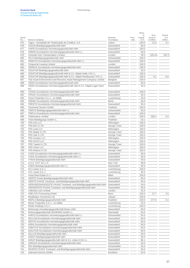Share

| Serial     |                                                                             | Domicile      | Foot- | οf<br>Capital | Own<br>funds in    | Result<br>in $\epsilon$ |
|------------|-----------------------------------------------------------------------------|---------------|-------|---------------|--------------------|-------------------------|
| No.        | Name of company                                                             | of company    | note  | in %          | $\epsilon$ million | million                 |
| 675        | Tagus - Sociedade de Titularização de Creditos, S.A.                        | Lisbon        |       | 100.0         | 13.3               | 0.1                     |
| 676        | TAGUS Beteiligungsgesellschaft mbH                                          | Duesseldorf   |       | 50.0          |                    |                         |
| 677        | TAKIR Grundstücks-Vermietungsgesellschaft mbH                               | Duesseldorf   |       | 100.0         |                    |                         |
| 678        | TEBOR Grundstücks-Vermietungsgesellschaft mbH i.L.                          | Duesseldorf   |       | 50.0          |                    |                         |
| 679        | <b>Teesside Gas Transportation Limited</b>                                  | London        |       | 48.0          | (161.9)            | (23.7)                  |
| 680        | TELO Beteiligungsgesellschaft mbH                                           | Schoenefeld   |       | 100.0         |                    |                         |
| 681        | TEMATIS Grundstücks-Vermietungsgesellschaft mbH i.L.                        | Duesseldorf   |       | 100.0         |                    |                         |
| 682        | <b>Tempurrite Leasing Limited</b>                                           | London        |       | 100.0         |                    |                         |
| 683        | TERRUS Grundstücks-Vermietungsgesellschaft mbH                              | Duesseldorf   |       | 100.0         |                    |                         |
| 684        | TESATUR Beteiligungsgesellschaft mbH                                        | Duesseldorf   |       | 50.0          |                    |                         |
| 685        | TESATUR Beteiligungsgesellschaft mbH & Co. Objekt Halle I KG i.L.           | Duesseldorf   |       | 100.0         |                    |                         |
| 686        | TESATUR Beteiligungsgesellschaft mbH & Co. Objekt Nordhausen I KG i.L.      | Duesseldorf   |       | 100.0         | 0.1                | 6.6                     |
| 687        | Thai Asset Enforcement and Recovery Asset Management Company Limited        | Bangkok       |       | 100.0         |                    |                         |
|            | TIEDO Grundstücks-Vermietungsgesellschaft mbH                               | Duesseldorf   |       | 50.0          |                    |                         |
| 688        |                                                                             | Duesseldorf   |       | 25.0          |                    |                         |
| 689        | TIEDO Grundstücks-Vermietungsgesellschaft mbH & Co. Objekt Lager Nord<br>ΚG |               |       |               |                    |                         |
| 690        | TOSSA Grundstücks-Vermietungsgesellschaft mbH                               | Duesseldorf   |       | 100.0         |                    |                         |
| 691        | TRAGO Grundstücks-Vermietungsgesellschaft mbH                               | Duesseldorf   |       | 50.0          |                    |                         |
| 692        | Trave Properties S.à r.l., en faillite                                      | Luxembourg    |       | 25.0          |                    |                         |
| 693        | TREMA Grundstücks-Vermietungsgesellschaft mbH                               | <b>Berlin</b> |       | 50.0          |                    |                         |
| 694        | TRENTO Grundstücks-Vermietungsgesellschaft mbH                              | Duesseldorf   |       | 50.0          |                    |                         |
| 695        | <b>Treuinvest Service GmbH</b>                                              | Frankfurt     |       | 100.0         |                    |                         |
| 696        | TRINTO Beteiligungsgesellschaft mbH i.L.                                    | Schoenefeld   |       | 50.0          |                    |                         |
| 697        | TRIPLA Grundstücks-Vermietungsgesellschaft mbH                              | Duesseldorf   |       | 100.0         |                    |                         |
| 698        | <b>Triplereason Limited</b>                                                 | London        |       | 100.0         | 330.2              | 0.0                     |
| 699        | Triton Beteiligungs GmbH i.L.                                               | Frankfurt     |       | 33.1          |                    |                         |
| 700        | <b>TRS Aria LLC</b>                                                         | Wilmington    |       | 100.0         |                    |                         |
| 701        | TRS Elm II LTD                                                              | George Town   |       | 100.0         |                    |                         |
|            | <b>TRS Leda LLC</b>                                                         |               |       |               |                    |                         |
| 702        |                                                                             | Wilmington    |       | 100.0         |                    |                         |
| 703        | TRS Maple II LTD                                                            | George Town   |       | 100.0         |                    |                         |
| 704        | TRS Oak II LTD                                                              | George Town   |       | 100.0         |                    |                         |
| 705        | TRS Scorpio LLC                                                             | Wilmington    |       | 100.0         |                    |                         |
| 706        | TRS SVCO LLC                                                                | Wilmington    |       | 100.0         |                    |                         |
| 707        | TRS Tupelo II LTD                                                           | George Town   |       | 100.0         |                    |                         |
| 708        | <b>TRS Venor LLC</b>                                                        | Wilmington    |       | 100.0         |                    |                         |
| 709        | TRS Walnut II LTD                                                           | George Town   |       | 100.0         |                    |                         |
| 710        | TUDO Grundstücks-Vermietungsgesellschaft mbH i.L.                           | Duesseldorf   |       | 50.0          |                    |                         |
| 711        | TUGA Grundstücks-Vermietungsgesellschaft mbH i.L.                           | Duesseldorf   |       | 50.0          |                    |                         |
| 712        | TYRAS Beteiligungsgesellschaft mbH                                          | Duesseldorf   |       | 50.0          |                    |                         |
| 713        | U.S.A. ITCF XCI L.P.                                                        | New York      |       | 99.9          |                    |                         |
| 714        | VARIS Beteiligungsgesellschaft mbH i.L.                                     | Duesseldorf   |       | 50.0          |                    |                         |
| 715        | VCJ Lease S.à r.l.                                                          | Luxembourg    |       | 100.0         |                    |                         |
| 716        | VCL Lease S.à r.l.                                                          | Luxembourg    |       | 95.0          |                    |                         |
| 717        | Vesta Real Estate S.r.l.                                                    | Milan         |       | 100.0         |                    |                         |
| 718        | VIERTE Fonds-Beteiligungsgesellschaft mbH                                   | Duesseldorf   |       | 50.0          |                    |                         |
| 719        | VIERTE PAXAS Treuhand- und Beteiligungsgesellschaft mbH                     | Duesseldorf   |       | 50.0          |                    |                         |
| 720        | VIERUNDZWANZIGSTE PAXAS Treuhand- und Beteiligungsgesellschaft mbH          | Duesseldorf   |       | 50.0          |                    |                         |
| 721        | VIERZEHNTE PAXAS Treuhand- und Beteiligungsgesellschaft mbH                 | Duesseldorf   |       | 50.0          |                    |                         |
| 722        | Volbroker.com Limited                                                       | London        |       | 22.5          |                    |                         |
| 723        | VÖB-ZVD Processing GmbH                                                     | Bonn          |       | 100.0         | 27.7               | 2.5                     |
| 724        | Wealthspur Investment Ltd.                                                  | Labuan        |       | 100.0         |                    |                         |
| 725        | WEPLA Beteiligungsgesellschaft mbH                                          | Frankfurt     |       | 100.0         | 177.0              | 0.1                     |
| 726        | Weser Properties S.à r.l., en faillite                                      | Luxembourg    |       | 25.0          |                    |                         |
| 727        | Whale Holdings S.à r.l.                                                     | Luxembourg    |       | 100.0         |                    |                         |
| 728        | Wohnungs-Verwaltungsgesellschaft Moers mbH                                  | Duesseldorf   |       | 50.0          |                    |                         |
| 729        | Wohnungsgesellschaft HEGEMAG GmbH i.L.                                      | Darmstadt     |       | 50.0          |                    |                         |
|            | XARUS Grundstücks-Vermietungsgesellschaft mbH i.L.                          | Schoenefeld   |       | 50.0          |                    |                         |
| 730        | XELLUM Grundstücks-Vermietungsgesellschaft mbH                              | Duesseldorf   |       |               |                    |                         |
| 731<br>732 | XENTIS Grundstücks-Vermietungsgesellschaft mbH                              | Duesseldorf   |       | 50.0<br>50.0  |                    |                         |
|            |                                                                             |               |       |               |                    |                         |

XENTIS Grundstücks-Vermietungsgesellschaft mbH Duesseldorf

ZAKATUR Grundstücks-Vermietungsgesellschaft mbH Duesseldorf

ZARAT Beteiligungsgesellschaft mbH Duesseldorf 50.000 Duesseldorf

 $\frac{739}{740}$   $\frac{ZARGUS Grundstituks-Vermietungsgesellschaft mbH}{ZEA Beteiligungsgesellschaft mbH}$ 

zeitinvest-Service GmbH

733 XERA Grundstücks-Vermietungsgesellschaft mbH<br>
Duesseldorf Duesseldorf 50.0 734 ZABATUS Grundstücks-Vermietungsgesellschaft mbH<br>
735 ZAKATUR Grundstücks-Vermietungsgesellschaft mbH<br>
Duesseldorf 50.0

Text ZALLUS Beteiligungsgesellschaft mbH<br>
To Duesseldorf Tax Tax ARAT Beteiligungsgesellschaft mbH<br>
To Duesseldorf 50.0

738 ZARAT Beteiligungsgesellschaft mbH & Co. Leben II KG i.L.<br>739 ZARGUS Grundstücks-Vermietungsgesellschaft mbH<br>60.0 Duesseldorf 98.1

 $\overline{740}$  ZEA Beteiligungsgesellschaft mbH<br>  $\overline{741}$  ZEHNTE PAXAS Treuhand- und Beteiligungsgesellschaft mbH<br>
Duesseldorf 50.0 741 ZEHNTE PAXAS Treuhand- und Beteiligungsgesellschaft mbH<br>742 Zeitinvest-Service GmbH<br>75.0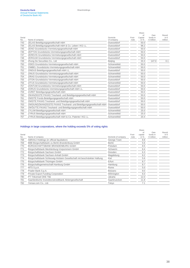| Serial     |                                                                    | Domicile                  | Foot- | Share<br>of<br>Capital | Own<br>funds in    | Result<br>in $\in$ |
|------------|--------------------------------------------------------------------|---------------------------|-------|------------------------|--------------------|--------------------|
| No.<br>743 | Name of company<br>ZELAS Beteiligungsgesellschaft mbH              | of company<br>Duesseldorf | note  | in $%$<br>50.0         | $\epsilon$ million | million            |
| 744        | ZELAS Beteiligungsgesellschaft mbH & Co. Leben I KG i.L.           | Duesseldorf               |       | 98.2                   |                    |                    |
| 745        | ZENO Grundstücks-Vermietungsgesellschaft mbH                       | Duesseldorf               |       | 50.0                   |                    |                    |
| 746        | ZEPTOS Grundstücks-Vermietungsgesellschaft mbH                     | Duesseldorf               |       | 50.0                   |                    |                    |
| 747        | ZEREVIS Grundstücks-Vermietungsgesellschaft mbH                    | Duesseldorf               |       | 50.0                   |                    |                    |
|            |                                                                    |                           |       |                        |                    |                    |
| 748        | ZERGUM Grundstücks-Vermietungsgesellschaft mbH                     | Duesseldorf               |       | 50.0                   |                    |                    |
| 749        | Zhong De Securities Co., Ltd                                       | Beijing                   |       | 33.3                   | 147.0              | 0.1                |
| 750        | ZIDES Grundstücks-Vermietungsgesellschaft mbH                      | Schoenefeld               |       | 50.0                   |                    |                    |
| 751        | ZIMBEL Grundstücks-Vermietungsgesellschaft mbH                     | Schoenefeld               |       | 50.0                   |                    |                    |
| 752        | ZINDUS Beteiligungsgesellschaft mbH i.L.                           | Duesseldorf               |       | 50.0                   |                    |                    |
| 753        | ZINUS Grundstücks-Vermietungsgesellschaft mbH                      | Schoenefeld               |       | 50.0                   |                    |                    |
| 754        | ZIRAS Grundstücks-Vermietungsgesellschaft mbH                      | Schoenefeld               |       | 50.0                   |                    |                    |
| 755        | ZITON Grundstücks-Vermietungsgesellschaft mbH                      | Duesseldorf               |       | 50.0                   |                    |                    |
| 756        | ZITUS Grundstücks-Vermietungsgesellschaft mbH                      | Schoenefeld               |       | 50.0                   |                    |                    |
| 757        | ZONTUM Grundstücks-Vermietungsgesellschaft mbH                     | Duesseldorf               |       | 50.0                   |                    |                    |
| 758        | ZORUS Grundstücks-Vermietungsgesellschaft mbH i.L.                 | Duesseldorf               |       | 50.0                   |                    |                    |
| 759        | ZURET Beteiligungsgesellschaft mbH                                 | Duesseldorf               |       | 50.0                   |                    |                    |
| 760        | ZWANZIGSTE PAXAS Treuhand- und Beteiligungsgesellschaft mbH        | Duesseldorf               |       | 50.0                   |                    |                    |
| 761        | ZWEITE Fonds-Beteiligungsgesellschaft mbH                          | Duesseldorf               |       | 50.0                   |                    |                    |
| 762        | ZWEITE PAXAS Treuhand- und Beteiligungsgesellschaft mbH            | Duesseldorf               |       | 50.0                   |                    |                    |
| 763        | ZWEIUNDZWANZIGSTE PAXAS Treuhand- und Beteiligungsgesellschaft mbH | Duesseldorf               |       | 50.0                   |                    |                    |
| 764        | ZWÖLFTE PAXAS Treuhand- und Beteiligungsgesellschaft mbH           | Duesseldorf               |       | 50.0                   |                    |                    |
| 765        | ZYLUM Beteiligungsgesellschaft mbH                                 | Schoenefeld               |       | 25.0                   |                    |                    |
| 766        | ZYRUS Beteiligungsgesellschaft mbH                                 | Schoenefeld               |       | 25.0                   |                    |                    |
| 767        | ZYRUS Beteiligungsgesellschaft mbH & Co. Patente I KG i.L.         | Schoenefeld               |       | 20.4                   |                    |                    |

#### Holdings in large corporations, where the holding exceeds 5% of voting rights

|               |                                                                          |                     |               | Share             |                                |                          |
|---------------|--------------------------------------------------------------------------|---------------------|---------------|-------------------|--------------------------------|--------------------------|
|               |                                                                          |                     |               | οf                | Own                            | Result                   |
| Serial<br>No. | Name of company                                                          | Domicile of company | Foot-<br>note | capital<br>in $%$ | funds in<br>$\epsilon$ million | in $\epsilon$<br>million |
|               |                                                                          |                     |               |                   |                                |                          |
| 768           | ABRAAJ Holdings (in official liquidation)                                | George Town         |               | 8.8               |                                |                          |
| 769           | BBB Bürgschaftsbank zu Berlin-Brandenburg GmbH                           | <b>Berlin</b>       |               | 5.6               |                                |                          |
| 770           | BÜRGSCHAFTSBANK BRANDENBURG GmbH                                         | Potsdam             |               | 8.5               |                                |                          |
| 771           | Bürgschaftsbank Mecklenburg-Vorpommern GmbH                              | Schwerin            |               | 8.4               |                                |                          |
| 772           | Bürgschaftsbank Sachsen GmbH                                             | Dresden             |               | 6.3               |                                |                          |
| 773           | Bürgschaftsbank Sachsen-Anhalt GmbH                                      | Magdeburg           |               | 8.2               |                                |                          |
| 774           | Bürgschaftsbank Schleswig-Holstein Gesellschaft mit beschränkter Haftung | Kiel                |               | 5.6               |                                |                          |
| 775           | Bürgschaftsbank Thüringen GmbH                                           | Erfurt              |               | 8.7               |                                |                          |
| 776           | Bürgschaftsgemeinschaft Hamburg GmbH                                     | Hamburg             |               | 8.7               |                                |                          |
| 777           | MTS S.p.A.                                                               | Rome                |               | 5.0               |                                |                          |
| 778           | Prader Bank S.p.A.                                                       | Bolzano             |               | 9.0               |                                |                          |
| 779           | Private Export Funding Corporation                                       | Wilmington          |               | 6.0               |                                |                          |
| 780           | PT Trikomsel OKE Tbk                                                     | Jakarta             |               | 12.0              |                                |                          |
| 781           | Saarländische Investitionskreditbank Aktiengesellschaft                  | Saarbruecken        |               | 11.8              |                                |                          |
| 782           | Yensai.com Co., Ltd.                                                     | Tokyo               |               | 7.1               |                                |                          |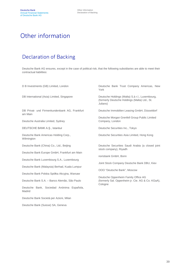### Other information

### Declaration of Backing

Deutsche Bank AG ensures, except in the case of political risk, that the following subsidiaries are able to meet their contractual liabilities:

DB Privat- und Firmenkundenbank AG, Frankfurt am Main

Deutsche Australia Limited, Sydney Company, London

DEUTSCHE BANK A.Ş., Istanbul Deutsche Securities Inc., Tokyo

Deutsche Bank Americas Holding Corp., Wilmington

Deutsche Bank Europe GmbH, Frankfurt am Main

Deutsche Bank Luxembourg S.A., Luxembourg

Deutsche Bank (Malaysia) Berhad, Kuala Lumpur

Deutsche Bank Polska Spółka Akcyjna, Warsaw

Deutsche Bank S.A. – Banco Alemão, São Paulo

Deutsche Bank, Sociedad Anónima Española, Madrid

Deutsche Bank Società per Azioni, Milan

Deutsche Bank (Suisse) SA, Geneva

D B Investments (GB) Limited, London Deutsche Bank Trust Company Americas, New York

DB International (Asia) Limited, Singapore Deutsche Holdings (Malta) S.à r.l., Luxembourg, (formerly Deutsche Holdings (Malta) Ltd., St. Julians)

Deutsche Immobilien Leasing GmbH, Düsseldorf

Deutsche Morgan Grenfell Group Public Limited

Deutsche Securities Asia Limited, Hong Kong

Deutsche Bank (China) Co., Ltd., Beijing Deutsche Securities Saudi Arabia (a closed joint stock company), Riyadh

norisbank GmbH, Bonn

Joint Stock Company Deutsche Bank DBU, Kiev

OOO "Deutsche Bank", Moscow

Deutsche Oppenheim Family Office AG (formerly Sal. Oppenheim jr. Cie. AG & Co. KGaA), Cologne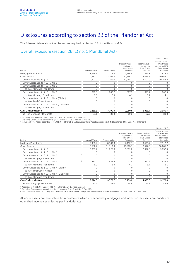### Disclosures according to section 28 of the Pfandbrief Act

The following tables show the disclosures required by Section 28 of the Pfandbrief Act.

#### Overall exposure (section 28 (1) no. 1 Pfandbrief Act)

|                                                      |               |                      |                                                                           |                                                                   | Dec 31, 2019                                                                       |
|------------------------------------------------------|---------------|----------------------|---------------------------------------------------------------------------|-------------------------------------------------------------------|------------------------------------------------------------------------------------|
| in $\notin$ m.                                       | Nominal Value | <b>Present Value</b> | Present Value -<br><b>High Interest</b><br><b>Rate Stress</b><br>Scenario | Present Value -<br>Low Interest<br><b>Rate Stress</b><br>Scenario | Present Value -<br>Worst Case<br>Interest and FX<br><b>Rate Stress</b><br>Scenario |
| Mortgage Pfandbriefe                                 | 8,364.5       | 8,716.4              | 7,585.4                                                                   | 10,224.8                                                          | 7.585.4                                                                            |
| <b>Cover Assets</b>                                  | 10,630.0      | 12,107.3             | 10,566.1                                                                  | 14,076.5                                                          | 10,566.1                                                                           |
| Cover Assets acc. to $\S$ 12 (1)                     | 10,302.0      | 11,769.0             | 10,258.2                                                                  | 13,702.9                                                          | 10,258.2                                                                           |
| Cover Assets acc. to $\S$ 19 (1) No. 1               | $\Omega$      |                      |                                                                           |                                                                   |                                                                                    |
| Cover Assets acc. to $\S$ 19 (1) No. 2               | $\Omega$      |                      |                                                                           | C                                                                 |                                                                                    |
| as % of Mortgage Pfandbriefe                         | $\Omega$      |                      |                                                                           |                                                                   |                                                                                    |
| Cover Assets acc. to $\S$ 19 (1) No. 3               | 328.0         | 338.2                | 307.9                                                                     | 373.7                                                             | 307.9                                                                              |
| as % of Mortgage Pfandbriefe                         | 3.9           | 3.9                  | 4.1                                                                       | 3.7                                                               | 4.1                                                                                |
| Cover Assets acc. to § 19 (1) No. 4 (Claims)         | $\mathbf{0}$  |                      | $\Omega$                                                                  | 0                                                                 |                                                                                    |
| as % of Total Cover Assets                           | $\mathbf{0}$  |                      | 0                                                                         | $\Omega$                                                          | 0                                                                                  |
| Cover Assets acc. to $\S$ 19 (1) No. 4 (Liabilities) | $\Omega$      |                      | 0                                                                         | C                                                                 |                                                                                    |
| as % of Mortgage Pfandbriefe                         | $\Omega$      |                      | $\Omega$                                                                  |                                                                   |                                                                                    |
| Over-Collateralization                               | 2,265.5       | 3,390.9              | 2,980.8                                                                   | 3,851.7                                                           | 2,980.7                                                                            |
| as % of Mortgage Pfandbriefe                         | 27.1          | 38.9                 | 39.3                                                                      | 37.7                                                              | 39.3                                                                               |

\* According to § 5 (1) No. 1 and § 6 (2) No. 1 PfandBarwertV static approach.<br>1 Excluding Cover Assets according to § 4 (1) sentence 2 No. 1 and No. 2 PfandBG.<br>ª Including Cover Assets according to § 19 (1) No. 2 PfandBG a

|                                                   |               |                      |                                                                           |                                                                   | Dec 31, 2018                                                                       |
|---------------------------------------------------|---------------|----------------------|---------------------------------------------------------------------------|-------------------------------------------------------------------|------------------------------------------------------------------------------------|
| in $\notin$ m.                                    | Nominal Value | <b>Present Value</b> | Present Value -<br><b>High Interest</b><br><b>Rate Stress</b><br>Scenario | Present Value -<br>Low Interest<br><b>Rate Stress</b><br>Scenario | Present Value -<br>Worst Case<br>Interest and FX<br><b>Rate Stress</b><br>Scenario |
| Mortgage Pfandbriefe                              | 7,988.4       | 8,130.3              | 7,112.7                                                                   | 9,496.7                                                           | 7,112.7                                                                            |
| <b>Cover Assets</b>                               | 10,502.7      | 11.710.0             | 10,285.7                                                                  | 13,517.5                                                          | 10,285.7                                                                           |
| Cover Assets acc. to $\S$ 12 (1)                  | 10.031.7      | 11.227.3             | 9,852.0                                                                   | 12.977.0                                                          | 9,852.0                                                                            |
| Cover Assets acc. to $\S$ 19 (1) No. 1            |               |                      |                                                                           |                                                                   |                                                                                    |
| Cover Assets acc. to $\S$ 19 (1) No. 2            | 0             |                      |                                                                           |                                                                   |                                                                                    |
| as % of Mortgage Pfandbriefe                      | O             |                      |                                                                           | O                                                                 |                                                                                    |
| Cover Assets acc. to $\S$ 19 (1) No. 3            | 471.0         | 482.6                | 433.8                                                                     | 540.5                                                             | 433.8                                                                              |
| as % of Mortgage Pfandbriefe                      | 5.9           | 5.9                  | 6.1                                                                       | 5.7                                                               | 6.1                                                                                |
| Cover Assets acc. to $\S$ 19 (1) No. 4 (Claims)   | $\Omega$      |                      |                                                                           | $\Omega$                                                          |                                                                                    |
| as % of Total Cover Assets                        | 0             |                      |                                                                           | $\Omega$                                                          |                                                                                    |
| Cover Assets acc. to § 19 (1) No. 4 (Liabilities) | O             |                      |                                                                           |                                                                   |                                                                                    |
| as % of Mortgage Pfandbriefe                      |               |                      |                                                                           |                                                                   |                                                                                    |
| Over-Collateralization                            | 2,514.3       | 3,579.7              | 3,173.0                                                                   | 4,020.8                                                           | 3,173.0                                                                            |
| as % of Mortgage Pfandbriefe                      | 31.5          | 44.0                 | 44.6                                                                      | 42.3                                                              | 44.6                                                                               |

\* According to § 5 (1) No. 1 and § 6 (2) No. 1 PfandBarwertV static approach.

1 Excluding Cover Assets according to § 4 (1) sentence 2 No. 1 and No. 2 PfandBG.<br>ª Including Cover Assets according to § 19 (1) No. 2 PfandBG and including Cover Assets according to § 4 (1) sentence 2 No. 1 and No. 2 Pfa

All cover assets are receivables from customers which are secured by mortgages and further cover assets are bonds and other fixed income securities as per Pfandbrief Act.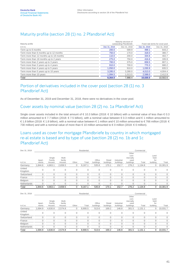### Maturity profile (section 28 (1) no. 2 Pfandbrief Act)

| Maturity profile                         | Maturity structure of<br>outstanding Pfandbriefe | Fixed rate terms for cover pool |              |              |
|------------------------------------------|--------------------------------------------------|---------------------------------|--------------|--------------|
| in $\notin$ m.                           | Dec 31, 2019                                     | Dec 31, 2018                    | Dec 31, 2019 | Dec 31, 2018 |
| Term up to 6 months                      | 200.0                                            | 589.9                           | 499.1        | 643.2        |
| Term more than 6 months up to 12 months  | 750.0                                            | 170.0                           | 318.0        | 380.7        |
| Term more than 12 months up to 18 months | 110.0                                            | 200.0                           | 334.6        | 402.7        |
| Term more than 18 months up to 2 years   | 275.0                                            | 750.0                           | 416.6        | 335.9        |
| Term more than 2 years up to 3 years     | 700.0                                            | 375.0                           | 659.5        | 807.1        |
| Term more than 3 years up to 4 years     | 910.0                                            | 700.0                           | 770.3        | 680.2        |
| Term more than 4 years up to 5 years     | 1,050.0                                          | 910.0                           | 1.030.9      | 835.5        |
| Term more than 5 years up to 10 years    | 3.285.0                                          | 3.280.0                         | 4.013.0      | 4,004.4      |
| Term more than 10 years                  | 1,084.5                                          | 1.013.5                         | 2,588.0      | 2,412.9      |
| Total                                    | 8.364.5                                          | 7.988.4                         | 10.630.0     | 10.502.6     |

#### Portion of derivatives included in the cover pool (section 28 (1) no. 3 Pfandbrief Act)

As of December 31, 2019 and December 31, 2018, there were no derivatives in the cover pool.

#### Cover assets by nominal value (section 28 (2) no. 1a Pfandbrief Act)

Single cover assets included in the total amount of € 10.3 billion (2018: € 10 billion) with a nominal value of less than € 0.3 million amounted to € 7.7 billion (2018: € 7.5 billion), with a nominal value between € 0.3 million and € 1 million amounted to € 1.8 billion (2018: € 1.8 billion), with a nominal value between € 1 million and € 10 million amounted to € 766 million (2018: € 730 million) and with a nominal value of more than € 10 million amounted to €0 million (2018: €0 million).

#### Loans used as cover for mortgage Pfandbriefe by country in which mortgaged re-al estate is based and by type of use (section 28 (2) no. 1b and 1c Pfandbrief Act)

| Dec 31, 2019      |                 |                            |                            |              | Residential |                     |                     |                         |                                                 | Commercial |                                 |          |
|-------------------|-----------------|----------------------------|----------------------------|--------------|-------------|---------------------|---------------------|-------------------------|-------------------------------------------------|------------|---------------------------------|----------|
| in $\notin$ m.    | Apart-<br>ments | Single<br>Family<br>Houses | Multi-<br>family<br>Houses | Other        | Total       | Office<br>buildings | Retail<br>buildings | Industrial<br>buildings | Other<br>com-<br>mercially<br>used<br>buildings | Total      | Land<br>held<br>for<br>building | Total    |
| Germany           | 1.844.6         | 4,663.1                    | 2,659.5                    | 0            | 9,167.1     | 535.8               | 170.1               | 152.7                   | 276.2                                           | 1,134.8    | 0                               | 10,301.9 |
| United<br>Kingdom | 0               | 0                          | 0                          | $\mathbf{0}$ | 0           | $\mathbf{0}$        | 0                   | $\mathbf{0}$            | 0                                               | 0          | $\mathbf{0}$                    | 0        |
| Switzerland       |                 | 0                          | 0                          | $\mathbf{0}$ |             | 0                   |                     |                         |                                                 | 0          | $\Omega$                        | 0        |
| France            |                 | 0                          | 0                          | $\Omega$     |             |                     |                     |                         |                                                 | U          | $\Omega$                        |          |
| Belgium           |                 | 0                          | 0                          | $\mathbf 0$  |             | 0                   |                     |                         |                                                 | 0          | $\mathbf{0}$                    |          |
| Netherlands       |                 |                            | C                          | $\mathbf{0}$ |             |                     |                     |                         |                                                 | 0          | 0                               |          |
| Total             | 1,844.6         | 4,663.1                    | 2,659.5                    | 0            | 9,167.1     | 535.8               | 170.1               | 152.7                   | 276.2                                           | 1,134.8    | 0                               | 10,301.9 |

| Dec 31, 2018      | Residential     |                            |                            |              |         |                     |                     | Commercial              |                                                 |         |                                 |          |
|-------------------|-----------------|----------------------------|----------------------------|--------------|---------|---------------------|---------------------|-------------------------|-------------------------------------------------|---------|---------------------------------|----------|
| in $\notin$ m.    | Apart-<br>ments | Single<br>Family<br>Houses | Multi-<br>family<br>Houses | Other        | Total   | Office<br>buildings | Retail<br>buildings | Industrial<br>buildings | Other<br>com-<br>mercially<br>used<br>buildings | Total   | Land<br>held<br>for<br>building | Total    |
| Germany           | .694.9          | 4,630.8                    | 2,574.8                    | 0            | 8,900.5 | 513.6               | 169.2               | 146.8                   | 301.5                                           | 1,131.1 | 0                               | 10,031.7 |
| United<br>Kingdom | $\Omega$        | 0                          | $\mathbf{0}$               | $\mathbf{0}$ | 0       | 0                   | 0                   | $\Omega$                | 0                                               | 0       | $\mathbf{0}$                    |          |
| Switzerland       |                 | 0                          | C                          |              |         |                     |                     |                         | 0                                               |         | $\Omega$                        |          |
| France            |                 | 0                          |                            |              |         |                     |                     |                         | 0                                               |         |                                 |          |
| Belgium           |                 | 0                          | C                          |              |         |                     |                     |                         | 0                                               |         | $\Omega$                        |          |
| Netherlands       |                 | 0                          | C                          | $\Omega$     |         |                     |                     |                         | 0                                               |         | $\Omega$                        |          |
| Total             | 1.694.9         | 4.630.8                    | 2.574.8                    | 0            | 8.900.5 | 513.6               | 169.2               | 146.8                   | 301.5                                           | 1.131.1 | 0                               | 10.031.7 |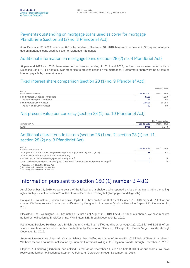#### Payments outstanding on mortgage loans used as cover for mortgage Pfandbriefe (section 28 (2) no. 2 Pfandbrief Act)

As of December 31, 2019 there were 0.6 million and as of December 31, 2018 there were no payments 90 days or more past due on mortgage loans used as cover for Mortgage Pfandbriefe.

#### Additional information on mortgage loans (section 28 (2) no. 4 Pfandbrief Act)

At year end 2019 and 2018 there were no foreclosures pending. In 2019 and 2018, no foreclosures were performed and Deutsche Bank AG did not take over properties to prevent losses on the mortgages. Furthermore, there were no arrears on interest payable by the mortgagors.

#### Fixed interest share comparison (section 28 (1) no. 9 Pfandbrief Act)

|                                          |              | Nominal Value |
|------------------------------------------|--------------|---------------|
| in $\in$ m.<br>(if not stated otherwise) | Dec 31, 2019 | Dec 31, 2018  |
| Fixed Interest Mortgage Pfandbriefe      | 8.115        | 7.529         |
| As % of Mortgage Pfandbriefe             | 97           | 94            |
| <b>Fixed Interest Cover Assets</b>       | 10.507       | 10,384        |
| As % of Total Cover Assets               | 99           | 99            |

#### Net present value per currency (section 28 (1) no. 10 Pfandbrief Act)

|                         |              | Net Present Value |
|-------------------------|--------------|-------------------|
| currency in $\notin$ m. | Dec 31, 2019 | Dec 31, 2018      |
| Euro                    | 2,981        |                   |

#### Additional characteristic factors (section 28 (1) no. 7, section 28 (1) no. 11, section 28 (2) no. 3 Pfandbrief Act)

| in $\notin$ m.<br>(unless stated otherwise)                                                               | Dec 31, 2019 | Dec 31, 2018 |
|-----------------------------------------------------------------------------------------------------------|--------------|--------------|
| Average Loan-to-Value Ratio weighted using the Mortgage Lending Value (in %) <sup>1</sup>                 | 53           |              |
| Volume-weighted Average in Years of the Maturity                                                          |              |              |
| that has passed since the Mortgage Loan was granted <sup>2</sup>                                          |              |              |
| Total Claims exceeding the Limits of § 13 (1) PfandBG (Countries without preferential right) <sup>3</sup> |              |              |
|                                                                                                           |              |              |

According to § 28 (2) No. 3 Pfand Act.<br>According to § 28 (1) No. 11 Pfand Act.

 $3 \text{ According to } \S 28 \text{ (1) No. 7 Pf and Act.}$ 

### Information pursuant to section 160 (1) number 8 AktG

As of December 31, 2019 we were aware of the following shareholders who reported a share of at least 3 % in the voting rights each pursuant to Section 33 of the German Securities Trading Act (Wertpapierhandelsgesetz):

Douglas L. Braunstein (Hudson Executive Capital LP), has notified us that as of October 31, 2018 he held 3.14 % of our shares. We have received no further notification by Douglas L. Braunstein (Hudson Executive Capital LP), December 31, 2019.

BlackRock, Inc., Wilmington, DE, has notified us that as of August 26, 2019 it held 3.12 % of our shares. We have received no further notification by BlackRock, Inc., Wilmington, DE, through December 31, 2019.

Paramount Services Holdings Ltd., British Virgin Islands, has notified us that as of August 20, 2015 it held 3.05 % of our shares. We have received no further notification by Paramount Services Holdings Ltd., British Virgin Islands, through December 31, 2019.

Supreme Universal Holdings Ltd., Cayman Islands, has notified us that as of August 20, 2015 it held 3.05 % of our shares. We have received no further notification by Supreme Universal Holdings Ltd., Cayman Islands, through December 31, 2019.

Stephen A. Feinberg (Cerberus), has notified us that as of November 14, 2017 he held 3.001 % of our shares. We have received no further notification by Stephen A. Feinberg (Cerberus), through December 31, 2019.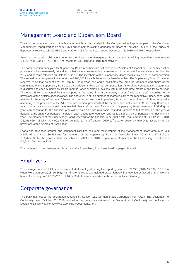### Management Board and Supervisory Board

The total remuneration paid to the Management Board is detailed in the Compensation Report as part of the Combined Management Report starting on page 175. Former members of the Management Board of Deutsche Bank AG or their surviving dependents received 18,093,988 € and € 22,943,159 for the years ended December 31, 2019 and 2018, respectively.

Provisions for pension obligations to former members of the Management Board and their surviving dependents amounted to € 177,074,894 and € 172,799,372 at December 31, 2019 and 2018, respectively.

The compensation principles for Supervisory Board members are set forth in our Articles of Association. The compensation provisions, which were newly conceived in 2013, were last amended by resolution of the Annual General Meeting on May 18, 2017 and became effective on October 5, 2017. The members of the Supervisory Board receive fixed annual compensation. The annual base compensation amounts to € 100,000 for each Supervisory Board member. The Supervisory Board Chairman receives twice that amount and the Deputy Chairperson one and a half times that amount. Members and chairs of the committees of the Supervisory Board are paid additional fixed annual compensation. 75 % of the compensation determined is disbursed to each Supervisory Board member after submitting invoices within the first three month of the following year. The other 25 % is converted by the company at the same time into company shares (notional shares) according to the provisions of the Articles of Association. The share value of this number of shares is paid to the respective Supervisory Board member in February of the year following his departure from the Supervisory Board or the expiration of his term of office according to the provisions of the Articles of Association, provided that the member does not leave the Supervisory Board due to important cause which would have justified dismissal. In case of a change in Supervisory Board membership during the year, compensation for the financial year will be paid on a pro rata basis, rounded up/down to full months. For the year of departure, the entire compensation is paid in cash; a forfeiture regulation applies to 25 % of the compensation for that financial year. The members of the Supervisory Board received for the financial year 2019 a total remuneration of € 6,112,499 (2018: € 5,766,669), of which € 4,692,708 will be paid out in 1<sup>st</sup> quarter 2020 (1<sup>st</sup> quarter 2019: € 4,676,041) according to the provisions of the Articles of Association.

Loans and advances granted and contingent liabilities assumed for members of the Management Board amounted to  $\epsilon$ 8.106.465 and € 11,180,396 and for members of the Supervisory Board of Deutsche Bank AG to € 1.620.722 and € 33,425,239 for the years ended December 31, 2019 and 2018, respectively. Members of the Supervisory Board repaid € 4,911,200 loans in 2019.

The members of the Management Board and the Supervisory Board are listed on pages 46 to 47.

### Employees

The average number of full-time equivalent staff employed during the reporting year was 26,271 (2018: 27,397), 10,010 of whom were women (2018: 10,358). Part-time employees are included proportionately in these figures based on their working hours. An average of 14,933 (2018: of 16,042) staff members worked at branches outside Germany.

### Corporate governance

The bank has issued the declaration required by Section 161 German Stock Corporation Act (AktG). The Declaration of Conformity dated October 25, 2018, and all of the previous versions of the Declaration of Conformity are published on Deutsche Bank's website at www.db.com/ir/en/documents.htm.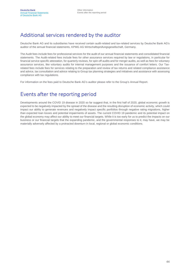### Additional services rendered by the auditor

Deutsche Bank AG and its subsidiaries have received certain audit-related and tax-related services by Deutsche Bank AG's auditor of the annual financial statements, KPMG AG Wirtschaftsprüfungsgesellschaft, Germany.

The Audit fees include fees for professional services for the audit of our annual financial statements and consolidated financial statements. The Audit-related fees include fees for other assurance services required by law or regulations, in particular for financial service specific attestation, for quarterly reviews, for spin-off audits and for merger audits, as well as fees for voluntary assurance services, like voluntary audits for internal management purposes and the issuance of comfort letters. Our Taxrelated fees include fees for services relating to the preparation and review of tax returns and related compliance assistance and advice, tax consultation and advice relating to Group tax planning strategies and initiatives and assistance with assessing compliance with tax regulations.

For information on the fees paid to Deutsche Bank AG's auditor please refer to the Group's Annual Report.

### Events after the reporting period

Developments around the COVID 19 disease in 2020 so far suggest that, in the first half of 2020, global economic growth is expected to be negatively impacted by the spread of the disease and the resulting disruption of economic activity, which could impact our ability to generate revenues and negatively impact specific portfolios through negative rating migrations, higher than expected loan losses and potential impairments of assets. The current COVID 19 pandemic and its potential impact on the global economy may affect our ability to meet our financial targets. While it is too early for us to predict the impacts on our business or our financial targets that the expanding pandemic, and the governmental responses to it, may have, we may be materially adversely affected by a protracted downturn in local, regional or global economic conditions.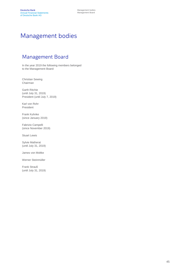### Management bodies

### Management Board

In the year 2019 the following members belonged to the Management Board:

Christian Sewing Chairman

Garth Ritchie (until July 31, 2019) President (until July 7, 2019)

Karl von Rohr President

Frank Kuhnke (since January 2019)

Fabrizio Campelli (since November 2019)

Stuart Lewis

Sylvie Matherat (until July 31, 2019)

James von Moltke

Werner Steinmüller

Frank Strauß (until July 31, 2019)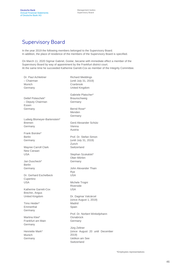### Supervisory Board

In the year 2019 the following members belonged to the Supervisory Board. In addition, the place of residence of the members of the Supervisory Board is specified.

On March 11, 2020 Sigmar Gabriel, Goslar, became with immediate effect a member of the Supervisory Board by way of appointment by the Frankfurt district court. At the same time he succeeded Katherine Garrett-Cox as member of the Integrity Committee.

Dr. Paul Achleitner Richard Meddings – Chairman (until July 31, 2019) Munich Germany Detlef Polaschek\* – Deputy Chairman Essen Germany **Cranbrook** United Kingdom Gabriele Platscher\* Braunschweig Germany Bernd Rose\* Menden **Germany** Ludwig Blomeyer-Bartenstein\* Bremen Germany Gerd Alexander Schütz Vienna Austria Frank Bsirske\* Berlin Germany Mayree Carroll Clark New Canaan USA Prof. Dr. Stefan Simon (until July 31, 2019) Zurich **Switzerland** Stephan Szukalski\* Jan Duscheck\* Berlin Germany Dr. Gerhard Eschelbeck **Cupertino** USA Ober-Mörlen Germany John Alexander Thain Rye USA Michele Trogni Katherine Garrett-Cox Brechin, Angus United Kingdom Timo Heider\* Emmerthal Germany Riverside USA Dr. Dagmar Valcárcel (since August 1, 2019) Madrid Spain Martina Klee\* Frankfurt am Main Germany Henriette Mark\* Munich Germany **Osnabrück** Germany Jürg Zeltner 2019) Uetikon am See

Prof. Dr. Norbert Winkeljohann (since August 20 until December **Switzerland**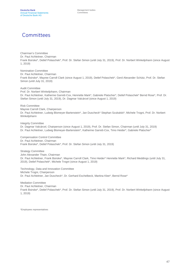### **Committees**

Chairman's Committee Dr. Paul Achleitner, Chairman Frank Bsirske\*, Detlef Polaschek\*, Prof. Dr. Stefan Simon (until July 31, 2019), Prof. Dr. Norbert Winkeljohann (since August 1, 2019)

Nomination Committee Dr. Paul Achleitner, Chairman Frank Bsirske\*, Mayree Carroll Clark (since August 1, 2019), Detlef Polaschek\*, Gerd Alexander Schütz, Prof. Dr. Stefan Simon (until July 31, 2019)

Audit Committee Prof. Dr. Norbert Winkeljohann, Chairman Dr. Paul Achleitner, Katherine Garrett-Cox, Henriette Mark\*, Gabriele Platscher\*, Detlef Polaschek\* Bernd Rose\*, Prof. Dr. Stefan Simon (until July 31, 2019), Dr. Dagmar Valcárcel (since August 1, 2019)

Risk Committee Mayree Carroll Clark, Chairperson Dr. Paul Achleitner, Ludwig Blomeyer-Bartenstein\*, Jan Duscheck\* Stephan Szukalski\*, Michele Trogni, Prof. Dr. Norbert Winkeljohann

Integrity Committee Dr. Dagmar Valcárcel, Chairperson (since August 1, 2019), Prof. Dr. Stefan Simon, Chairman (until July 31, 2019) Dr. Paul Achleitner, Ludwig Blomeyer-Bartenstein\*, Katherine Garrett-Cox, Timo Heider\*, Gabriele Platscher\*

Compensation Control Committee Dr. Paul Achleitner, Chairman Frank Bsirske\*, Detlef Polaschek\*, Prof. Dr. Stefan Simon (until July 31, 2019)

Strategy Committee John Alexander Thain, Chairman Dr. Paul Achleitner, Frank Bsirske\*, Mayree Carroll Clark, Timo Heider\* Henriette Mark\*, Richard Meddings (until July 31, 2019), Detlef Polaschek\*, Michele Trogni (since August 1, 2019)

Technology, Data and Innovation Committee Michele Trogni, Chairperson Dr. Paul Achleitner, Jan Duscheck\*, Dr. Gerhard Eschelbeck, Martina Klee\*, Bernd Rose\*

Mediation Committee Dr. Paul Achleitner, Chairman Frank Bsirske\*, Detlef Polaschek\*, Prof. Dr. Stefan Simon (until July 31, 2019), Prof. Dr. Norbert Winkeljohann (since August 1, 2019)

\*Employees representatives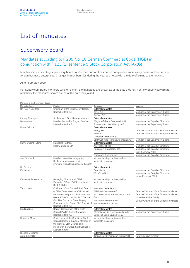### List of mandates

### Supervisory Board

#### Mandates according to § 285 No. 10 German Commercial Code (HGB) in conjunction with § 125 (1) sentence 5 Stock Corporation Act (AktG)

Memberships in statutory supervisory boards of German corporations and in comparable supervisory bodies of German and foreign business enterprises. Changes in memberships during the year are noted with the date of joining and/or leaving.

#### As of: February 2020

For Supervisory Board members who left earlier, the mandates are shown as of the date they left. For new Supervisory Board members, the mandates shown are as of the date they joined.

| Members of the Supervisory Board |                                              |                                      |                                          |
|----------------------------------|----------------------------------------------|--------------------------------------|------------------------------------------|
| Mandate-Holder                   | Position                                     | Company                              | Mandate                                  |
| Dr. Paul Achleitner              | Chairman of the Supervisory Board,           | <b>External mandates</b>             |                                          |
|                                  | Deutsche Bank AG                             | <b>Baver AG</b>                      | Member of the Supervisory Board          |
|                                  |                                              | Daimler AG                           | Member of the Supervisory Board          |
| Ludwig Blomeyer-                 | Spokesman of the Management and              | <b>External mandates</b>             |                                          |
| <b>Bartenstein</b>               | Head of the Market Region Bremen,            | Bürgschaftsbank Bremen GmbH          | Member of the Board of Directors         |
|                                  | Deutsche Bank AG                             | Frowein & Co. Beteiligungs AG        | Member of the Supervisory Board          |
| <b>Frank Bsirske</b>             |                                              | <b>External mandates</b>             |                                          |
|                                  |                                              | innogy SE                            | Deputy Chairman of the Supervisory Board |
|                                  |                                              | <b>RWE AG</b>                        | Deputy Chairman of the Supervisory Board |
|                                  |                                              | Mandates in the Group                |                                          |
|                                  |                                              | DB Privat- und Firmenkundenbank AG   | Member of the Supervisory Board          |
| Mayree Carroll Clark             | Managing Partner,                            | <b>External mandates</b>             |                                          |
|                                  | Eachwin Capital LP                           | Ally Financial, Inc.                 | Member of the Board of Directors         |
|                                  |                                              | Regulatory Data Corp., Inc.          | Member of the Board of Directors         |
|                                  |                                              |                                      | (until February 2020)                    |
|                                  |                                              | Taubmann Centers, Inc.               | Member of the Board of Directors         |
| Jan Duscheck                     | Head of national working group               | No memberships or directorships      |                                          |
|                                  | Banking, trade union ver.di                  | subject to disclosure                |                                          |
|                                  | (Vereinte Dienstleistungsgewerkschaft)       |                                      |                                          |
| Dr. Gerhard                      |                                              | <b>External mandates</b>             |                                          |
| Eschelbeck                       |                                              | Onapsis Inc.                         | Member of the Board of Directors         |
|                                  |                                              | WootCloud Inc.                       | Member or the Board of Directors         |
|                                  |                                              |                                      | (since February 2020)                    |
| Katherine Garrett-Cox            | Managing Director and Chief                  | No memberships or directorships      |                                          |
|                                  | Executive Officer, Gulf International        | subject to disclosure.               |                                          |
|                                  | Bank (UK) Ltd.                               |                                      |                                          |
| Timo Heider                      | Chairman of the General Staff Council        | Mandates in the Group                |                                          |
|                                  | of BHW Bausparkasse AG/Postbank              | <b>BHW Bausparkasse AG</b>           | Deputy Chairman of the Supervisory Board |
|                                  | Finanzberatung AG; Chairman of the           | PCC Services GmbH der Deutschen      | Deputy Chairman of the Supervisory Board |
|                                  | <b>General Staff Council of PCC Services</b> | <b>Bank</b>                          | (since December 2019)                    |
|                                  | GmbH of Deutsche Bank; Deputy                | Pensionskasse der BHW                | Deputy Chairman of the Supervisory Board |
|                                  | Chairman of the Group Staff Council of       | Bausparkasse AG VVaG                 |                                          |
|                                  | Deutsche Bank AG                             |                                      |                                          |
| Martina Klee                     | Deputy Chairperson of the Staff              | <b>External mandates</b>             |                                          |
|                                  | Council PWCC Center Frankfurt,               | Sterbekasse für die Angestellten der | Member of the Supervisory Board          |
|                                  | Deutsche Bank AG                             | Deutsche Bank-Gruppe VVaG            |                                          |
| <b>Henriette Mark</b>            | Chairperson of the Combined Staff            | No memberships or directorships      |                                          |
|                                  | Council Southern Bavaria; Member of          | subject to disclosure                |                                          |
|                                  | the General Staff Council and                |                                      |                                          |
|                                  | member of the Group Staff Council of         |                                      |                                          |
|                                  | Deutsche Bank                                |                                      |                                          |
| <b>Richard Meddings</b>          |                                              | <b>External mandates</b>             |                                          |
| (until July 2019)                |                                              | Jardine Lloyd Thompson Group PLC     | Non-Executive Director                   |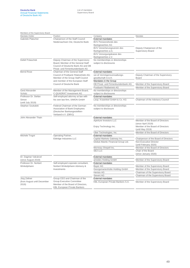| Members of the Supervisory Board |                                                                       |                                      |                                       |
|----------------------------------|-----------------------------------------------------------------------|--------------------------------------|---------------------------------------|
| Mandate-Holder                   | Position                                                              | Company                              | Mandate                               |
| Gabriele Platscher               | Chairperson of the Staff Council                                      | <b>External mandates</b>             |                                       |
|                                  | Niedersachsen Ost, Deutsche Bank                                      | <b>BVV Pensionsfonds des</b>         |                                       |
|                                  |                                                                       | Bankgewerbes AG                      |                                       |
|                                  |                                                                       | BVV Versicherungsverein des          | Deputy Chairperson of the             |
|                                  |                                                                       | Bankgewerbes a.G.                    | Supervisory Board                     |
|                                  |                                                                       | BVV Versorgungskasse des             |                                       |
|                                  |                                                                       | Bankgewerbes e.V.                    |                                       |
| Detlef Polaschek                 | Deputy Chairman of the Supervisory                                    | No memberships or directorships      |                                       |
|                                  | Board; Member of the General Staff                                    | subject to disclosures               |                                       |
|                                  | Council of Deutsche Bank AG and DB                                    |                                      |                                       |
|                                  | Privat- und Firmenkundenbank AG                                       |                                      |                                       |
| <b>Bernd Rose</b>                | Chairman of the General Staff                                         | <b>External mandates</b>             |                                       |
|                                  | Council of Postbank Filialvertrieb AG:                                | ver.di Vermögensverwaltungs-         | Deputy Chairman of the Supervisory    |
|                                  | Member of the Group Staff Council                                     | gesellschaft m.b.H.                  | Board                                 |
|                                  | and member of the European Staff                                      | Mandates in the Group                |                                       |
|                                  | Council of Deutsche Bank                                              | DB Privat- und Firmenkundenbank AG   | Member of the Supervisory Board       |
|                                  |                                                                       | Postbank Filialbetrieb AG            | Member of the Supervisory Board       |
| Gerd Alexander                   | Member of the Management Board,                                       | No memberships or directorships      |                                       |
| Schütz                           | C-QUADRAT Investment AG                                               | subject to disclosures               |                                       |
| Professor Dr. Stefan             | Self-employed attorney at law with                                    | <b>External mandates</b>             |                                       |
| Simon                            | his own law firm, SIMON GmbH                                          | Leop. Krawinkel GmbH & Co. KG        | Chairman of the Advisory Council      |
| (until July 2019)                |                                                                       |                                      |                                       |
| Stephan Szukalski                | Federal Chairman of the German                                        | No memberships or directorships      |                                       |
|                                  | Association of Bank Employees                                         | subject to disclosure                |                                       |
|                                  | (Deutscher Bankangestellten-                                          |                                      |                                       |
|                                  | Verband e.V. (DBV))                                                   |                                      |                                       |
| John Alexander Thain             |                                                                       | <b>External mandates</b>             |                                       |
|                                  |                                                                       | Aperture Investors LLC               | Member of the Board of Directors      |
|                                  |                                                                       |                                      | (since April 2019)                    |
|                                  |                                                                       | Enjoy Technology Inc.                | Member of the Board of Directors      |
|                                  |                                                                       |                                      | (until May 2019)                      |
|                                  |                                                                       | Uber Technologies, Inc.              | Member of the Board of Directors      |
| Michele Trogni                   | Operating Partner,                                                    | <b>External mandates</b>             |                                       |
|                                  | Eldridge Industries LLC                                               | Capital Markets Gateway Inc.         | Chairperson of the Board of Directors |
|                                  |                                                                       | Global Atlantic Financial Group Ltd. | Non-Executive Director                |
|                                  |                                                                       |                                      | (until February 2020)                 |
|                                  |                                                                       | Morneau Shepell Inc.                 | Member of the Board of Directors      |
|                                  |                                                                       | SE <sub>2</sub> LLC                  | Chair of the Board                    |
|                                  |                                                                       |                                      | (since January 2020)                  |
| Dr. Dagmar Valcárcel             |                                                                       | <b>External mandates</b>             |                                       |
| (since August 2019)              |                                                                       | amedes Holding GmbH                  | Member of the Supervisory Board       |
| Professor Dr. Norbert            | Self-employed coporate consultant,                                    | <b>External mandates</b>             |                                       |
|                                  |                                                                       | <b>Baver AG</b>                      | Member of the Supervisory Board       |
| Winkeljohann                     | Norbert Winkeljohann Advisory &<br>Investments                        |                                      |                                       |
|                                  |                                                                       | Georgsmarienhütte Holding GmbH       | Member of the Supervisory Board       |
|                                  |                                                                       | Heristo AG                           | Chairman of the Supervisory Board     |
|                                  |                                                                       | Sievert AG                           | Chairman of the Supervisory Board     |
| Jürg Zeltner                     | Group CEO and Chairman of the                                         | <b>External mandates</b>             |                                       |
| (from August until December      | <b>Group Executive Committee</b><br>Member of the Board of Directors, | KBL European Private Bankers S.A.    | Member of the Supervisory Board       |
| 2019)                            |                                                                       |                                      |                                       |
|                                  | <b>KBL European Private Bankers</b>                                   |                                      |                                       |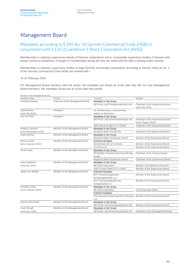### Management Board

#### Mandates according to § 285 No. 10 German Commercial Code (HGB) in conjunction with § 125 (1) sentence 5 Stock Corporation Act (AktG)

Memberships in statutory supervisory boards of German corporations and in comparable supervisory bodies of German and foreign business enterprises. Changes in memberships during the year are noted with the date of joining and/or leaving.

Memberships in statutory supervisory bodies of large German and foreign corporations according to Section 340a (4) No. 1 of the German Commercial Code (HGB) are marked with \*.

#### As of: February 2020

For Management Board members who left earlier, the mandates are shown as of the date they left. For new Management Board members, the mandates shown are as of the date they joined.

| Chairman of the Management Board<br>Mandates in the Group<br><b>Christian Sewing</b><br>DB Privat- und Firmenkundenbank AG*<br>Chairman of the Supervisory Board<br>(until July 2019)<br>Garth Ritchie<br>President<br>No memberships or directorships<br>subject to disclosure<br>(until July 2019)<br>President<br>Mandates in the Group<br>Karl von Rohr<br>DB Privat- und Firmenkundenbank AG*<br>Chairman of the Supervisory Board<br>(since August 2019)<br>DWS Group GmbH & Co. KGaA*<br>Chairman of the Supervisory Board<br>Fabrizio Campelli<br>Member of the Management Board<br>Mandates in the Group<br>Chairman of the Board of Directors<br>(since November 2019)<br>Deutsche Bank (Suisse) SA<br>Frank Kuhnke<br>Member of the Management Board<br>Mandates in the Group<br>Deutsche Bank Società per Azioni*<br>Member of the Supervisory Board<br>Member of the Management Board<br><b>Bernd Leukert</b><br><b>External mandates</b><br>Member of the Supervisory Board<br>Bertelsmann SE & Co.KGaA<br>(since January 2020)<br>TomTom N.V.<br>Member of the Supervisory Board<br><b>Stuart Lewis</b><br>Member of the Management Board<br>Mandates in the Group<br>DEUKONA Versicherungs-Vermittlungs-<br>Chairman of the Advisory Board<br>GmbH<br>Deutsche Bank Società per Azioni*<br>Chairman of the Supervisory Board<br>Sylvie Matherat<br>Member of the Management Board<br>Mandates in the Group<br><b>DB USA Corporation</b><br>Member of the Board of Directors<br>(until July 2019)<br>DWS Group GmbH & Co. KGaA*<br>Member of the Supervisory Board<br>James von Moltke<br>Member of the Management Board<br><b>External mandates</b><br>Member of the Supervisory Board<br><b>BVV Versicherungsverein</b><br>des Bankgewerbes a.G.<br>BVV Versorgungskasse des<br>Member of the Supervisory Board<br>Bankgewerbes e.V.<br>Christiana Riley<br>Member of the Management Board<br>Mandates in the Group<br><b>DB USA Corporation</b><br><b>Chief Executive Officer</b><br>(since January 2020)<br><b>External mandates</b><br>The Clearing House Payments Company Member of the Supervisory Board<br><b>LLC</b><br>Werner Steinmüller<br>Member of the Management Board<br>Mandates in the Group<br>DB Privat- und Firmenkundenbank AG*<br>Member of the Supervisory Board<br>Frank Strauß<br>Member of the Management Board<br>Mandates in the Group<br>DB Privat- und Firmenkundenbank AG*<br>Chairman of the Management Board<br>(until July 2019) | Member of the Management Board |          |         |         |
|------------------------------------------------------------------------------------------------------------------------------------------------------------------------------------------------------------------------------------------------------------------------------------------------------------------------------------------------------------------------------------------------------------------------------------------------------------------------------------------------------------------------------------------------------------------------------------------------------------------------------------------------------------------------------------------------------------------------------------------------------------------------------------------------------------------------------------------------------------------------------------------------------------------------------------------------------------------------------------------------------------------------------------------------------------------------------------------------------------------------------------------------------------------------------------------------------------------------------------------------------------------------------------------------------------------------------------------------------------------------------------------------------------------------------------------------------------------------------------------------------------------------------------------------------------------------------------------------------------------------------------------------------------------------------------------------------------------------------------------------------------------------------------------------------------------------------------------------------------------------------------------------------------------------------------------------------------------------------------------------------------------------------------------------------------------------------------------------------------------------------------------------------------------------------------------------------------------------------------------------------------------------------------------------------------------------------------------------------------------------------------------------------------------------------------------------------------------------------------|--------------------------------|----------|---------|---------|
|                                                                                                                                                                                                                                                                                                                                                                                                                                                                                                                                                                                                                                                                                                                                                                                                                                                                                                                                                                                                                                                                                                                                                                                                                                                                                                                                                                                                                                                                                                                                                                                                                                                                                                                                                                                                                                                                                                                                                                                                                                                                                                                                                                                                                                                                                                                                                                                                                                                                                    | Mandate-Holder                 | Position | Company | Mandate |
|                                                                                                                                                                                                                                                                                                                                                                                                                                                                                                                                                                                                                                                                                                                                                                                                                                                                                                                                                                                                                                                                                                                                                                                                                                                                                                                                                                                                                                                                                                                                                                                                                                                                                                                                                                                                                                                                                                                                                                                                                                                                                                                                                                                                                                                                                                                                                                                                                                                                                    |                                |          |         |         |
|                                                                                                                                                                                                                                                                                                                                                                                                                                                                                                                                                                                                                                                                                                                                                                                                                                                                                                                                                                                                                                                                                                                                                                                                                                                                                                                                                                                                                                                                                                                                                                                                                                                                                                                                                                                                                                                                                                                                                                                                                                                                                                                                                                                                                                                                                                                                                                                                                                                                                    |                                |          |         |         |
|                                                                                                                                                                                                                                                                                                                                                                                                                                                                                                                                                                                                                                                                                                                                                                                                                                                                                                                                                                                                                                                                                                                                                                                                                                                                                                                                                                                                                                                                                                                                                                                                                                                                                                                                                                                                                                                                                                                                                                                                                                                                                                                                                                                                                                                                                                                                                                                                                                                                                    |                                |          |         |         |
|                                                                                                                                                                                                                                                                                                                                                                                                                                                                                                                                                                                                                                                                                                                                                                                                                                                                                                                                                                                                                                                                                                                                                                                                                                                                                                                                                                                                                                                                                                                                                                                                                                                                                                                                                                                                                                                                                                                                                                                                                                                                                                                                                                                                                                                                                                                                                                                                                                                                                    |                                |          |         |         |
|                                                                                                                                                                                                                                                                                                                                                                                                                                                                                                                                                                                                                                                                                                                                                                                                                                                                                                                                                                                                                                                                                                                                                                                                                                                                                                                                                                                                                                                                                                                                                                                                                                                                                                                                                                                                                                                                                                                                                                                                                                                                                                                                                                                                                                                                                                                                                                                                                                                                                    |                                |          |         |         |
|                                                                                                                                                                                                                                                                                                                                                                                                                                                                                                                                                                                                                                                                                                                                                                                                                                                                                                                                                                                                                                                                                                                                                                                                                                                                                                                                                                                                                                                                                                                                                                                                                                                                                                                                                                                                                                                                                                                                                                                                                                                                                                                                                                                                                                                                                                                                                                                                                                                                                    |                                |          |         |         |
|                                                                                                                                                                                                                                                                                                                                                                                                                                                                                                                                                                                                                                                                                                                                                                                                                                                                                                                                                                                                                                                                                                                                                                                                                                                                                                                                                                                                                                                                                                                                                                                                                                                                                                                                                                                                                                                                                                                                                                                                                                                                                                                                                                                                                                                                                                                                                                                                                                                                                    |                                |          |         |         |
|                                                                                                                                                                                                                                                                                                                                                                                                                                                                                                                                                                                                                                                                                                                                                                                                                                                                                                                                                                                                                                                                                                                                                                                                                                                                                                                                                                                                                                                                                                                                                                                                                                                                                                                                                                                                                                                                                                                                                                                                                                                                                                                                                                                                                                                                                                                                                                                                                                                                                    |                                |          |         |         |
|                                                                                                                                                                                                                                                                                                                                                                                                                                                                                                                                                                                                                                                                                                                                                                                                                                                                                                                                                                                                                                                                                                                                                                                                                                                                                                                                                                                                                                                                                                                                                                                                                                                                                                                                                                                                                                                                                                                                                                                                                                                                                                                                                                                                                                                                                                                                                                                                                                                                                    |                                |          |         |         |
|                                                                                                                                                                                                                                                                                                                                                                                                                                                                                                                                                                                                                                                                                                                                                                                                                                                                                                                                                                                                                                                                                                                                                                                                                                                                                                                                                                                                                                                                                                                                                                                                                                                                                                                                                                                                                                                                                                                                                                                                                                                                                                                                                                                                                                                                                                                                                                                                                                                                                    |                                |          |         |         |
|                                                                                                                                                                                                                                                                                                                                                                                                                                                                                                                                                                                                                                                                                                                                                                                                                                                                                                                                                                                                                                                                                                                                                                                                                                                                                                                                                                                                                                                                                                                                                                                                                                                                                                                                                                                                                                                                                                                                                                                                                                                                                                                                                                                                                                                                                                                                                                                                                                                                                    |                                |          |         |         |
|                                                                                                                                                                                                                                                                                                                                                                                                                                                                                                                                                                                                                                                                                                                                                                                                                                                                                                                                                                                                                                                                                                                                                                                                                                                                                                                                                                                                                                                                                                                                                                                                                                                                                                                                                                                                                                                                                                                                                                                                                                                                                                                                                                                                                                                                                                                                                                                                                                                                                    |                                |          |         |         |
|                                                                                                                                                                                                                                                                                                                                                                                                                                                                                                                                                                                                                                                                                                                                                                                                                                                                                                                                                                                                                                                                                                                                                                                                                                                                                                                                                                                                                                                                                                                                                                                                                                                                                                                                                                                                                                                                                                                                                                                                                                                                                                                                                                                                                                                                                                                                                                                                                                                                                    |                                |          |         |         |
|                                                                                                                                                                                                                                                                                                                                                                                                                                                                                                                                                                                                                                                                                                                                                                                                                                                                                                                                                                                                                                                                                                                                                                                                                                                                                                                                                                                                                                                                                                                                                                                                                                                                                                                                                                                                                                                                                                                                                                                                                                                                                                                                                                                                                                                                                                                                                                                                                                                                                    |                                |          |         |         |
|                                                                                                                                                                                                                                                                                                                                                                                                                                                                                                                                                                                                                                                                                                                                                                                                                                                                                                                                                                                                                                                                                                                                                                                                                                                                                                                                                                                                                                                                                                                                                                                                                                                                                                                                                                                                                                                                                                                                                                                                                                                                                                                                                                                                                                                                                                                                                                                                                                                                                    |                                |          |         |         |
|                                                                                                                                                                                                                                                                                                                                                                                                                                                                                                                                                                                                                                                                                                                                                                                                                                                                                                                                                                                                                                                                                                                                                                                                                                                                                                                                                                                                                                                                                                                                                                                                                                                                                                                                                                                                                                                                                                                                                                                                                                                                                                                                                                                                                                                                                                                                                                                                                                                                                    |                                |          |         |         |
|                                                                                                                                                                                                                                                                                                                                                                                                                                                                                                                                                                                                                                                                                                                                                                                                                                                                                                                                                                                                                                                                                                                                                                                                                                                                                                                                                                                                                                                                                                                                                                                                                                                                                                                                                                                                                                                                                                                                                                                                                                                                                                                                                                                                                                                                                                                                                                                                                                                                                    |                                |          |         |         |
|                                                                                                                                                                                                                                                                                                                                                                                                                                                                                                                                                                                                                                                                                                                                                                                                                                                                                                                                                                                                                                                                                                                                                                                                                                                                                                                                                                                                                                                                                                                                                                                                                                                                                                                                                                                                                                                                                                                                                                                                                                                                                                                                                                                                                                                                                                                                                                                                                                                                                    |                                |          |         |         |
|                                                                                                                                                                                                                                                                                                                                                                                                                                                                                                                                                                                                                                                                                                                                                                                                                                                                                                                                                                                                                                                                                                                                                                                                                                                                                                                                                                                                                                                                                                                                                                                                                                                                                                                                                                                                                                                                                                                                                                                                                                                                                                                                                                                                                                                                                                                                                                                                                                                                                    |                                |          |         |         |
|                                                                                                                                                                                                                                                                                                                                                                                                                                                                                                                                                                                                                                                                                                                                                                                                                                                                                                                                                                                                                                                                                                                                                                                                                                                                                                                                                                                                                                                                                                                                                                                                                                                                                                                                                                                                                                                                                                                                                                                                                                                                                                                                                                                                                                                                                                                                                                                                                                                                                    |                                |          |         |         |
|                                                                                                                                                                                                                                                                                                                                                                                                                                                                                                                                                                                                                                                                                                                                                                                                                                                                                                                                                                                                                                                                                                                                                                                                                                                                                                                                                                                                                                                                                                                                                                                                                                                                                                                                                                                                                                                                                                                                                                                                                                                                                                                                                                                                                                                                                                                                                                                                                                                                                    |                                |          |         |         |
|                                                                                                                                                                                                                                                                                                                                                                                                                                                                                                                                                                                                                                                                                                                                                                                                                                                                                                                                                                                                                                                                                                                                                                                                                                                                                                                                                                                                                                                                                                                                                                                                                                                                                                                                                                                                                                                                                                                                                                                                                                                                                                                                                                                                                                                                                                                                                                                                                                                                                    |                                |          |         |         |
|                                                                                                                                                                                                                                                                                                                                                                                                                                                                                                                                                                                                                                                                                                                                                                                                                                                                                                                                                                                                                                                                                                                                                                                                                                                                                                                                                                                                                                                                                                                                                                                                                                                                                                                                                                                                                                                                                                                                                                                                                                                                                                                                                                                                                                                                                                                                                                                                                                                                                    |                                |          |         |         |
|                                                                                                                                                                                                                                                                                                                                                                                                                                                                                                                                                                                                                                                                                                                                                                                                                                                                                                                                                                                                                                                                                                                                                                                                                                                                                                                                                                                                                                                                                                                                                                                                                                                                                                                                                                                                                                                                                                                                                                                                                                                                                                                                                                                                                                                                                                                                                                                                                                                                                    |                                |          |         |         |
|                                                                                                                                                                                                                                                                                                                                                                                                                                                                                                                                                                                                                                                                                                                                                                                                                                                                                                                                                                                                                                                                                                                                                                                                                                                                                                                                                                                                                                                                                                                                                                                                                                                                                                                                                                                                                                                                                                                                                                                                                                                                                                                                                                                                                                                                                                                                                                                                                                                                                    |                                |          |         |         |
|                                                                                                                                                                                                                                                                                                                                                                                                                                                                                                                                                                                                                                                                                                                                                                                                                                                                                                                                                                                                                                                                                                                                                                                                                                                                                                                                                                                                                                                                                                                                                                                                                                                                                                                                                                                                                                                                                                                                                                                                                                                                                                                                                                                                                                                                                                                                                                                                                                                                                    |                                |          |         |         |
|                                                                                                                                                                                                                                                                                                                                                                                                                                                                                                                                                                                                                                                                                                                                                                                                                                                                                                                                                                                                                                                                                                                                                                                                                                                                                                                                                                                                                                                                                                                                                                                                                                                                                                                                                                                                                                                                                                                                                                                                                                                                                                                                                                                                                                                                                                                                                                                                                                                                                    |                                |          |         |         |
|                                                                                                                                                                                                                                                                                                                                                                                                                                                                                                                                                                                                                                                                                                                                                                                                                                                                                                                                                                                                                                                                                                                                                                                                                                                                                                                                                                                                                                                                                                                                                                                                                                                                                                                                                                                                                                                                                                                                                                                                                                                                                                                                                                                                                                                                                                                                                                                                                                                                                    |                                |          |         |         |
|                                                                                                                                                                                                                                                                                                                                                                                                                                                                                                                                                                                                                                                                                                                                                                                                                                                                                                                                                                                                                                                                                                                                                                                                                                                                                                                                                                                                                                                                                                                                                                                                                                                                                                                                                                                                                                                                                                                                                                                                                                                                                                                                                                                                                                                                                                                                                                                                                                                                                    |                                |          |         |         |
|                                                                                                                                                                                                                                                                                                                                                                                                                                                                                                                                                                                                                                                                                                                                                                                                                                                                                                                                                                                                                                                                                                                                                                                                                                                                                                                                                                                                                                                                                                                                                                                                                                                                                                                                                                                                                                                                                                                                                                                                                                                                                                                                                                                                                                                                                                                                                                                                                                                                                    |                                |          |         |         |
|                                                                                                                                                                                                                                                                                                                                                                                                                                                                                                                                                                                                                                                                                                                                                                                                                                                                                                                                                                                                                                                                                                                                                                                                                                                                                                                                                                                                                                                                                                                                                                                                                                                                                                                                                                                                                                                                                                                                                                                                                                                                                                                                                                                                                                                                                                                                                                                                                                                                                    |                                |          |         |         |
|                                                                                                                                                                                                                                                                                                                                                                                                                                                                                                                                                                                                                                                                                                                                                                                                                                                                                                                                                                                                                                                                                                                                                                                                                                                                                                                                                                                                                                                                                                                                                                                                                                                                                                                                                                                                                                                                                                                                                                                                                                                                                                                                                                                                                                                                                                                                                                                                                                                                                    |                                |          |         |         |
|                                                                                                                                                                                                                                                                                                                                                                                                                                                                                                                                                                                                                                                                                                                                                                                                                                                                                                                                                                                                                                                                                                                                                                                                                                                                                                                                                                                                                                                                                                                                                                                                                                                                                                                                                                                                                                                                                                                                                                                                                                                                                                                                                                                                                                                                                                                                                                                                                                                                                    |                                |          |         |         |
|                                                                                                                                                                                                                                                                                                                                                                                                                                                                                                                                                                                                                                                                                                                                                                                                                                                                                                                                                                                                                                                                                                                                                                                                                                                                                                                                                                                                                                                                                                                                                                                                                                                                                                                                                                                                                                                                                                                                                                                                                                                                                                                                                                                                                                                                                                                                                                                                                                                                                    |                                |          |         |         |
|                                                                                                                                                                                                                                                                                                                                                                                                                                                                                                                                                                                                                                                                                                                                                                                                                                                                                                                                                                                                                                                                                                                                                                                                                                                                                                                                                                                                                                                                                                                                                                                                                                                                                                                                                                                                                                                                                                                                                                                                                                                                                                                                                                                                                                                                                                                                                                                                                                                                                    |                                |          |         |         |
|                                                                                                                                                                                                                                                                                                                                                                                                                                                                                                                                                                                                                                                                                                                                                                                                                                                                                                                                                                                                                                                                                                                                                                                                                                                                                                                                                                                                                                                                                                                                                                                                                                                                                                                                                                                                                                                                                                                                                                                                                                                                                                                                                                                                                                                                                                                                                                                                                                                                                    |                                |          |         |         |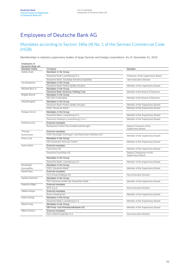### Employees of Deutsche Bank AG

#### Mandates according to Section 340a (4) No. 1 of the German Commercial Code (HGB)

Memberships in statutory supervisory bodies of large German and foreign corporations. As of: December 31, 2019

| Employees of<br>Deutsche Bank AG |                                                     |                                                |
|----------------------------------|-----------------------------------------------------|------------------------------------------------|
| Mandate-Holder                   | Company                                             | Mandate                                        |
| Ashok Aram                       | Mandates in the Group                               |                                                |
|                                  | Deutsche Bank Luxembourg S.A.                       | Chairman of the Supervisory Board              |
|                                  | Deutsche Bank, Sociedad Anónima Española            | Non-Executive Director                         |
| Ina Bandemer                     | Mandates in the Group                               |                                                |
|                                  | Deutsche Bank Polska Spólka Akcyjna                 | Member of the Supervisory Board                |
| Michael Bice Jr                  | Mandates in the Group                               |                                                |
|                                  | Deutsche Bank Americas Holding Corp.                | Member of the Board of Directors               |
| <b>Brigitte Bomm</b>             | Mandates in the Group                               |                                                |
|                                  | <b>DB USA Corporation</b>                           | Member of the Board of Directors               |
| Jörg Bongartz                    | Mandates in the Group                               |                                                |
|                                  | Deutsche Bank Polska Spólka Akcyjna                 | Member of the Supervisory Board                |
|                                  | 000 "Deutsche Bank"                                 | Member of the Supervisory Board                |
| Rüdiger Bronn                    | Mandates in the Group                               |                                                |
|                                  | Deutsche Bank Luxembourg S.A.                       | Member of the Supervisory Board                |
|                                  | Deutsche Holdings (Luxembourg) S.à.r.l.             | Member of the Supervisory Board                |
| Ralf Brümmer                     | <b>External mandates</b>                            |                                                |
|                                  | Bankpower GmbH Personaldienstleistungen             | Deputy Chairman of the<br>Supervisory Board    |
| Thomas                           | <b>External mandates</b>                            |                                                |
| <b>Buschmann</b>                 | VSM Vereinigte Schmirgel- und Maschinen-Fabriken AG | Member of the Supervisory Board                |
| Petra Crull                      | Mandates in the Group                               |                                                |
|                                  | <b>DB Investment Services GmbH</b>                  | Member of the Supervisory Board                |
| Karin Dohm                       | <b>External mandates</b>                            |                                                |
|                                  | Ceconomy AG                                         | Member of the Supervisory Board                |
|                                  | Deutsche EuroShop AG                                | Deputy Chairperson of the<br>Supervisory Board |
|                                  | Mandates in the Group                               |                                                |
|                                  | Deutsche Bank Luxembourg S.A.                       | Member of the Supervisory Board                |
| Boudewijn                        | Mandates in the Group                               |                                                |
| Dornseiffen                      | 000 .Deutsche Bank"                                 | Member of the Supervisory Board                |
| David Gary                       | <b>External mandates</b>                            |                                                |
|                                  | <b>CLS Group Holdings AG</b>                        | Non-Executive Director                         |
| Sandra Heinrich                  | Mandates in the Group                               |                                                |
|                                  | PCC Services GmbH der Deutschen Bank                | Member of the Supervisory Board                |
| Natacha Hilger                   | <b>External mandates</b>                            |                                                |
|                                  | MTS S.p.A.                                          | Non-Executive Director                         |
| Stefan Hoops                     | <b>External mandates</b>                            |                                                |
|                                  | <b>Eurex Clearing AG</b>                            | Member of the Supervisory Board                |
| Kees Hoving                      | Mandates in the Group                               |                                                |
|                                  | Deutsche Bank Luxembourg S.A.                       | Member of the Supervisory Board                |
| Marzio Hug                       | Mandates in the Group                               |                                                |
|                                  | DB Privat- und Firmenkundenbank AG                  | Member of the Supervisory Board                |
| Mihai Ionescu                    | <b>External mandates</b>                            |                                                |
|                                  | One United Properties S.A.                          | Non-Executive Director                         |
|                                  |                                                     |                                                |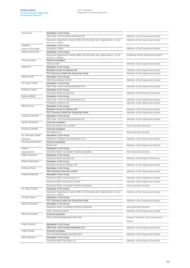| Anna Issel             | Mandates in the Group                                                                                             |                                                    |
|------------------------|-------------------------------------------------------------------------------------------------------------------|----------------------------------------------------|
|                        | DB Privat- und Firmenkundenbank AG                                                                                | Member of the Supervisory Board                    |
| Angelika               | Deutsche Oppenheim Family Office AG (formerly Sal. Oppenheim jr. & Cie<br>AG & Co. KGaA)<br>Mandates in the Group | Member of the Supervisory Board                    |
| Kaever-Schroeder       | norisbank GmbH                                                                                                    | Member of the Supervisory Board                    |
| Daniel Kalczynski      | Mandates in the Group                                                                                             |                                                    |
|                        | Deutsche Oppenheim Family Office AG (formerly Sal. Oppenheim jr. & Cie<br>AG & Co. KGaA)                          | Chairman of the Supervisory Board                  |
| Thomas Keller          | External mandates                                                                                                 |                                                    |
|                        | <b>GEZE GmbH</b>                                                                                                  | Member of the Supervisory Board                    |
| Anke Kirn              | Mandates in the Group                                                                                             |                                                    |
|                        | Betriebs-Center für Banken AG                                                                                     | Member of the Supervisory Board                    |
|                        | PCC Services GmbH der Deutschen Bank                                                                              | Member of the Supervisory Board                    |
| Stefan Knoll           | Mandates in the Group                                                                                             |                                                    |
|                        | <b>DWS Grundbesitz GmbH</b>                                                                                       | Member of the Supervisory Board                    |
| Dr. Karen Kuder        | Mandates in the Group                                                                                             |                                                    |
|                        | DB Privat- und Firmenkundenbank AG                                                                                | Member of the Supervisory Board                    |
| Wolfram Lange          | Mandates in the Group                                                                                             |                                                    |
|                        | Deutsche Bank (Suisse) SA                                                                                         | Member of the Board of Directors                   |
| <b>Britta Lehfeldt</b> | Mandates in the Group                                                                                             |                                                    |
|                        | DB Privat- und Firmenkundenbank AG                                                                                | Member of the Supervisory Board                    |
|                        | Postbank Systems AG                                                                                               | Member of the Supervisory Board                    |
| <b>Manuel Loos</b>     | Mandates in the Group                                                                                             |                                                    |
|                        | Betriebs-Center für Banken AG                                                                                     | Member of the Supervisory Board                    |
|                        | PCC Services GmbH der Deutschen Bank                                                                              | Member of the Supervisory Board                    |
| Andreas Lötscher       | Mandates in the Group                                                                                             |                                                    |
|                        | DB Privat- und Firmenkundenbank AG                                                                                | Member of the Supervisory Board                    |
| James McMurdo          | <b>External mandates</b>                                                                                          |                                                    |
|                        | Ramsay Health Care Limited                                                                                        | Non-Executive Directors                            |
| Gianluca Minella       | <b>External mandates</b>                                                                                          |                                                    |
|                        | <b>IHS Markit Ltd</b>                                                                                             | Non-Executive Director                             |
| Dr. Hermann-Josef      | Mandates in the Group                                                                                             |                                                    |
| Oelmann                | Deutsche Holdings (Luxembourg) S.à.r.l.                                                                           | Member of the Supervisory Board                    |
| Henning Oldenburg      | <b>External mandates</b><br><b>Beutin AG</b>                                                                      | Member of the Supervisory Board                    |
| Kirsten                | Mandates in the Group                                                                                             |                                                    |
| Oppenländer            | Deutsche Bank, Sociedad Anónima Española                                                                          | Non-Executive Director                             |
| Balaji Prasanna        | Mandates in the Group                                                                                             |                                                    |
|                        | Deutsche Bank (Suisse) SA                                                                                         | Member of the Board of Directors                   |
| Reiner Ramacher        | Mandates in the Group                                                                                             |                                                    |
|                        | Betriebs-Center für Banken AG                                                                                     | Member of the Supervisory Board                    |
| Andreas Riess          | Mandates in the Group                                                                                             |                                                    |
|                        | DB Investment Services GmbH                                                                                       | Member of the Supervisory Board                    |
| Frank Rückbrodt        | Mandates in the Group                                                                                             |                                                    |
|                        | Deutsche Bank Luxembourg S.A.                                                                                     | Member of the Supervisory Board                    |
|                        | Deutsche Bank Società per Azioni                                                                                  | Member of the Supervisory Board                    |
|                        | Deutsche Bank, Sociedad Anónima Española                                                                          | Non-Executive Director                             |
| Dr. Anke Sahlén        | Mandates in the Group                                                                                             |                                                    |
|                        | Deutsche Oppenheim Family Office AG (formerly Sal. Oppenheim jr. & Cie.<br>AG & Co. KGaA)                         | Member of the Supervisory Board                    |
| <b>Torsten Sauer</b>   | Mandates in the Group                                                                                             |                                                    |
|                        | PCC Services GmbH der Deutschen Bank                                                                              | Member of the Supervisory Board                    |
| Daniel Schmand         | Mandates in the Group                                                                                             |                                                    |
|                        | Deutsche Bank, Sociedad Anónima Española                                                                          | Non-Executive Director                             |
|                        | 000 "Deutsche Bank"                                                                                               | Member of the Supervisory Board                    |
| Werner Schmidt         | <b>External mandates</b>                                                                                          |                                                    |
|                        | AKA Ausfuhrkreditgesellschaft mbH                                                                                 | Deputy Chairman of the Supervisory<br><b>Board</b> |
| Frank Schulze          | Mandates in the Group                                                                                             |                                                    |
|                        | DB Privat- und Firmenkundenbank AG                                                                                | Member of the Supervisory Board                    |
| Frank Schütz           | <b>External mandates</b>                                                                                          |                                                    |
|                        | AKA Ausfuhrkreditgesellschaft mbH                                                                                 | Member of the Supervisory Board                    |
| Rich Shannon           | Mandates in the Group                                                                                             |                                                    |
|                        | Deutsche Bank Securities Inc.                                                                                     | Member of the Board of Directors                   |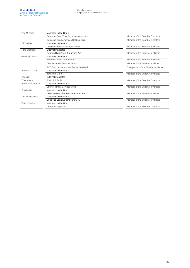| Eric-M Smith          | Mandates in the Group                |                                      |
|-----------------------|--------------------------------------|--------------------------------------|
|                       | Deutsche Bank Trust Company Americas | Member of the Board of Directors     |
|                       | Deutsche Bank Americas Holding Corp. | Member of the Board of Directors     |
| <b>Till Staffeldt</b> | Mandates in the Group                |                                      |
|                       | Deutsche Bank Società per Azioni     | Member of the Supervisory Board      |
| Jutta Steinert        | External mandates                    |                                      |
|                       | German High Street Properties A/S    | Member of the Supervisory Board      |
| Gülabatin Sun         | Mandates in the Group                |                                      |
|                       | Betriebs-Center für Banken AG        | Member of the Supervisory Board      |
|                       | <b>DB Investment Services GmbH</b>   | Member of the Supervisory Board      |
|                       | PCC Services GmbH der Deutschen Bank | Chairperson of the Supervisory Board |
| Andreas Torner        | Mandates in the Group                |                                      |
|                       | norisbank GmbH                       | Member of the Supervisory Board      |
| Christian             | External mandates                    |                                      |
| Westerhaus            | S.W.I.F.T SCRL                       | Member of the Board of Directors     |
| Andreas Wienhues      | Mandates in the Group                |                                      |
|                       | DB Investment Services GmbH          | Member of the Supervisory Board      |
| Sandra Wirfs          | Mandates in the Group                |                                      |
|                       | DB Privat- und Firmenkundenbank AG   | Member of the Supervisory Board      |
| Jan Wohlschiess       | Mandates in the Group                |                                      |
|                       | Deutsche Bank Luxembourg SA.         | Member of the Supervisory Board      |
| Peter Yearley         | Mandates in the Group                |                                      |
|                       | <b>DB USA Corporation</b>            | Member of the Board of Directors     |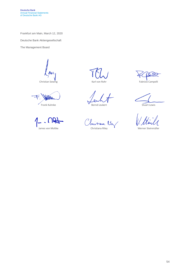Frankfurt am Main, March 12, 2020

Deutsche Bank Aktiengesellschaft

The Management Board

Lloic

Christian Sewing **Christian Sewing Christian Sewing Christian Sewing Christian Sewing Campelli** 

Frank Kuhnke **Stuart Lewis** Bernd Leukert **Stuart Lewis** 

mis tiane James von Moltke Christiana Riley Werner Steinmüller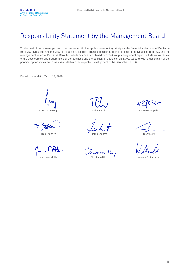### Responsibility Statement by the Management Board

To the best of our knowledge, and in accordance with the applicable reporting principles, the financial statements of Deutsche Bank AG give a true and fair view of the assets, liabilities, financial position and profit or loss of the Deutsche Bank AG and the management report of Deutsche Bank AG, which has been combined with the Group management report, includes a fair review of the development and performance of the business and the position of Deutsche Bank AG, together with a description of the principal opportunities and risks associated with the expected development of the Deutsche Bank AG.

Frankfurt am Main, March 12, 2020

Christian Sewing The Christian Sewing Christian Sewing Fabrizio Campelli

Frank Kuhnke **Bernd Leukert** Bernd Leukert Stuart Lewis

James von Moltke **Christiana Riley Metalery Werner Steinmüller**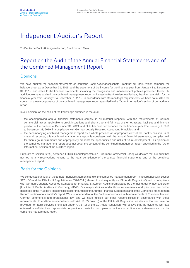### Independent Auditor's Report

To Deutsche Bank Aktiengesellschaft, Frankfurt am Main

### Report on the Audit of the Annual Financial Statements and of the Combined Management Report

#### **Opinions**

We have audited the financial statements of Deutsche Bank Aktiengesellschaft, Frankfurt am Main, which comprise the balance sheet as at December 31, 2019, and the statement of the income for the financial year from January 1 to December 31, 2019, and notes to the financial statements, including the recognition and measurement policies presented therein. In addition, we have audited the combined management report of Deutsche Bank Aktiengesellschaft, Frankfurt am Main, for the financial year from January 1 to December 31, 2019. In accordance with German legal requirements, we have not audited the content of those components of the combined management report specified in the "Other Information" section of our auditor's report.

In our opinion, on the basis of the knowledge obtained in the audit,

- the accompanying annual financial statements comply, in all material respects, with the requirements of German commercial law as applicable to credit institutions and give a true and fair view of the net assets, liabilities and financial position of the Bank as at December 31, 2019, and of its financial performance for the financial year from January 1, 2019 to December 31, 2019, in compliance with German Legally Required Accounting Principles, and
- the accompanying combined management report as a whole provides an appropriate view of the Bank's position. In all material respects, this combined management report is consistent with the annual financial statements, complies with German legal requirements and appropriately presents the opportunities and risks of future development. Our opinion on the combined management report does not cover the content of the combined management report specified in the "Other Information" section of the auditor's report.

Pursuant to Section 322(3) sentence 1 HGB [Handelsgesetzbuch – German Commercial Code], we declare that our audit has not led to any reservations relating to the legal compliance of the annual financial statements and of the combined management report.

#### Basis for the Opinions

We conducted our audit of the annual financial statements and of the combined management report in accordance with Section 317 HGB and the EU- Audit Regulation No 537/2014 (referred to subsequently as "EU Audit Regulation") and in compliance with German Generally Accepted Standards for Financial Statement Audits promulgated by the Institut der Wirtschaftsprüfer [Institute of Public Auditors in Germany] (IDW). Our responsibilities under those requirements and principles are further described in the "Auditor's Responsibilities for the Audit of the Annual Financial Statements and of the Combined Management Report" section of our auditor's report. We are independent of the Bank in accordance with requirements of European law and German commercial and professional law, and we have fulfilled our other responsibilities in accordance with these requirements. In addition, in accordance with Art. 10 (2) point (f) of the EU Audit Regulation, we declare that we have not provided non-audit services prohibited under Art. 5 (1) of the EU Audit Regulation. We believe that the evidence we have obtained is sufficient and appropriate to provide a basis for our opinions on the annual financial statements and on the combined management report.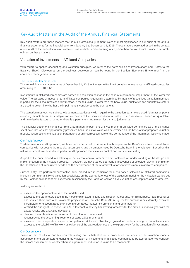#### Key Audit Matters in the Audit of the Annual Financial Statements

Key audit matters are those matters that, in our professional judgment, were of most significance in our audit of the annual financial statements for the financial year from January 1 to December 31, 2019. These matters were addressed in the context of our audit of the annual financial statements as a whole, and in forming our opinion thereon, we do not provide a separate opinion on these matters.

#### Valuation of Investments in Affiliated Companies

With regard to applied accounting and valuation principles, we refer to the notes "Basis of Presentation" and "Notes to the Balance Sheet". Disclosures on the business development can be found in the Section "Economic Environment" in the combined management report.

#### The Financial Statement Risk

The annual financial statements as of December 31, 2019 of Deutsche Bank AG contains investments in affiliated companies amounting to EUR 34.3 bn.

Investments in affiliated companies are carried at acquisition cost or, in the case of a permanent impairment, at the lower fair value. The fair value of investments in affiliated companies is generally determined by means of recognized valuation methods, in particular the discounted cash flow method. If the fair value is lower than the book value, qualitative and quantitative criteria are used to determine whether the impairment is considered to be permanent.

The valuation methods are subject to judgments, particularly with regard to the valuation parameters used (plan assumptions including impacts from the strategic transformation of the Bank and discount rates). The assessment, based on qualitative and quantitative factors, of whether there is a permanent impairment loss is also judgmental.

The financial statement risk arises from a permanent impairment of investments in affiliated companies as of the balance sheet date that was not appropriately presented because its fair value was determined on the basis of inappropriate valuation models, assumptions and valuation parameters or an incorrect estimate of the permanence of the impairment loss was made.

#### Our Audit Approach

To determine our audit approach, we have performed a risk assessment with respect to the Bank's investments in affiliated companies with respect to the models, assumptions and parameters used by Deutsche Bank in the valuation. Based on this risk assessment, we have developed an audit approach that includes control and substantive testing.

As part of the audit procedures relating to the internal control system, we first obtained an understanding of the design and implementation of the valuation process. In addition, we have tested operating effectiveness of selected relevant controls for the identification of impairment needs and the performance of the related valuations for investments in affiliated companies.

Subsequently, we performed substantive audit procedures in particular for a risk-based selection of affiliated companies, including our internal KPMG valuation specialists, on the appropriateness of the valuation model for the valuation carried out by the Bank or an independent expert commissioned by the Bank, as well as on key valuation assumptions and parameters.

In doing so, we have:

- assessed the appropriateness of the models used,
- assessed the parameters used in the models (plan assumptions and discount rates) and, for this purpose, have reconciled and verified them with other available projections of Deutsche Bank AG (e. g. for tax purposes) or externally available parameters for discount rates (risk-free interest rates, market risk premiums and beta factors),
- verified the quality of Deutsche Bank AG's forecast to date by backtesting forecasts for the previous financial year with the actual results and analyzing deviations,
- checked the arithmetical correctness of the valuation model used,
- reconstructed the accounting treatment of value adjustments, and
- assessed the independent expert's competence, skills and objectivity, gained an understanding of his activities and assessed the suitability of his work as evidence of the appropriateness of the expert's work for the valuation of investments.

#### Our Observations

Based on the results of our key controls testing and substantive audit procedures, we consider the valuation models, assumptions and parameters underlying the valuation of investments in affiliated companies to be appropriate. We consider the Bank's assessment of whether there is a permanent reduction in value to be reasonable.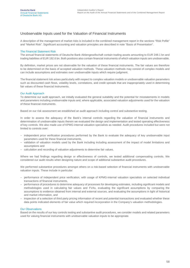#### Unobservable Inputs used for the Valuation of Financial Instruments

A description of the management of market risks is included in the combined management report in the sections "Risk Pofile" and "Market Risk". Significant accounting and valuation principles are described in note "Basis of Presentation".

#### The Financial Statement Risk

The annual financial statements of Deutsche Bank Aktiengesellschaft contain trading assets amounting to EUR 248.1 bn and trading liabilities of EUR 192.6 bn. Both positions also contain financial instruments of which valuation inputs are unobservable.

By definition, market prices are not observable for the valuation of these financial instruments. The fair values are therefore to be determined on the basis of accepted valuation methods. These valuation methods may consist of complex models and can include assumptions and estimates over unobservable inputs which require judgment.

The financial statement risk arises particularly with respect to complex valuation models or unobservable valuation parameters such as discounted cash flows, volatility levels, correlations, and credit spreads that are inappropriately used in determining fair values of these financial instruments.

#### Our Audit Approach

To determine our audit approach, we initially evaluated the general suitability and the potential for misstatements in models and parameters including unobservable inputs and, where applicable, associated valuation adjustments used for the valuation of these financial instruments.

Based on our risk assessment we established an audit approach including control and substantive testing.

In order to assess the adequacy of the Bank's internal controls regarding the valuation of financial instruments and determination of unobservable inputs therein we evaluated the design and implementation and tested operating effectiveness of key controls. We also made use of KPMG-internal valuation specialists as needed. Audit procedures included but were not limited to controls over:

- independent price verification procedures performed by the Bank to evaluate the adequacy of key unobservable input parameters used for these financial instruments,
- validation of valuation models used by the Bank including including assessment of the impact of model limitations and assumptions and
- calculation and recording of valuation adjustments to determine fair values.

Where we had findings regarding design or effectiveness of controls, we tested additional compensating controls. We considered our audit results when designing nature and scope of additional substantive audit procedures.

We performed substantive procedures amongst others on a risk-based selection of financial instruments with unobservable valuation inputs. These include in particular:

- performance of independent price verification, with usage of KPMG-internal valuation specialists on selected individual transactions of financial instruments,
- performance of procedures to determine adequacy of processes for developing estimates, including significant models and methodologies used in calculating fair values and FVAs, evaluating the significant assumptions by comparing the assumptions to evidence obtained from internal and external sources, and evaluating the assumptions in light of historical and market information, and
- inspection of a selection of third party pricing information of recent and potential transactions and evaluated whether these data points indicated elements of fair value which required incorporation in the Company's valuation methodologies.

#### Our Observations

Based on the results of our key controls testing and substantive audit procedures, we consider models and related parameters used for valuing financial instruments with unobservable valuation inputs to be appropriate.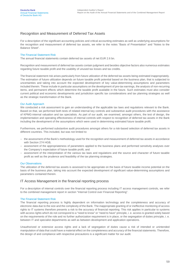#### Recognition and Measurement of Deferred Tax Assets

For a description of the significant accounting policies and critical accounting estimates as well as underlying assumptions for the recognition and measurement of deferred tax assets, we refer to the notes "Basis of Presentation" and "Notes to the Balance Sheet".

#### The Financial Statement Risk

The annual financial statements contain deferred tax assets of net EUR 2.6 bn.

Recognition and measurement of deferred tax assets contain judgment and besides objective factors also numerous estimates regarding future taxable profit and the usability of unused tax losses and tax credits.

The financial statement risk arises particularly from future utilization of the deferred tax assets being estimated inappropriately. The estimation of future utilization depends on future taxable profit potential based on the business plan, that is subjected to uncertainties and taking into account the expected development of key value-determining assumptions and parameters included therein. These include in particular assumptions on the development of pre-tax earnings, the analysis of non-recurring items, and permanent effects which determine the taxable profit available in the future. Such estimates must also consider current political and economic developments and jurisdiction specific tax considerations and tax planning strategies as well as the strategic transformation of the Bank.

#### Our Audit Approach

We conducted a risk assessment to gain an understanding of the applicable tax laws and regulations relevant to the Bank. Based on that, we performed both tests of related internal key controls and substantive audit procedures with the assistance of KPMG-internal valuation and tax specialists. As part of our audit, we examined, amongst others, the test of design, the implementation and operating effectiveness of internal controls with respect to recognition of deferred tax assets in the Bank including the development of the assumptions which were used in determining estimated future taxable profit.

Furthermore, we performed substantive audit procedures amongst others for a risk-based selection of deferred tax assets in different countries. This included, but was not limited to:

- the assessment of the Bank's methodology used for the recognition and measurement of deferred tax assets in accordance with Section 274 HGB,
- assessment of the appropriateness of parameters applied to the business plans and performed sensitivity analyses over the Company's expectation of future taxable profit, and
- assessment of the interpretation of the various tax laws and regulations and the source and character of future taxable profit as well as the prudence and feasibility of the tax planning strategies.

#### Our Observations

The utilization of the deferred tax assets is assessed to be appropriate on the basis of future taxable income potential on the basis of the business plan, taking into account the expected development of significant value-determining assumptions and parameters contained therein.

#### IT Access Management in the financial reporting process

For a description of internal controls over the financial reporting process including IT access management controls, we refer to the combined management report in section "Internal Control over Financial Reporting".

#### The Financial Statement Risk

The financial reporting process is highly dependent on information technology and the completeness and accuracy of electronic data due to the size and the complexity of the Bank. The inappropriate granting of or ineffective monitoring of access rights to IT systems therefore presents a risk to the accuracy of financial reporting. This risk applies in particular to systems with access rights which do not correspond to a "need to know" or "need to have" principle, i. e. access is granted solely based on the requirements of the role and no further authorization requirement is in place, or the segregation of duties principle, i. e. between IT and specialist departments as well as between development and application operations.

Unauthorized or extensive access rights and a lack of segregation of duties cause a risk of intended or unintended manipulation of data that could have a material effect on the completeness and accuracy of the financial statements. Therefore, the design of and compliance with respective precautions is a significant matter for our audit.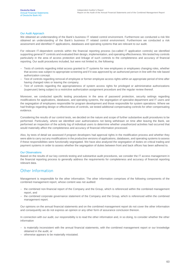#### Our Audit Approach

We obtained an understanding of the Bank's business IT related control environment. Furthermore we conducted a risk We obtained an understanding of the Bank's business IT related control environment. Furthermore we conducted a risk assessment and identified IT applications, databases and operating systems that are relevant to our audit.

For relevant IT-dependent controls within the financial reporting process (so-called IT application controls) we identified supporting general IT controls and evaluated their design, implementation, and operating effectiveness. We tested key controls particularly in the area of access protection and linkage of such controls to the completeness and accuracy of financial reporting. Our audit procedures included, but were not limited to, the following:

- Tests of controls regarding initial access granted to IT systems for new employees or employees changing roles, whether that access was subject to appropriate screening and if it was approved by an authorized person in line with the role based authorization concept.
- Test of controls regarding removal of employee or former employee access rights within an appropriate period of time after having changed roles or leaving the company.
- Test of controls regarding the appropriateness of system access rights for privileged or administrative authorizations (superuser) being subject to a restrictive authorization assignment procedure and the regular review thereof.

Moreover, we conducted specific testing procedures in the area of password protection, security settings regarding modifications for applications, databases, and operating systems, the segregation of specialist department and IT users and the segregation of employees responsible for program development and those responsible for system operations. Where we had findings regarding design or effectiveness of controls, we tested additional compensating controls for other compensating evidence.

Considering the results of our control tests, we decided on the nature and scope of further substantive audit procedures to be performed. Particularly, where we identified user authorizations not being withdrawn on time after leaving the Bank, we performed an inspection of the activity log of individual users to determine whether unauthorized activities had occurred that would materially affect the completeness and accuracy of financial information processed.

Also, by tests of detail we assessed if program developers had approval rights in the modification process and whether they were able to carry out any modifications in the productive versions of applications, databases, and operating systems to assess if these responsibilities were functionally segregated. We have also analyzed the segregation of duties on critical trading and payment systems in order to assess whether the segregation of duties between front and back offices has been adhered to.

#### Our Observations

Based on the results of our key controls testing and substantive audit procedures, we consider the IT access management in the financial reporting process to generally address the requirements for completeness and accuracy of financial reporting relevant data.

#### Other Information

Management is responsible for the other information. The other information comprises of the following components of the combined management report, whose content was not audited:

- the combined non-financial report of the Company and the Group, which is referenced within the combined management report, and
- the combined corporate governance statement of the Company and the Group, which is referenced within the combined management report.

Our opinions on the annual financial statements and on the combined management report do not cover the other information and consequently we do not express an opinion or any other form of assurance conclusion thereon.

In connection with our audit, our responsibility is to read the other information and, in so doing, to consider whether the other information

- is materially inconsistent with the annual financial statements, with the combined management report or our knowledge obtained in the audit, or
- otherwise appears to be materially misstated.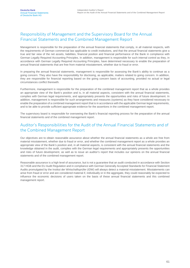#### Responsibility of Management and the Supervisory Board for the Annual Financial Statements and the Combined Management Report

Management is responsible for the preparation of the annual financial statements that comply, in all material respects, with the requirements of German commercial law applicable to credit institutions, and that the annual financial statements give a true and fair view of the net assets, liabilities, financial position and financial performance of the Bank in compliance with German Legally Required Accounting Principles. In addition, management is responsible for such internal control as they, in accordance with German Legally Required Accounting Principles, have determined necessary to enable the preparation of annual financial statements that are free from material misstatement, whether due to fraud or error.

In preparing the annual financial statements, management is responsible for assessing the Bank's ability to continue as a going concern. They also have the responsibility for disclosing, as applicable, matters related to going concern. In addition, they are responsible for financial reporting based on the going concern basis of accounting, provided no actual or legal circumstances conflict therewith.

Furthermore, management is responsible for the preparation of the combined management report that as a whole provides an appropriate view of the Bank's position and is, in all material aspects, consistent with the annual financial statements, complies with German legal requirements, and appropriately presents the opportunities and risks of future development. In addition, management is responsible for such arrangements and measures (systems) as they have considered necessary to enable the preparation of a combined management report that is in accordance with the applicable German legal requirements, and to be able to provide sufficient appropriate evidence for the assertions in the combined management report.

The supervisory board is responsible for overseeing the Bank's financial reporting process for the preparation of the annual financial statements and of the combined management report.

#### Auditor's Responsibilities for the Audit of the Annual Financial Statements and of the Combined Management Report

Our objectives are to obtain reasonable assurance about whether the annual financial statements as a whole are free from material misstatement, whether due to fraud or error, and whether the combined management report as a whole provides an appropriate view of the Bank's position and, in all material aspects, is consistent with the annual financial statements and the knowledge obtained in the audit, complies with the German legal requirements and appropriately presents the opportunities and risks of future development, as well as to issue an auditor's report that includes our opinions on the annual financial statements and of the combined management report.

Reasonable assurance is a high level of assurance, but is not a guarantee that an audit conducted in accordance with Section 317 HGB and the EU Audit Regulation and in compliance with German Generally Accepted Standards for Financial Statement Audits promulgated by the Institut der Wirtschaftsprüfer (IDW) will always detect a material misstatement. Misstatements can arise from fraud or error and are considered material if, individually or in the aggregate, they could reasonably be expected to influence the economic decisions of users taken on the basis of these annual financial statements and this combined management report.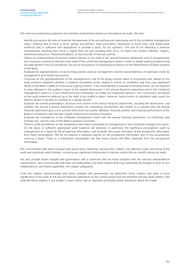We exercise professional judgment and maintain professional skepticism throughout the audit. We also:

- Identify and assess the risks of material misstatement of the annual financial statements and of the combined management report, whether due to fraud or error, design and perform audit procedures responsive to those risks, and obtain audit evidence that is sufficient and appropriate to provide a basis for our opinions. The risk of not detecting a material misstatement resulting from fraud is higher than for one resulting from error, as fraud may involve collusion, forgery, intentional omissions, misrepresentations, or the override of internal controls.
- Obtain an understanding of internal control relevant to the audit of the annual financial statements and of arrangements and measures (systems) relevant to the audit of the combined management report in order to design audit procedures that are appropriate in the circumstances, but not for the purpose of expressing an opinion on the effectiveness of these systems of the Bank.
- Evaluate the appropriateness of accounting policies used by management and the reasonableness of estimates made by management and related disclosures.
- Conclude on the appropriateness of the management's use of the going concern basis of accounting and, based on the audit evidence obtained, whether a material uncertainty exists related to events or conditions that may cast significant doubt on the Bank's ability to continue as a going concern. If we conclude that a material uncertainty exists, we are required to draw attention in the auditor's report to the related disclosures in the annual financial statements and in the combined management report or, if such disclosures are inadequate, to modify our respective opinions. Our conclusions are based on the audit evidence obtained up to the date of our auditor's report. However, future events or conditions may cause the Bank to cease to be able to continue as a going concern.
- Evaluate the overall presentation, structure and content of the annual financial statements, including the disclosures, and whether the annual financial statements present the underlying transactions and events in a manner that the annual financial statements give a true and fair view of the net assets, liabilities, financial position and financial performance of the Bank in compliance with German Legally Required Accounting Principles.
- Evaluate the consistency of the combined management report with the annual financial statements, its conformity with German law, and the view of the Bank's position it provides.
- Perform audit procedures on the prospective information presented by management in the combined management report. On the basis of sufficient appropriate audit evidence we evaluate, in particular, the significant assumptions used by management as a basis for the prospective information, and evaluate the proper derivation of the prospective information from these assumptions. We do not express a separate opinion on the prospective information and on the assumptions used as a basis. There is a substantial unavoidable risk that future events will differ materially from the prospective information.

We communicate with those charged with governance regarding, among other matters, the planned scope and timing of the audit and significant audit findings, including any significant deficiencies in internal control that we identify during our audit.

We also provide those charged with governance with a statement that we have complied with the relevant independence requirements, and communicate with them all relationships and other matters that may reasonably be thought to bear on our independence, and where applicable, the related safeguards.

From the matters communicated with those charged with governance, we determine those matters that were of most significance in the audit of the annual financial statements of the current period and are therefore the key audit matters. We describe these matters in our auditor's report unless law or regulation precludes public disclosure about the matter.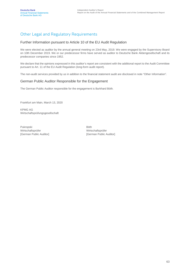### Other Legal and Regulatory Requirements

#### Further Information pursuant to Article 10 of the EU Audit Regulation

We were elected as auditor by the annual general meeting on 23rd May, 2019. We were engaged by the Supervisory Board on 10th December 2019. We or our predecessor firms have served as auditor to Deutsche Bank Aktiengesellschaft and its predecessor companies since 1952.

We declare that the opinions expressed in this auditor's report are consistent with the additional report to the Audit Committee pursuant to Art. 11 of the EU Audit Regulation (long-form audit report).

The non-audit services provided by us in addition to the financial statement audit are disclosed in note "Other Information".

#### German Public Auditor Responsible for the Engagement

The German Public Auditor responsible for the engagement is Burkhard Böth.

Frankfurt am Main, March 13, 2020

KPMG AG Wirtschaftsprüfungsgesellschaft

Pukropski Wirtschaftsprüfer [German Public Auditor]

Böth Wirtschaftsprüfer [German Public Auditor]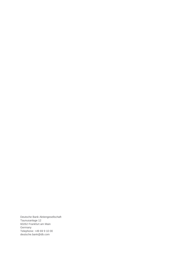Deutsche Bank Aktiengesellschaft Taunusanlage 12 60262 Frankfurt am Main Germany Telephone: +49 69 9 10 00 deutsche.bank@db.com